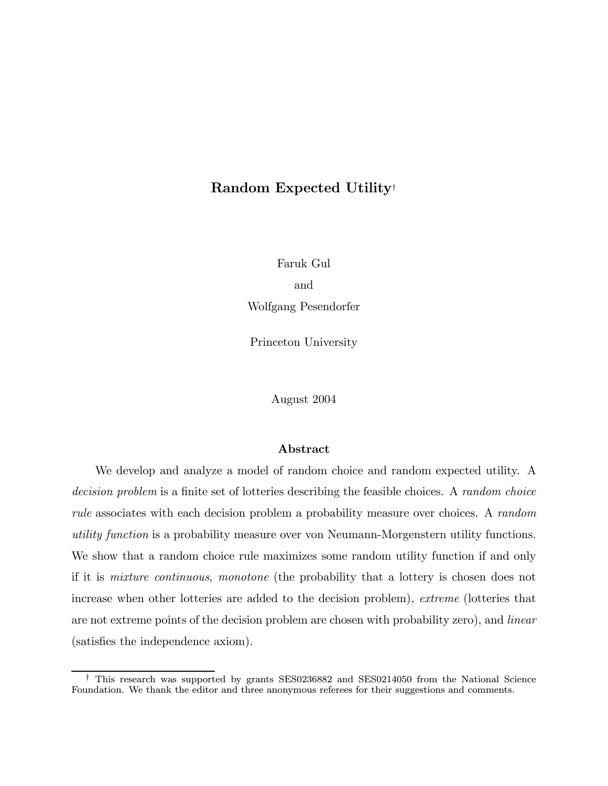# Random Expected Utility†

Faruk Gul and Wolfgang Pesendorfer

Princeton University

August 2004

#### Abstract

We develop and analyze a model of random choice and random expected utility. A decision problem is a finite set of lotteries describing the feasible choices. A random choice rule associates with each decision problem a probability measure over choices. A random utility function is a probability measure over von Neumann-Morgenstern utility functions. We show that a random choice rule maximizes some random utility function if and only if it is mixture continuous, monotone (the probability that a lottery is chosen does not increase when other lotteries are added to the decision problem), extreme (lotteries that are not extreme points of the decision problem are chosen with probability zero), and linear (satisfies the independence axiom).

<sup>†</sup> This research was supported by grants SES0236882 and SES0214050 from the National Science Foundation. We thank the editor and three anonymous referees for their suggestions and comments.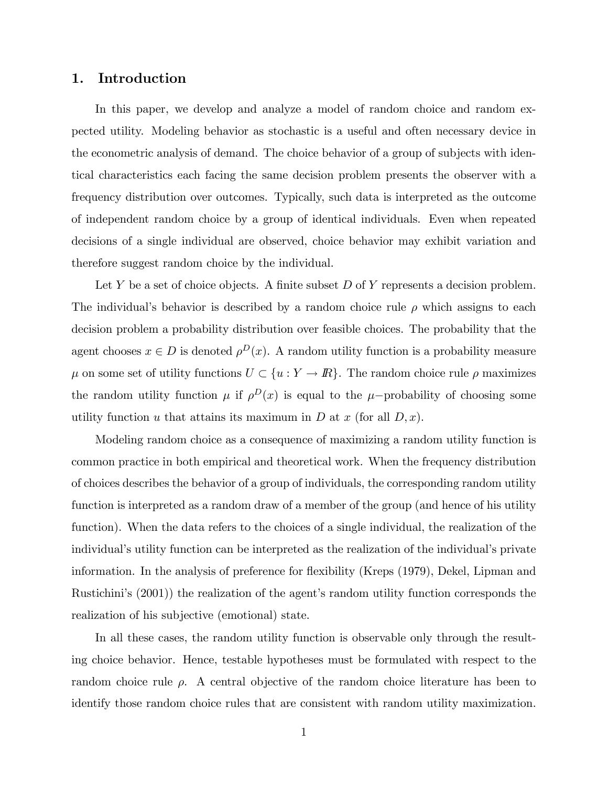# 1. Introduction

In this paper, we develop and analyze a model of random choice and random expected utility. Modeling behavior as stochastic is a useful and often necessary device in the econometric analysis of demand. The choice behavior of a group of subjects with identical characteristics each facing the same decision problem presents the observer with a frequency distribution over outcomes. Typically, such data is interpreted as the outcome of independent random choice by a group of identical individuals. Even when repeated decisions of a single individual are observed, choice behavior may exhibit variation and therefore suggest random choice by the individual.

Let Y be a set of choice objects. A finite subset  $D$  of Y represents a decision problem. The individual's behavior is described by a random choice rule  $\rho$  which assigns to each decision problem a probability distribution over feasible choices. The probability that the agent chooses  $x \in D$  is denoted  $\rho^{D}(x)$ . A random utility function is a probability measure  $\mu$  on some set of utility functions  $U \subset \{u: Y \to \mathbb{R}\}$ . The random choice rule  $\rho$  maximizes the random utility function  $\mu$  if  $\rho^D(x)$  is equal to the  $\mu$ −probability of choosing some utility function u that attains its maximum in D at x (for all  $D, x$ ).

Modeling random choice as a consequence of maximizing a random utility function is common practice in both empirical and theoretical work. When the frequency distribution of choices describes the behavior of a group of individuals, the corresponding random utility function is interpreted as a random draw of a member of the group (and hence of his utility function). When the data refers to the choices of a single individual, the realization of the individual's utility function can be interpreted as the realization of the individual's private information. In the analysis of preference for flexibility (Kreps (1979), Dekel, Lipman and Rustichini's (2001)) the realization of the agent's random utility function corresponds the realization of his subjective (emotional) state.

In all these cases, the random utility function is observable only through the resulting choice behavior. Hence, testable hypotheses must be formulated with respect to the random choice rule  $\rho$ . A central objective of the random choice literature has been to identify those random choice rules that are consistent with random utility maximization.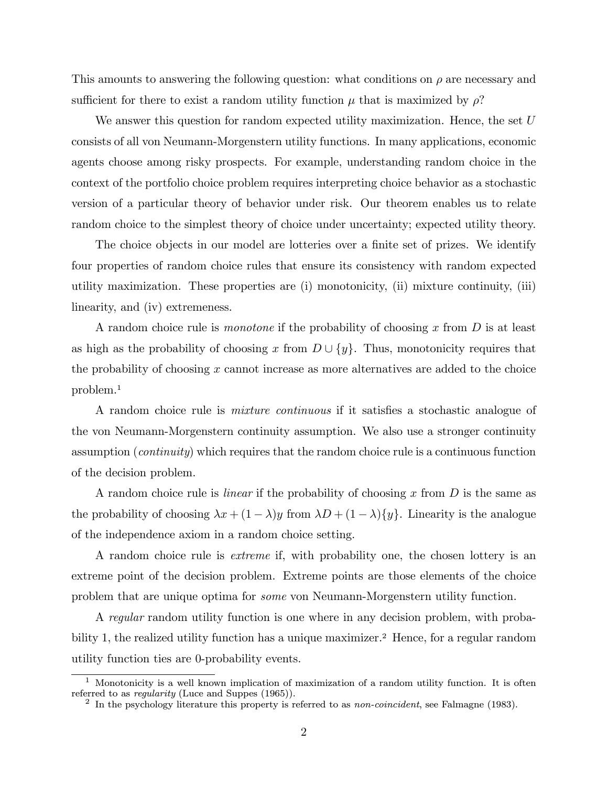This amounts to answering the following question: what conditions on  $\rho$  are necessary and sufficient for there to exist a random utility function  $\mu$  that is maximized by  $\rho$ ?

We answer this question for random expected utility maximization. Hence, the set  $U$ consists of all von Neumann-Morgenstern utility functions. In many applications, economic agents choose among risky prospects. For example, understanding random choice in the context of the portfolio choice problem requires interpreting choice behavior as a stochastic version of a particular theory of behavior under risk. Our theorem enables us to relate random choice to the simplest theory of choice under uncertainty; expected utility theory.

The choice objects in our model are lotteries over a finite set of prizes. We identify four properties of random choice rules that ensure its consistency with random expected utility maximization. These properties are (i) monotonicity, (ii) mixture continuity, (iii) linearity, and (iv) extremeness.

A random choice rule is *monotone* if the probability of choosing x from  $D$  is at least as high as the probability of choosing x from  $D \cup \{y\}$ . Thus, monotonicity requires that the probability of choosing  $x$  cannot increase as more alternatives are added to the choice problem.<sup>1</sup>

A random choice rule is mixture continuous if it satisfies a stochastic analogue of the von Neumann-Morgenstern continuity assumption. We also use a stronger continuity assumption (continuity) which requires that the random choice rule is a continuous function of the decision problem.

A random choice rule is *linear* if the probability of choosing x from  $D$  is the same as the probability of choosing  $\lambda x + (1 - \lambda)y$  from  $\lambda D + (1 - \lambda)\{y\}$ . Linearity is the analogue of the independence axiom in a random choice setting.

A random choice rule is extreme if, with probability one, the chosen lottery is an extreme point of the decision problem. Extreme points are those elements of the choice problem that are unique optima for some von Neumann-Morgenstern utility function.

A regular random utility function is one where in any decision problem, with probability 1, the realized utility function has a unique maximizer.<sup>2</sup> Hence, for a regular random utility function ties are 0-probability events.

<sup>&</sup>lt;sup>1</sup> Monotonicity is a well known implication of maximization of a random utility function. It is often referred to as *regularity* (Luce and Suppes (1965)).

<sup>&</sup>lt;sup>2</sup> In the psychology literature this property is referred to as *non-coincident*, see Falmagne (1983).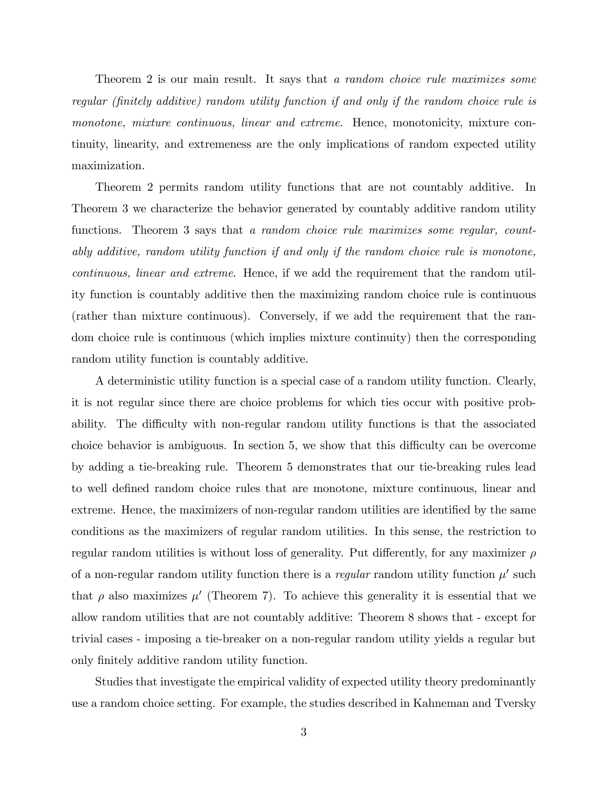Theorem 2 is our main result. It says that a random choice rule maximizes some regular (finitely additive) random utility function if and only if the random choice rule is monotone, mixture continuous, linear and extreme. Hence, monotonicity, mixture continuity, linearity, and extremeness are the only implications of random expected utility maximization.

Theorem 2 permits random utility functions that are not countably additive. In Theorem 3 we characterize the behavior generated by countably additive random utility functions. Theorem 3 says that a random choice rule maximizes some regular, countably additive, random utility function if and only if the random choice rule is monotone, continuous, linear and extreme. Hence, if we add the requirement that the random utility function is countably additive then the maximizing random choice rule is continuous (rather than mixture continuous). Conversely, if we add the requirement that the random choice rule is continuous (which implies mixture continuity) then the corresponding random utility function is countably additive.

A deterministic utility function is a special case of a random utility function. Clearly, it is not regular since there are choice problems for which ties occur with positive probability. The difficulty with non-regular random utility functions is that the associated choice behavior is ambiguous. In section 5, we show that this difficulty can be overcome by adding a tie-breaking rule. Theorem 5 demonstrates that our tie-breaking rules lead to well defined random choice rules that are monotone, mixture continuous, linear and extreme. Hence, the maximizers of non-regular random utilities are identified by the same conditions as the maximizers of regular random utilities. In this sense, the restriction to regular random utilities is without loss of generality. Put differently, for any maximizer  $\rho$ of a non-regular random utility function there is a regular random utility function  $\mu'$  such that  $\rho$  also maximizes  $\mu'$  (Theorem 7). To achieve this generality it is essential that we allow random utilities that are not countably additive: Theorem 8 shows that - except for trivial cases - imposing a tie-breaker on a non-regular random utility yields a regular but only finitely additive random utility function.

Studies that investigate the empirical validity of expected utility theory predominantly use a random choice setting. For example, the studies described in Kahneman and Tversky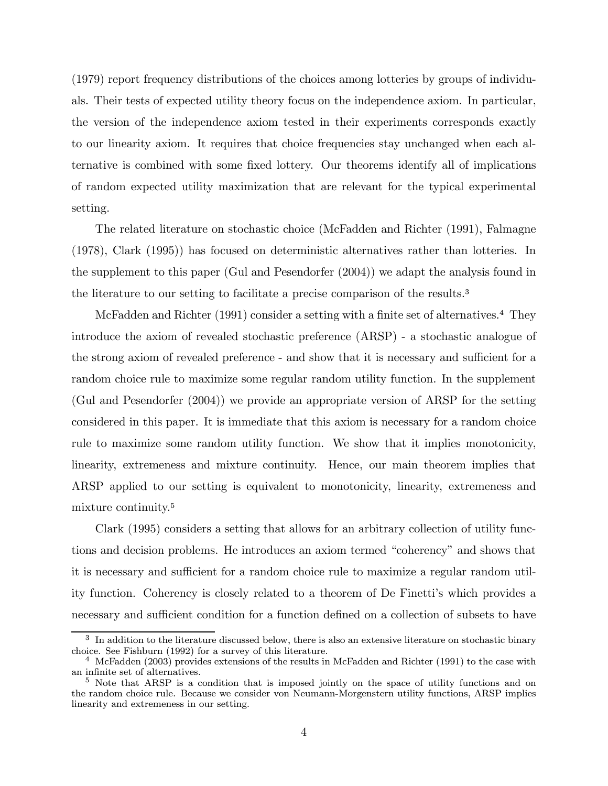(1979) report frequency distributions of the choices among lotteries by groups of individuals. Their tests of expected utility theory focus on the independence axiom. In particular, the version of the independence axiom tested in their experiments corresponds exactly to our linearity axiom. It requires that choice frequencies stay unchanged when each alternative is combined with some fixed lottery. Our theorems identify all of implications of random expected utility maximization that are relevant for the typical experimental setting.

The related literature on stochastic choice (McFadden and Richter (1991), Falmagne (1978), Clark (1995)) has focused on deterministic alternatives rather than lotteries. In the supplement to this paper (Gul and Pesendorfer (2004)) we adapt the analysis found in the literature to our setting to facilitate a precise comparison of the results.<sup>3</sup>

McFadden and Richter (1991) consider a setting with a finite set of alternatives.<sup>4</sup> They introduce the axiom of revealed stochastic preference (ARSP) - a stochastic analogue of the strong axiom of revealed preference - and show that it is necessary and sufficient for a random choice rule to maximize some regular random utility function. In the supplement (Gul and Pesendorfer (2004)) we provide an appropriate version of ARSP for the setting considered in this paper. It is immediate that this axiom is necessary for a random choice rule to maximize some random utility function. We show that it implies monotonicity, linearity, extremeness and mixture continuity. Hence, our main theorem implies that ARSP applied to our setting is equivalent to monotonicity, linearity, extremeness and mixture continuity.<sup>5</sup>

Clark (1995) considers a setting that allows for an arbitrary collection of utility functions and decision problems. He introduces an axiom termed "coherency" and shows that it is necessary and sufficient for a random choice rule to maximize a regular random utility function. Coherency is closely related to a theorem of De Finetti's which provides a necessary and sufficient condition for a function defined on a collection of subsets to have

 $3\,$  In addition to the literature discussed below, there is also an extensive literature on stochastic binary choice. See Fishburn (1992) for a survey of this literature.

<sup>&</sup>lt;sup>4</sup> McFadden (2003) provides extensions of the results in McFadden and Richter (1991) to the case with an infinite set of alternatives.

<sup>&</sup>lt;sup>5</sup> Note that ARSP is a condition that is imposed jointly on the space of utility functions and on the random choice rule. Because we consider von Neumann-Morgenstern utility functions, ARSP implies linearity and extremeness in our setting.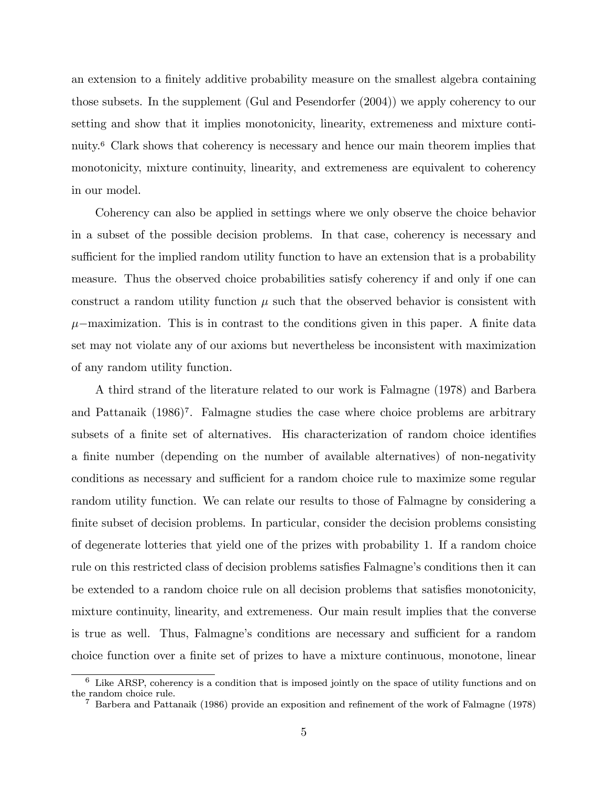an extension to a finitely additive probability measure on the smallest algebra containing those subsets. In the supplement (Gul and Pesendorfer (2004)) we apply coherency to our setting and show that it implies monotonicity, linearity, extremeness and mixture continuity.<sup>6</sup> Clark shows that coherency is necessary and hence our main theorem implies that monotonicity, mixture continuity, linearity, and extremeness are equivalent to coherency in our model.

Coherency can also be applied in settings where we only observe the choice behavior in a subset of the possible decision problems. In that case, coherency is necessary and sufficient for the implied random utility function to have an extension that is a probability measure. Thus the observed choice probabilities satisfy coherency if and only if one can construct a random utility function  $\mu$  such that the observed behavior is consistent with  $\mu$ –maximization. This is in contrast to the conditions given in this paper. A finite data set may not violate any of our axioms but nevertheless be inconsistent with maximization of any random utility function.

A third strand of the literature related to our work is Falmagne (1978) and Barbera and Pattanaik (1986)7. Falmagne studies the case where choice problems are arbitrary subsets of a finite set of alternatives. His characterization of random choice identifies a finite number (depending on the number of available alternatives) of non-negativity conditions as necessary and sufficient for a random choice rule to maximize some regular random utility function. We can relate our results to those of Falmagne by considering a finite subset of decision problems. In particular, consider the decision problems consisting of degenerate lotteries that yield one of the prizes with probability 1. If a random choice rule on this restricted class of decision problems satisfies Falmagne's conditions then it can be extended to a random choice rule on all decision problems that satisfies monotonicity, mixture continuity, linearity, and extremeness. Our main result implies that the converse is true as well. Thus, Falmagne's conditions are necessary and sufficient for a random choice function over a finite set of prizes to have a mixture continuous, monotone, linear

 $6$  Like ARSP, coherency is a condition that is imposed jointly on the space of utility functions and on the random choice rule.

<sup>7</sup> Barbera and Pattanaik (1986) provide an exposition and refinement of the work of Falmagne (1978)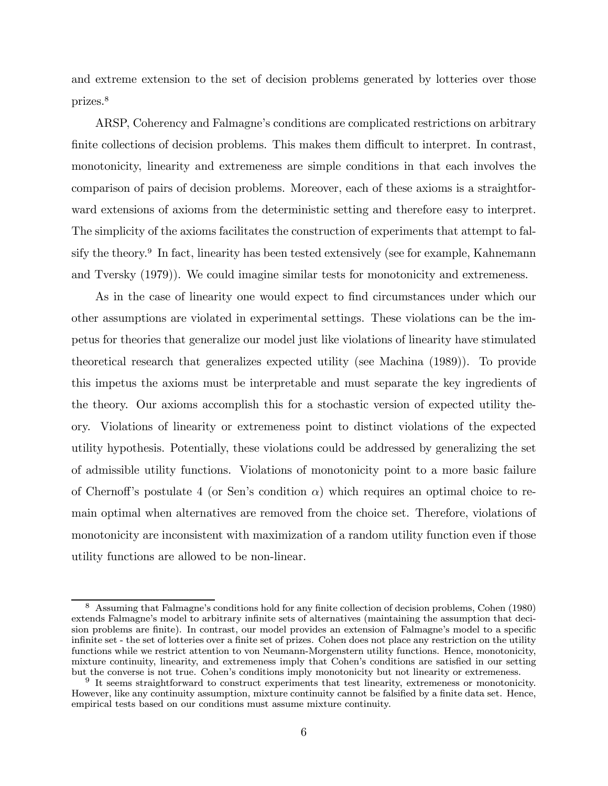and extreme extension to the set of decision problems generated by lotteries over those prizes.<sup>8</sup>

ARSP, Coherency and Falmagne's conditions are complicated restrictions on arbitrary finite collections of decision problems. This makes them difficult to interpret. In contrast, monotonicity, linearity and extremeness are simple conditions in that each involves the comparison of pairs of decision problems. Moreover, each of these axioms is a straightforward extensions of axioms from the deterministic setting and therefore easy to interpret. The simplicity of the axioms facilitates the construction of experiments that attempt to falsify the theory.<sup>9</sup> In fact, linearity has been tested extensively (see for example, Kahnemann and Tversky (1979)). We could imagine similar tests for monotonicity and extremeness.

As in the case of linearity one would expect to find circumstances under which our other assumptions are violated in experimental settings. These violations can be the impetus for theories that generalize our model just like violations of linearity have stimulated theoretical research that generalizes expected utility (see Machina (1989)). To provide this impetus the axioms must be interpretable and must separate the key ingredients of the theory. Our axioms accomplish this for a stochastic version of expected utility theory. Violations of linearity or extremeness point to distinct violations of the expected utility hypothesis. Potentially, these violations could be addressed by generalizing the set of admissible utility functions. Violations of monotonicity point to a more basic failure of Chernoff's postulate 4 (or Sen's condition  $\alpha$ ) which requires an optimal choice to remain optimal when alternatives are removed from the choice set. Therefore, violations of monotonicity are inconsistent with maximization of a random utility function even if those utility functions are allowed to be non-linear.

<sup>8</sup> Assuming that Falmagne's conditions hold for any finite collection of decision problems, Cohen (1980) extends Falmagne's model to arbitrary infinite sets of alternatives (maintaining the assumption that decision problems are finite). In contrast, our model provides an extension of Falmagne's model to a specific infinite set - the set of lotteries over a finite set of prizes. Cohen does not place any restriction on the utility functions while we restrict attention to von Neumann-Morgenstern utility functions. Hence, monotonicity, mixture continuity, linearity, and extremeness imply that Cohen's conditions are satisfied in our setting but the converse is not true. Cohen's conditions imply monotonicity but not linearity or extremeness.

 $9\text{ It seems straightforward to construct experiments that test linearity, extremeness or monotonicity.}$ However, like any continuity assumption, mixture continuity cannot be falsified by a finite data set. Hence, empirical tests based on our conditions must assume mixture continuity.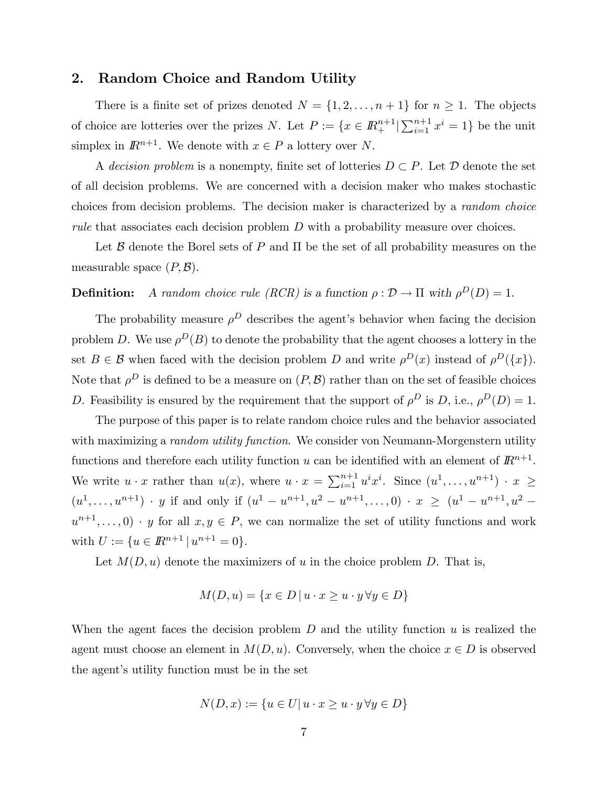### 2. Random Choice and Random Utility

There is a finite set of prizes denoted  $N = \{1, 2, ..., n+1\}$  for  $n \geq 1$ . The objects of choice are lotteries over the prizes N. Let  $P := \{x \in \mathbb{R}^{n+1}_+ | \sum_{i=1}^{n+1} x^i = 1\}$  be the unit simplex in  $\mathbb{R}^{n+1}$ . We denote with  $x \in P$  a lottery over N.

A decision problem is a nonempty, finite set of lotteries  $D \subset P$ . Let  $D$  denote the set of all decision problems. We are concerned with a decision maker who makes stochastic choices from decision problems. The decision maker is characterized by a random choice rule that associates each decision problem D with a probability measure over choices.

Let  $\mathcal B$  denote the Borel sets of P and  $\Pi$  be the set of all probability measures on the measurable space  $(P, \mathcal{B})$ .

# **Definition:** A random choice rule (RCR) is a function  $\rho : \mathcal{D} \to \Pi$  with  $\rho^D(D)=1$ .

The probability measure  $\rho^D$  describes the agent's behavior when facing the decision problem D. We use  $\rho^{D}(B)$  to denote the probability that the agent chooses a lottery in the set  $B \in \mathcal{B}$  when faced with the decision problem D and write  $\rho^{D}(x)$  instead of  $\rho^{D}(\lbrace x \rbrace)$ . Note that  $\rho^D$  is defined to be a measure on  $(P, B)$  rather than on the set of feasible choices D. Feasibility is ensured by the requirement that the support of  $\rho^D$  is D, i.e.,  $\rho^D(D) = 1$ .

The purpose of this paper is to relate random choice rules and the behavior associated with maximizing a *random utility function*. We consider von Neumann-Morgenstern utility functions and therefore each utility function u can be identified with an element of  $\mathbb{R}^{n+1}$ . We write  $u \cdot x$  rather than  $u(x)$ , where  $u \cdot x = \sum_{i=1}^{n+1} u^i x^i$ . Since  $(u^1, \ldots, u^{n+1}) \cdot x \geq$  $(u^1,\ldots,u^{n+1})$  · y if and only if  $(u^1-u^{n+1},u^2-u^{n+1},\ldots,0)$  ·  $x \ge (u^1-u^{n+1},u^2-u^2)$  $u^{n+1},\ldots, 0) \cdot y$  for all  $x, y \in P$ , we can normalize the set of utility functions and work with  $U := \{u \in \mathbb{R}^{n+1} \mid u^{n+1} = 0\}.$ 

Let  $M(D, u)$  denote the maximizers of u in the choice problem D. That is,

$$
M(D, u) = \{x \in D \mid u \cdot x \ge u \cdot y \,\forall y \in D\}
$$

When the agent faces the decision problem  $D$  and the utility function  $u$  is realized the agent must choose an element in  $M(D, u)$ . Conversely, when the choice  $x \in D$  is observed the agent's utility function must be in the set

$$
N(D, x) := \{ u \in U | u \cdot x \ge u \cdot y \,\forall y \in D \}
$$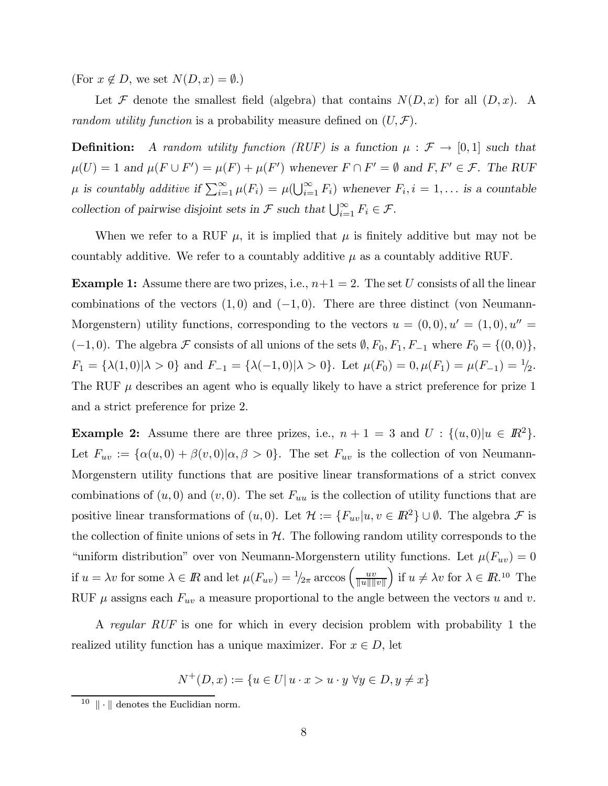(For  $x \notin D$ , we set  $N(D, x) = \emptyset$ .)

Let F denote the smallest field (algebra) that contains  $N(D, x)$  for all  $(D, x)$ . A random utility function is a probability measure defined on  $(U, \mathcal{F})$ .

**Definition:** A random utility function (RUF) is a function  $\mu : \mathcal{F} \to [0,1]$  such that  $\mu(U) = 1$  and  $\mu(F \cup F') = \mu(F) + \mu(F')$  whenever  $F \cap F' = \emptyset$  and  $F, F' \in \mathcal{F}$ . The RUF  $\mu$  is countably additive if  $\sum_{i=1}^{\infty} \mu(F_i) = \mu(\bigcup_{i=1}^{\infty} F_i)$  whenever  $F_i, i = 1, \ldots$  is a countable collection of pairwise disjoint sets in  $\mathcal F$  such that  $\bigcup_{i=1}^{\infty} F_i \in \mathcal F$ .

When we refer to a RUF  $\mu$ , it is implied that  $\mu$  is finitely additive but may not be countably additive. We refer to a countably additive  $\mu$  as a countably additive RUF.

**Example 1:** Assume there are two prizes, i.e.,  $n+1=2$ . The set U consists of all the linear combinations of the vectors  $(1,0)$  and  $(-1,0)$ . There are three distinct (von Neumann-Morgenstern) utility functions, corresponding to the vectors  $u = (0,0), u' = (1,0), u'' =$  $(-1, 0)$ . The algebra F consists of all unions of the sets  $\emptyset, F_0, F_1, F_{-1}$  where  $F_0 = \{(0, 0)\},$  $F_1 = {\lambda(1,0) | \lambda > 0}$  and  $F_{-1} = {\lambda(-1,0) | \lambda > 0}$ . Let  $\mu(F_0) = 0, \mu(F_1) = \mu(F_{-1}) = \frac{1}{2}$ . The RUF  $\mu$  describes an agent who is equally likely to have a strict preference for prize 1 and a strict preference for prize 2.

**Example 2:** Assume there are three prizes, i.e.,  $n + 1 = 3$  and  $U : \{(u, 0)|u \in \mathbb{R}^2\}$ . Let  $F_{uv} := {\alpha(u, 0) + \beta(v, 0)|\alpha, \beta > 0}.$  The set  $F_{uv}$  is the collection of von Neumann-Morgenstern utility functions that are positive linear transformations of a strict convex combinations of  $(u, 0)$  and  $(v, 0)$ . The set  $F_{uu}$  is the collection of utility functions that are positive linear transformations of  $(u, 0)$ . Let  $\mathcal{H} := \{F_{uv}|u, v \in \mathbb{R}^2\} \cup \emptyset$ . The algebra  $\mathcal F$  is the collection of finite unions of sets in  $H$ . The following random utility corresponds to the "uniform distribution" over von Neumann-Morgenstern utility functions. Let  $\mu(F_{uv})=0$ if  $u = \lambda v$  for some  $\lambda \in \mathbb{R}$  and let  $\mu(F_{uv}) = \frac{1}{2\pi} \arccos \left( \frac{uv}{\|u\| \|v\|} \right)$ ) if  $u \neq \lambda v$  for  $\lambda \in I\!\!R$ .<sup>10</sup> The RUF  $\mu$  assigns each  $F_{uv}$  a measure proportional to the angle between the vectors u and v.

A regular RUF is one for which in every decision problem with probability 1 the realized utility function has a unique maximizer. For  $x \in D$ , let

$$
N^+(D, x) := \{ u \in U | u \cdot x > u \cdot y \,\forall y \in D, y \neq x \}
$$

 $10 \parallel \cdot \parallel$  denotes the Euclidian norm.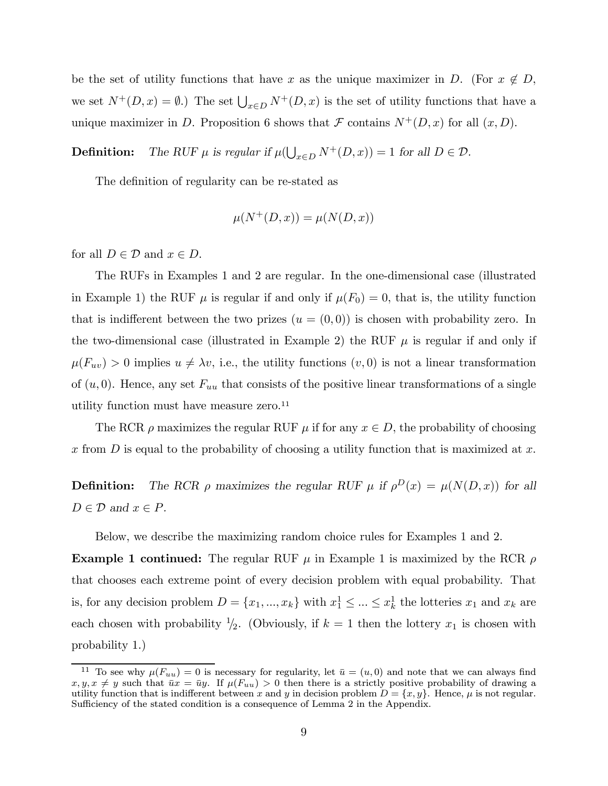be the set of utility functions that have x as the unique maximizer in D. (For  $x \notin D$ , we set  $N^+(D, x) = \emptyset$ .) The set  $\bigcup_{x \in D} N^+(D, x)$  is the set of utility functions that have a unique maximizer in D. Proposition 6 shows that  $\mathcal F$  contains  $N^+(D, x)$  for all  $(x, D)$ .

**Definition:** The RUF  $\mu$  is regular if  $\mu(\bigcup_{x \in D} N^+(D, x)) = 1$  for all  $D \in \mathcal{D}$ .

The definition of regularity can be re-stated as

$$
\mu(N^+(D, x)) = \mu(N(D, x))
$$

for all  $D \in \mathcal{D}$  and  $x \in D$ .

The RUFs in Examples 1 and 2 are regular. In the one-dimensional case (illustrated in Example 1) the RUF  $\mu$  is regular if and only if  $\mu(F_0) = 0$ , that is, the utility function that is indifferent between the two prizes  $(u = (0,0))$  is chosen with probability zero. In the two-dimensional case (illustrated in Example 2) the RUF  $\mu$  is regular if and only if  $\mu(F_{uv}) > 0$  implies  $u \neq \lambda v$ , i.e., the utility functions  $(v, 0)$  is not a linear transformation of  $(u, 0)$ . Hence, any set  $F_{uu}$  that consists of the positive linear transformations of a single utility function must have measure zero.<sup>11</sup>

The RCR  $\rho$  maximizes the regular RUF  $\mu$  if for any  $x \in D$ , the probability of choosing x from D is equal to the probability of choosing a utility function that is maximized at x.

**Definition:** The RCR  $\rho$  maximizes the regular RUF  $\mu$  if  $\rho^{D}(x) = \mu(N(D, x))$  for all  $D \in \mathcal{D}$  and  $x \in P$ .

Below, we describe the maximizing random choice rules for Examples 1 and 2.

**Example 1 continued:** The regular RUF  $\mu$  in Example 1 is maximized by the RCR  $\rho$ that chooses each extreme point of every decision problem with equal probability. That is, for any decision problem  $D = \{x_1, ..., x_k\}$  with  $x_1^1 \leq ... \leq x_k^1$  the lotteries  $x_1$  and  $x_k$  are each chosen with probability  $\frac{1}{2}$ . (Obviously, if  $k = 1$  then the lottery  $x_1$  is chosen with probability 1.)

<sup>&</sup>lt;sup>11</sup> To see why  $\mu(F_{uu}) = 0$  is necessary for regularity, let  $\bar{u} = (u, 0)$  and note that we can always find  $x, y, x \neq y$  such that  $\overline{u}x = \overline{u}y$ . If  $\mu(F_{uu}) > 0$  then there is a strictly positive probability of drawing a utility function that is indifferent between x and y in decision problem  $D = \{x, y\}$ . Hence,  $\mu$  is not regular. Sufficiency of the stated condition is a consequence of Lemma 2 in the Appendix.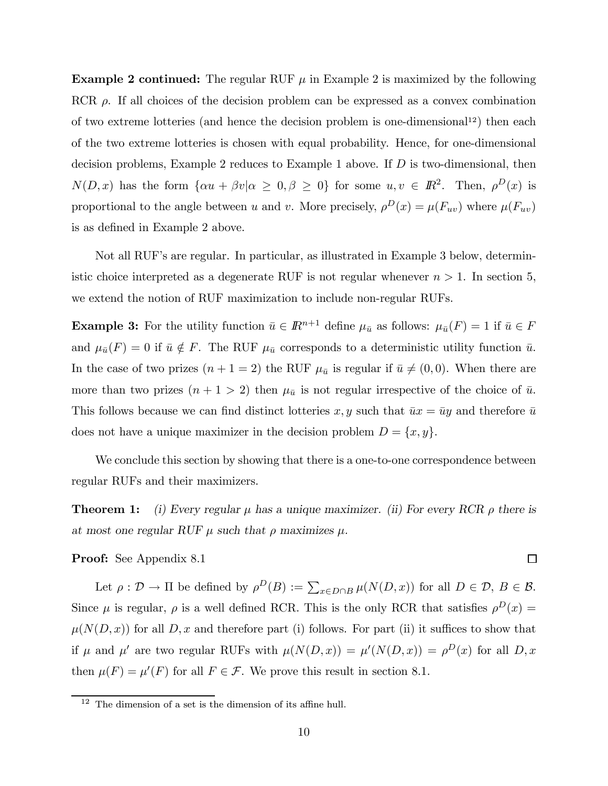**Example 2 continued:** The regular RUF  $\mu$  in Example 2 is maximized by the following RCR  $\rho$ . If all choices of the decision problem can be expressed as a convex combination of two extreme lotteries (and hence the decision problem is one-dimensional<sup>12</sup>) then each of the two extreme lotteries is chosen with equal probability. Hence, for one-dimensional decision problems, Example 2 reduces to Example 1 above. If D is two-dimensional, then  $N(D, x)$  has the form  $\{\alpha u + \beta v | \alpha \geq 0, \beta \geq 0\}$  for some  $u, v \in \mathbb{R}^2$ . Then,  $\rho^D(x)$  is proportional to the angle between u and v. More precisely,  $\rho^{D}(x) = \mu(F_{uv})$  where  $\mu(F_{uv})$ is as defined in Example 2 above.

Not all RUF's are regular. In particular, as illustrated in Example 3 below, deterministic choice interpreted as a degenerate RUF is not regular whenever  $n > 1$ . In section 5, we extend the notion of RUF maximization to include non-regular RUFs.

**Example 3:** For the utility function  $\bar{u} \in \mathbb{R}^{n+1}$  define  $\mu_{\bar{u}}$  as follows:  $\mu_{\bar{u}}(F) = 1$  if  $\bar{u} \in F$ and  $\mu_{\bar{u}}(F) = 0$  if  $\bar{u} \notin F$ . The RUF  $\mu_{\bar{u}}$  corresponds to a deterministic utility function  $\bar{u}$ . In the case of two prizes  $(n + 1 = 2)$  the RUF  $\mu_{\bar{u}}$  is regular if  $\bar{u} \neq (0, 0)$ . When there are more than two prizes  $(n + 1 > 2)$  then  $\mu_{\bar{u}}$  is not regular irrespective of the choice of  $\bar{u}$ . This follows because we can find distinct lotteries x, y such that  $\bar{u}x = \bar{u}y$  and therefore  $\bar{u}$ does not have a unique maximizer in the decision problem  $D = \{x, y\}.$ 

We conclude this section by showing that there is a one-to-one correspondence between regular RUFs and their maximizers.

**Theorem 1:** (i) Every regular  $\mu$  has a unique maximizer. (ii) For every RCR  $\rho$  there is at most one regular RUF  $\mu$  such that  $\rho$  maximizes  $\mu$ .

#### Proof: See Appendix 8.1

Let  $\rho : \mathcal{D} \to \Pi$  be defined by  $\rho^D(B) := \sum_{x \in D \cap B} \mu(N(D, x))$  for all  $D \in \mathcal{D}, B \in \mathcal{B}$ . Since  $\mu$  is regular,  $\rho$  is a well defined RCR. This is the only RCR that satisfies  $\rho^D(x)$  =  $\mu(N(D, x))$  for all D, x and therefore part (i) follows. For part (ii) it suffices to show that if  $\mu$  and  $\mu'$  are two regular RUFs with  $\mu(N(D,x)) = \mu'(N(D,x)) = \rho^{D}(x)$  for all  $D, x$ then  $\mu(F) = \mu'(F)$  for all  $F \in \mathcal{F}$ . We prove this result in section 8.1.

 $\Box$ 

 $12$  The dimension of a set is the dimension of its affine hull.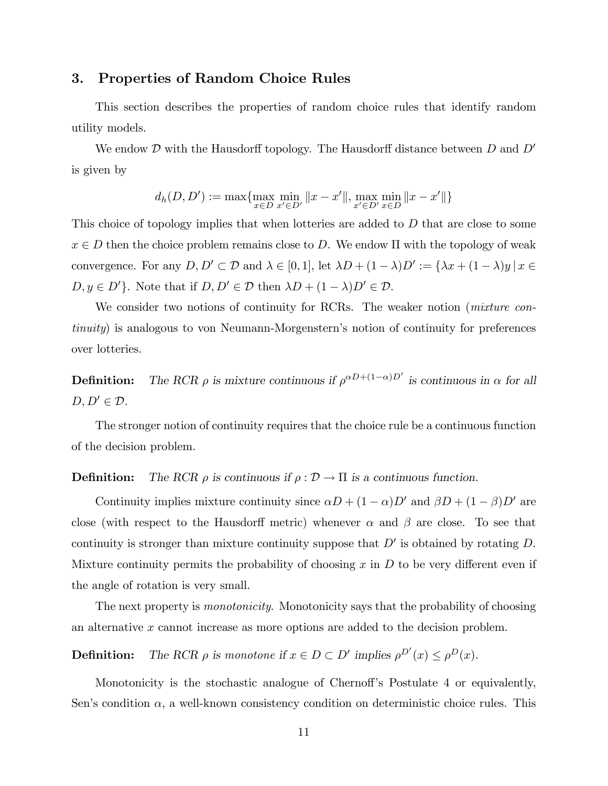# 3. Properties of Random Choice Rules

This section describes the properties of random choice rules that identify random utility models.

We endow  $\mathcal D$  with the Hausdorff topology. The Hausdorff distance between  $D$  and  $D'$ is given by

$$
d_h(D, D') := \max \{ \max_{x \in D} \min_{x' \in D'} ||x - x'||, \max_{x' \in D'} \min_{x \in D} ||x - x'|| \}
$$

This choice of topology implies that when lotteries are added to D that are close to some  $x \in D$  then the choice problem remains close to D. We endow  $\Pi$  with the topology of weak convergence. For any  $D, D' \subset \mathcal{D}$  and  $\lambda \in [0, 1]$ , let  $\lambda D + (1 - \lambda)D' := {\lambda x + (1 - \lambda)y | x \in \mathcal{D}}$  $D, y \in D'$ . Note that if  $D, D' \in \mathcal{D}$  then  $\lambda D + (1 - \lambda)D' \in \mathcal{D}$ .

We consider two notions of continuity for RCRs. The weaker notion (*mixture con*tinuity) is analogous to von Neumann-Morgenstern's notion of continuity for preferences over lotteries.

**Definition:** The RCR  $\rho$  is mixture continuous if  $\rho^{\alpha D+(1-\alpha)D'}$  is continuous in  $\alpha$  for all  $D, D' \in \mathcal{D}$ .

The stronger notion of continuity requires that the choice rule be a continuous function of the decision problem.

#### **Definition:** The RCR  $\rho$  is continuous if  $\rho : \mathcal{D} \to \Pi$  is a continuous function.

Continuity implies mixture continuity since  $\alpha D + (1 - \alpha)D'$  and  $\beta D + (1 - \beta)D'$  are close (with respect to the Hausdorff metric) whenever  $\alpha$  and  $\beta$  are close. To see that continuity is stronger than mixture continuity suppose that  $D'$  is obtained by rotating  $D$ . Mixture continuity permits the probability of choosing  $x$  in  $D$  to be very different even if the angle of rotation is very small.

The next property is *monotonicity*. Monotonicity says that the probability of choosing an alternative x cannot increase as more options are added to the decision problem.

**Definition:** The RCR  $\rho$  is monotone if  $x \in D \subset D'$  implies  $\rho^{D'}(x) \leq \rho^{D}(x)$ .

Monotonicity is the stochastic analogue of Chernoff's Postulate 4 or equivalently, Sen's condition  $\alpha$ , a well-known consistency condition on deterministic choice rules. This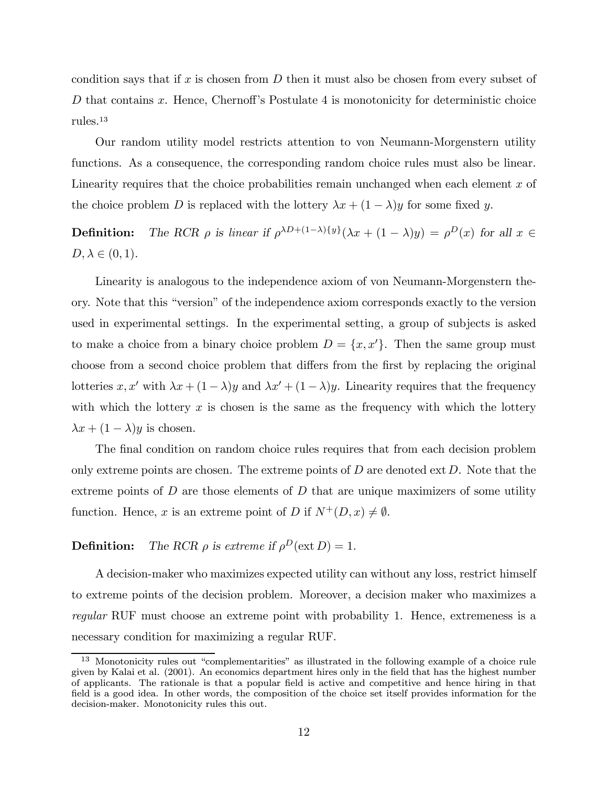condition says that if x is chosen from  $D$  then it must also be chosen from every subset of D that contains x. Hence, Chernoff's Postulate 4 is monotonicity for deterministic choice rules.<sup>13</sup>

Our random utility model restricts attention to von Neumann-Morgenstern utility functions. As a consequence, the corresponding random choice rules must also be linear. Linearity requires that the choice probabilities remain unchanged when each element  $x$  of the choice problem D is replaced with the lottery  $\lambda x + (1 - \lambda)y$  for some fixed y.

**Definition:** The RCR  $\rho$  is linear if  $\rho^{\lambda D+(1-\lambda)\{y\}}(\lambda x + (1-\lambda)y) = \rho^D(x)$  for all  $x \in$  $D, \lambda \in (0,1)$ .

Linearity is analogous to the independence axiom of von Neumann-Morgenstern theory. Note that this "version" of the independence axiom corresponds exactly to the version used in experimental settings. In the experimental setting, a group of subjects is asked to make a choice from a binary choice problem  $D = \{x, x'\}$ . Then the same group must choose from a second choice problem that differs from the first by replacing the original lotteries x, x' with  $\lambda x + (1 - \lambda)y$  and  $\lambda x' + (1 - \lambda)y$ . Linearity requires that the frequency with which the lottery  $x$  is chosen is the same as the frequency with which the lottery  $\lambda x + (1 - \lambda)y$  is chosen.

The final condition on random choice rules requires that from each decision problem only extreme points are chosen. The extreme points of  $D$  are denoted ext  $D$ . Note that the extreme points of  $D$  are those elements of  $D$  that are unique maximizers of some utility function. Hence, x is an extreme point of D if  $N^+(D, x) \neq \emptyset$ .

**Definition:** The RCR  $\rho$  is extreme if  $\rho^D(\text{ext } D)=1$ .

A decision-maker who maximizes expected utility can without any loss, restrict himself to extreme points of the decision problem. Moreover, a decision maker who maximizes a regular RUF must choose an extreme point with probability 1. Hence, extremeness is a necessary condition for maximizing a regular RUF.

<sup>13</sup> Monotonicity rules out "complementarities" as illustrated in the following example of a choice rule given by Kalai et al. (2001). An economics department hires only in the field that has the highest number of applicants. The rationale is that a popular field is active and competitive and hence hiring in that field is a good idea. In other words, the composition of the choice set itself provides information for the decision-maker. Monotonicity rules this out.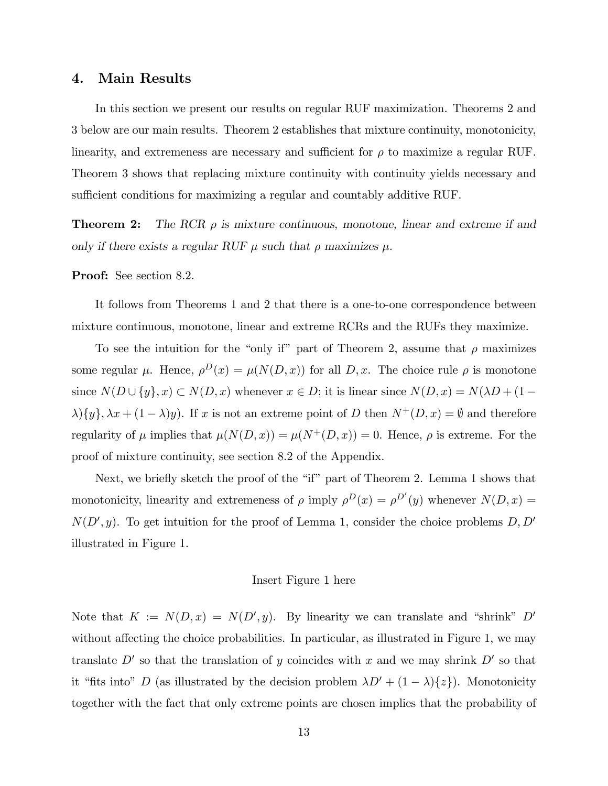### 4. Main Results

In this section we present our results on regular RUF maximization. Theorems 2 and 3 below are our main results. Theorem 2 establishes that mixture continuity, monotonicity, linearity, and extremeness are necessary and sufficient for  $\rho$  to maximize a regular RUF. Theorem 3 shows that replacing mixture continuity with continuity yields necessary and sufficient conditions for maximizing a regular and countably additive RUF.

**Theorem 2:** The RCR  $\rho$  is mixture continuous, monotone, linear and extreme if and only if there exists a regular RUF  $\mu$  such that  $\rho$  maximizes  $\mu$ .

Proof: See section 8.2.

It follows from Theorems 1 and 2 that there is a one-to-one correspondence between mixture continuous, monotone, linear and extreme RCRs and the RUFs they maximize.

To see the intuition for the "only if" part of Theorem 2, assume that  $\rho$  maximizes some regular  $\mu$ . Hence,  $\rho^{D}(x) = \mu(N(D, x))$  for all  $D, x$ . The choice rule  $\rho$  is monotone since  $N(D \cup \{y\}, x) \subset N(D, x)$  whenever  $x \in D$ ; it is linear since  $N(D, x) = N(\lambda D + (1 \lambda$ ){y},  $\lambda x + (1 - \lambda)y$ . If x is not an extreme point of D then  $N^+(D, x) = \emptyset$  and therefore regularity of  $\mu$  implies that  $\mu(N(D, x)) = \mu(N^+(D, x)) = 0$ . Hence,  $\rho$  is extreme. For the proof of mixture continuity, see section 8.2 of the Appendix.

Next, we briefly sketch the proof of the "if" part of Theorem 2. Lemma 1 shows that monotonicity, linearity and extremeness of  $\rho$  imply  $\rho^D(x) = \rho^{D'}(y)$  whenever  $N(D, x) =$  $N(D', y)$ . To get intuition for the proof of Lemma 1, consider the choice problems  $D, D'$ illustrated in Figure 1.

#### Insert Figure 1 here

Note that  $K := N(D, x) = N(D', y)$ . By linearity we can translate and "shrink" D' without affecting the choice probabilities. In particular, as illustrated in Figure 1, we may translate  $D'$  so that the translation of y coincides with x and we may shrink  $D'$  so that it "fits into" D (as illustrated by the decision problem  $\lambda D' + (1 - \lambda)\{z\}$ ). Monotonicity together with the fact that only extreme points are chosen implies that the probability of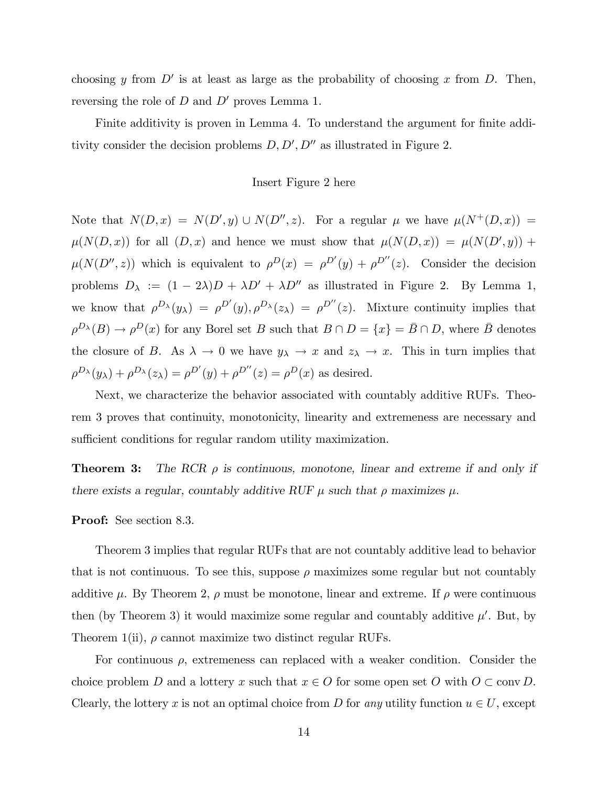choosing y from  $D'$  is at least as large as the probability of choosing x from D. Then, reversing the role of  $D$  and  $D'$  proves Lemma 1.

Finite additivity is proven in Lemma 4. To understand the argument for finite additivity consider the decision problems  $D, D', D''$  as illustrated in Figure 2.

### Insert Figure 2 here

Note that  $N(D, x) = N(D', y) \cup N(D'', z)$ . For a regular  $\mu$  we have  $\mu(N^+(D, x)) =$  $\mu(N(D,x))$  for all  $(D,x)$  and hence we must show that  $\mu(N(D,x)) = \mu(N(D',y)) +$  $\mu(N(D'',z))$  which is equivalent to  $\rho^{D}(x) = \rho^{D'}(y) + \rho^{D''}(z)$ . Consider the decision problems  $D_{\lambda} := (1 - 2\lambda)D + \lambda D' + \lambda D''$  as illustrated in Figure 2. By Lemma 1, we know that  $\rho^{D_{\lambda}}(y_{\lambda}) = \rho^{D'}(y), \rho^{D_{\lambda}}(z_{\lambda}) = \rho^{D''}(z)$ . Mixture continuity implies that  $\rho^{D_{\lambda}}(B) \to \rho^{D}(x)$  for any Borel set B such that  $B \cap D = \{x\} = \overline{B} \cap D$ , where  $\overline{B}$  denotes the closure of B. As  $\lambda \to 0$  we have  $y_{\lambda} \to x$  and  $z_{\lambda} \to x$ . This in turn implies that  $\rho^{D_{\lambda}}(y_{\lambda}) + \rho^{D_{\lambda}}(z_{\lambda}) = \rho^{D'}(y) + \rho^{D''}(z) = \rho^{D}(x)$  as desired.

Next, we characterize the behavior associated with countably additive RUFs. Theorem 3 proves that continuity, monotonicity, linearity and extremeness are necessary and sufficient conditions for regular random utility maximization.

**Theorem 3:** The RCR  $\rho$  is continuous, monotone, linear and extreme if and only if there exists a regular, countably additive RUF  $\mu$  such that  $\rho$  maximizes  $\mu$ .

#### Proof: See section 8.3.

Theorem 3 implies that regular RUFs that are not countably additive lead to behavior that is not continuous. To see this, suppose  $\rho$  maximizes some regular but not countably additive  $\mu$ . By Theorem 2,  $\rho$  must be monotone, linear and extreme. If  $\rho$  were continuous then (by Theorem 3) it would maximize some regular and countably additive  $\mu'$ . But, by Theorem 1(ii),  $\rho$  cannot maximize two distinct regular RUFs.

For continuous  $\rho$ , extremeness can replaced with a weaker condition. Consider the choice problem D and a lottery x such that  $x \in O$  for some open set O with  $O \subset \text{conv } D$ . Clearly, the lottery x is not an optimal choice from D for any utility function  $u \in U$ , except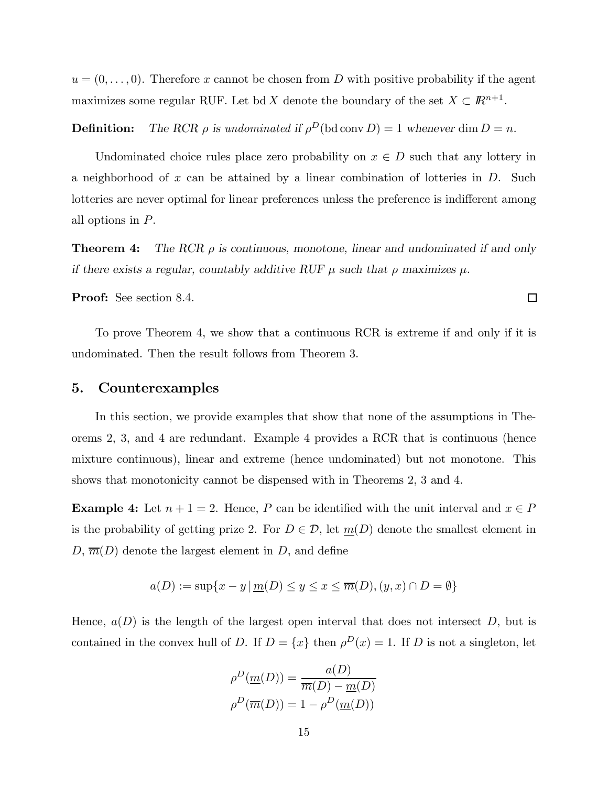$u = (0, \ldots, 0)$ . Therefore x cannot be chosen from D with positive probability if the agent maximizes some regular RUF. Let bd X denote the boundary of the set  $X \subset \mathbb{R}^{n+1}$ .

**Definition:** The RCR  $\rho$  is undominated if  $\rho^D(\text{bd conv } D) = 1$  whenever dim  $D = n$ .

Undominated choice rules place zero probability on  $x \in D$  such that any lottery in a neighborhood of x can be attained by a linear combination of lotteries in  $D$ . Such lotteries are never optimal for linear preferences unless the preference is indifferent among all options in P.

**Theorem 4:** The RCR  $\rho$  is continuous, monotone, linear and undominated if and only if there exists a regular, countably additive RUF  $\mu$  such that  $\rho$  maximizes  $\mu$ .

Proof: See section 8.4.

To prove Theorem 4, we show that a continuous RCR is extreme if and only if it is undominated. Then the result follows from Theorem 3.

### 5. Counterexamples

In this section, we provide examples that show that none of the assumptions in Theorems 2, 3, and 4 are redundant. Example 4 provides a RCR that is continuous (hence mixture continuous), linear and extreme (hence undominated) but not monotone. This shows that monotonicity cannot be dispensed with in Theorems 2, 3 and 4.

Example 4: Let  $n + 1 = 2$ . Hence, P can be identified with the unit interval and  $x \in P$ is the probability of getting prize 2. For  $D \in \mathcal{D}$ , let  $\underline{m}(D)$  denote the smallest element in  $D, \overline{m}(D)$  denote the largest element in D, and define

$$
a(D) := \sup\{x - y \mid \underline{m}(D) \le y \le x \le \overline{m}(D), (y, x) \cap D = \emptyset\}
$$

Hence,  $a(D)$  is the length of the largest open interval that does not intersect D, but is contained in the convex hull of D. If  $D = \{x\}$  then  $\rho^{D}(x) = 1$ . If D is not a singleton, let

$$
\rho^{D}(\underline{m}(D)) = \frac{a(D)}{\overline{m}(D) - \underline{m}(D)}
$$

$$
\rho^{D}(\overline{m}(D)) = 1 - \rho^{D}(\underline{m}(D))
$$

 $\Box$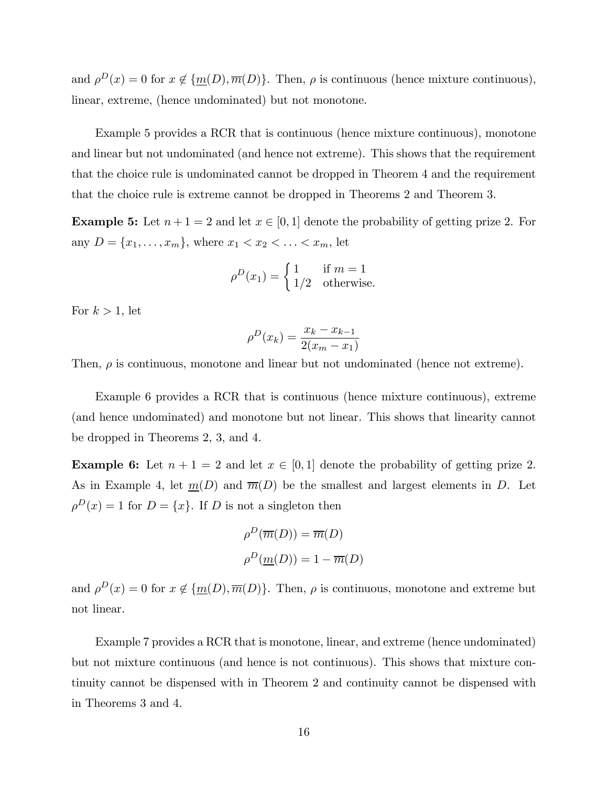and  $\rho^{D}(x) = 0$  for  $x \notin {\underline{m}(D), \overline{m}(D)}$ . Then,  $\rho$  is continuous (hence mixture continuous), linear, extreme, (hence undominated) but not monotone.

Example 5 provides a RCR that is continuous (hence mixture continuous), monotone and linear but not undominated (and hence not extreme). This shows that the requirement that the choice rule is undominated cannot be dropped in Theorem 4 and the requirement that the choice rule is extreme cannot be dropped in Theorems 2 and Theorem 3.

**Example 5:** Let  $n + 1 = 2$  and let  $x \in [0, 1]$  denote the probability of getting prize 2. For any  $D = \{x_1, \ldots, x_m\}$ , where  $x_1 < x_2 < \ldots < x_m$ , let

$$
\rho^{D}(x_1) = \begin{cases} 1 & \text{if } m = 1 \\ 1/2 & \text{otherwise.} \end{cases}
$$

For  $k > 1$ , let

$$
\rho^{D}(x_k) = \frac{x_k - x_{k-1}}{2(x_m - x_1)}
$$

Then,  $\rho$  is continuous, monotone and linear but not undominated (hence not extreme).

Example 6 provides a RCR that is continuous (hence mixture continuous), extreme (and hence undominated) and monotone but not linear. This shows that linearity cannot be dropped in Theorems 2, 3, and 4.

**Example 6:** Let  $n + 1 = 2$  and let  $x \in [0, 1]$  denote the probability of getting prize 2. As in Example 4, let  $m(D)$  and  $\overline{m}(D)$  be the smallest and largest elements in D. Let  $\rho^{D}(x) = 1$  for  $D = \{x\}$ . If D is not a singleton then

$$
\rho^D(\overline{m}(D)) = \overline{m}(D)
$$

$$
\rho^D(\underline{m}(D)) = 1 - \overline{m}(D)
$$

and  $\rho^{D}(x) = 0$  for  $x \notin {\underline{m}(D), \overline{m}(D)}$ . Then,  $\rho$  is continuous, monotone and extreme but not linear.

Example 7 provides a RCR that is monotone, linear, and extreme (hence undominated) but not mixture continuous (and hence is not continuous). This shows that mixture continuity cannot be dispensed with in Theorem 2 and continuity cannot be dispensed with in Theorems 3 and 4.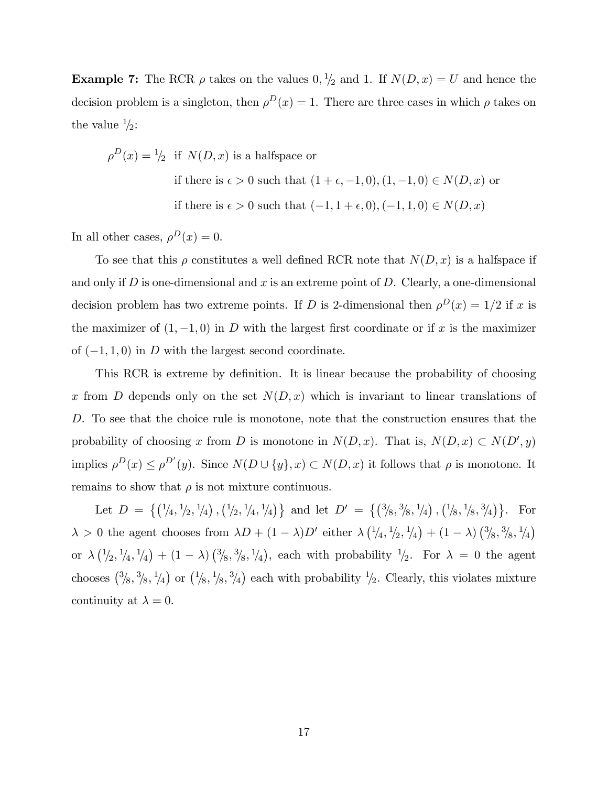**Example 7:** The RCR  $\rho$  takes on the values  $0, \frac{1}{2}$  and 1. If  $N(D, x) = U$  and hence the decision problem is a singleton, then  $\rho^{D}(x) = 1$ . There are three cases in which  $\rho$  takes on the value  $\frac{1}{2}$ :

$$
\rho^D(x) = \frac{1}{2}
$$
 if  $N(D, x)$  is a halfspace or  
\nif there is  $\epsilon > 0$  such that  $(1 + \epsilon, -1, 0), (1, -1, 0) \in N(D, x)$  or  
\nif there is  $\epsilon > 0$  such that  $(-1, 1 + \epsilon, 0), (-1, 1, 0) \in N(D, x)$ 

In all other cases,  $\rho^{D}(x) = 0$ .

To see that this  $\rho$  constitutes a well defined RCR note that  $N(D, x)$  is a halfspace if and only if  $D$  is one-dimensional and  $x$  is an extreme point of  $D$ . Clearly, a one-dimensional decision problem has two extreme points. If D is 2-dimensional then  $\rho^{D}(x)=1/2$  if x is the maximizer of  $(1, -1, 0)$  in D with the largest first coordinate or if x is the maximizer of  $(-1, 1, 0)$  in D with the largest second coordinate.

This RCR is extreme by definition. It is linear because the probability of choosing x from D depends only on the set  $N(D, x)$  which is invariant to linear translations of D. To see that the choice rule is monotone, note that the construction ensures that the probability of choosing x from D is monotone in  $N(D, x)$ . That is,  $N(D, x) \subset N(D', y)$ implies  $\rho^{D}(x) \leq \rho^{D'}(y)$ . Since  $N(D \cup \{y\}, x) \subset N(D, x)$  it follows that  $\rho$  is monotone. It remains to show that  $\rho$  is not mixture continuous.

Let  $D = \{(\frac{1}{4}, \frac{1}{2}, \frac{1}{4}), (\frac{1}{2}, \frac{1}{4}, \frac{1}{4})\}$  and let  $D' = \{(\frac{3}{8}, \frac{3}{8}, \frac{1}{4}), (\frac{1}{8}, \frac{1}{8}, \frac{3}{4})\}$ . For  $\lambda > 0$  the agent chooses from  $\lambda D + (1 - \lambda)D'$  either  $\lambda (\frac{1}{4}, \frac{1}{2}, \frac{1}{4}) + (1 - \lambda) (\frac{3}{8}, \frac{3}{8}, \frac{1}{4})$ or  $\lambda(\frac{1}{2}, \frac{1}{4}, \frac{1}{4}) + (1 - \lambda)(\frac{3}{8}, \frac{3}{8}, \frac{1}{4})$ , each with probability  $\frac{1}{2}$ . For  $\lambda = 0$  the agent chooses  $\left(\frac{3}{8}, \frac{3}{8}, \frac{1}{4}\right)$  or  $\left(\frac{1}{8}, \frac{1}{8}, \frac{3}{4}\right)$  each with probability  $\frac{1}{2}$ . Clearly, this violates mixture continuity at  $\lambda = 0$ .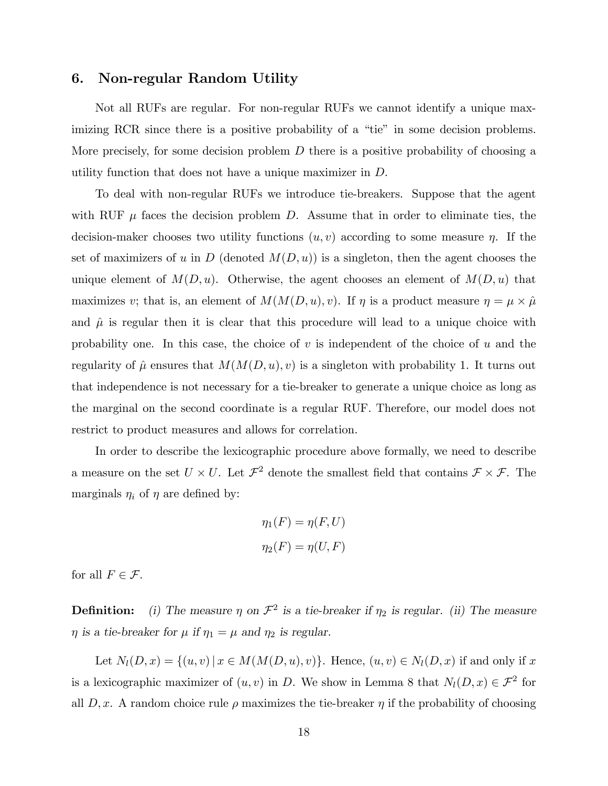# 6. Non-regular Random Utility

Not all RUFs are regular. For non-regular RUFs we cannot identify a unique maximizing RCR since there is a positive probability of a "tie" in some decision problems. More precisely, for some decision problem  $D$  there is a positive probability of choosing a utility function that does not have a unique maximizer in D.

To deal with non-regular RUFs we introduce tie-breakers. Suppose that the agent with RUF  $\mu$  faces the decision problem D. Assume that in order to eliminate ties, the decision-maker chooses two utility functions  $(u, v)$  according to some measure  $\eta$ . If the set of maximizers of u in D (denoted  $M(D, u)$ ) is a singleton, then the agent chooses the unique element of  $M(D, u)$ . Otherwise, the agent chooses an element of  $M(D, u)$  that maximizes v; that is, an element of  $M(M(D, u), v)$ . If  $\eta$  is a product measure  $\eta = \mu \times \hat{\mu}$ and  $\hat{\mu}$  is regular then it is clear that this procedure will lead to a unique choice with probability one. In this case, the choice of  $v$  is independent of the choice of  $u$  and the regularity of  $\hat{\mu}$  ensures that  $M(M(D, u), v)$  is a singleton with probability 1. It turns out that independence is not necessary for a tie-breaker to generate a unique choice as long as the marginal on the second coordinate is a regular RUF. Therefore, our model does not restrict to product measures and allows for correlation.

In order to describe the lexicographic procedure above formally, we need to describe a measure on the set  $U \times U$ . Let  $\mathcal{F}^2$  denote the smallest field that contains  $\mathcal{F} \times \mathcal{F}$ . The marginals  $\eta_i$  of  $\eta$  are defined by:

$$
\eta_1(F) = \eta(F, U)
$$

$$
\eta_2(F) = \eta(U, F)
$$

for all  $F \in \mathcal{F}$ .

**Definition:** (i) The measure  $\eta$  on  $\mathcal{F}^2$  is a tie-breaker if  $\eta_2$  is regular. (ii) The measure  $\eta$  is a tie-breaker for  $\mu$  if  $\eta_1 = \mu$  and  $\eta_2$  is regular.

Let  $N_l(D, x) = \{(u, v) | x \in M(M(D, u), v)\}$ . Hence,  $(u, v) \in N_l(D, x)$  if and only if x is a lexicographic maximizer of  $(u, v)$  in D. We show in Lemma 8 that  $N_l(D, x) \in \mathcal{F}^2$  for all  $D, x$ . A random choice rule  $\rho$  maximizes the tie-breaker  $\eta$  if the probability of choosing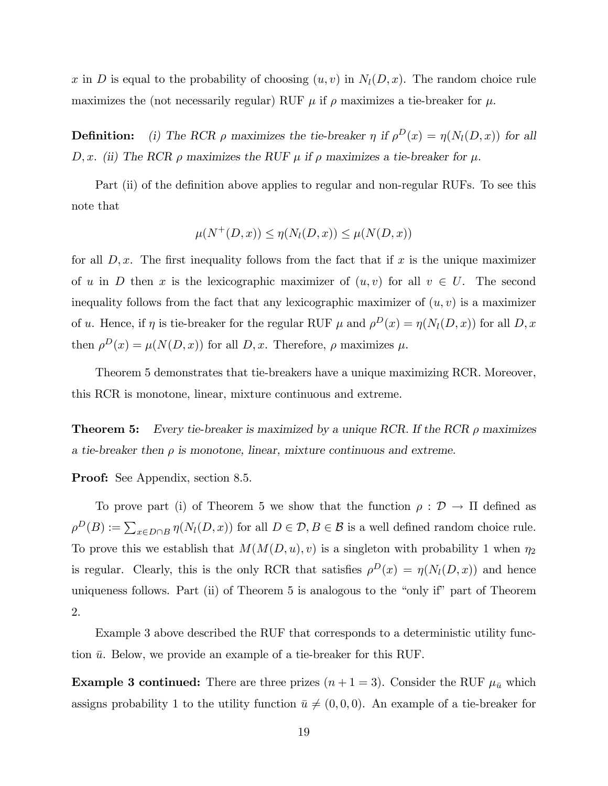x in D is equal to the probability of choosing  $(u, v)$  in  $N_l(D, x)$ . The random choice rule maximizes the (not necessarily regular) RUF  $\mu$  if  $\rho$  maximizes a tie-breaker for  $\mu$ .

**Definition:** (i) The RCR  $\rho$  maximizes the tie-breaker  $\eta$  if  $\rho^{D}(x) = \eta(N_l(D, x))$  for all D, x. (ii) The RCR  $\rho$  maximizes the RUF  $\mu$  if  $\rho$  maximizes a tie-breaker for  $\mu$ .

Part (ii) of the definition above applies to regular and non-regular RUFs. To see this note that

$$
\mu(N^+(D,x)) \le \eta(N_l(D,x)) \le \mu(N(D,x))
$$

for all  $D, x$ . The first inequality follows from the fact that if x is the unique maximizer of u in D then x is the lexicographic maximizer of  $(u, v)$  for all  $v \in U$ . The second inequality follows from the fact that any lexicographic maximizer of  $(u, v)$  is a maximizer of u. Hence, if  $\eta$  is tie-breaker for the regular RUF  $\mu$  and  $\rho^{D}(x) = \eta(N_l(D, x))$  for all  $D, x$ then  $\rho^{D}(x) = \mu(N(D, x))$  for all D, x. Therefore,  $\rho$  maximizes  $\mu$ .

Theorem 5 demonstrates that tie-breakers have a unique maximizing RCR. Moreover, this RCR is monotone, linear, mixture continuous and extreme.

**Theorem 5:** Every tie-breaker is maximized by a unique RCR. If the RCR  $\rho$  maximizes a tie-breaker then  $\rho$  is monotone, linear, mixture continuous and extreme.

Proof: See Appendix, section 8.5.

To prove part (i) of Theorem 5 we show that the function  $\rho : \mathcal{D} \to \Pi$  defined as  $\rho^D(B) := \sum_{x \in D \cap B} \eta(N_l(D, x))$  for all  $D \in \mathcal{D}, B \in \mathcal{B}$  is a well defined random choice rule. To prove this we establish that  $M(M(D, u), v)$  is a singleton with probability 1 when  $\eta_2$ is regular. Clearly, this is the only RCR that satisfies  $\rho^{D}(x) = \eta(N_l(D, x))$  and hence uniqueness follows. Part (ii) of Theorem 5 is analogous to the "only if" part of Theorem 2.

Example 3 above described the RUF that corresponds to a deterministic utility function  $\bar{u}$ . Below, we provide an example of a tie-breaker for this RUF.

**Example 3 continued:** There are three prizes  $(n+1=3)$ . Consider the RUF  $\mu_{\bar{u}}$  which assigns probability 1 to the utility function  $\bar{u} \neq (0, 0, 0)$ . An example of a tie-breaker for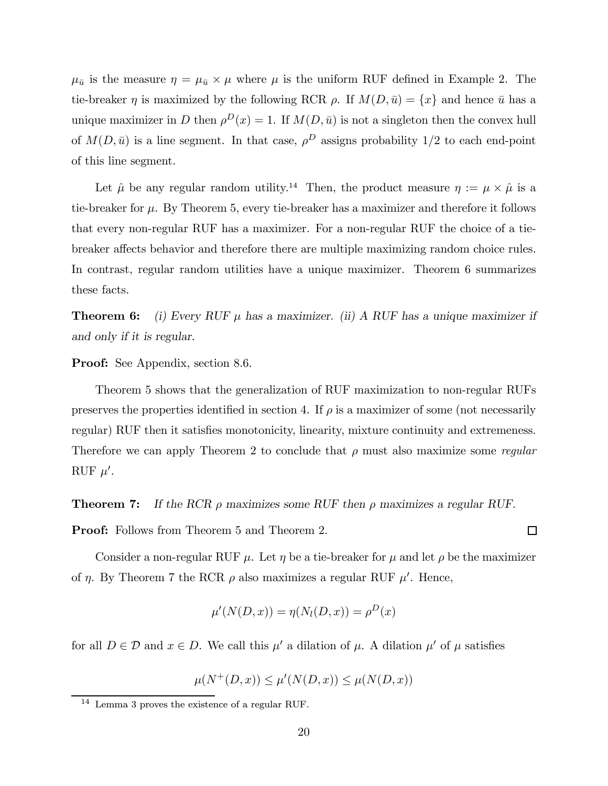$\mu_{\bar{u}}$  is the measure  $\eta = \mu_{\bar{u}} \times \mu$  where  $\mu$  is the uniform RUF defined in Example 2. The tie-breaker  $\eta$  is maximized by the following RCR  $\rho$ . If  $M(D, \bar{u}) = \{x\}$  and hence  $\bar{u}$  has a unique maximizer in D then  $\rho^{D}(x) = 1$ . If  $M(D, \bar{u})$  is not a singleton then the convex hull of  $M(D, \bar{u})$  is a line segment. In that case,  $\rho^D$  assigns probability 1/2 to each end-point of this line segment.

Let  $\hat{\mu}$  be any regular random utility.<sup>14</sup> Then, the product measure  $\eta := \mu \times \hat{\mu}$  is a tie-breaker for  $\mu$ . By Theorem 5, every tie-breaker has a maximizer and therefore it follows that every non-regular RUF has a maximizer. For a non-regular RUF the choice of a tiebreaker affects behavior and therefore there are multiple maximizing random choice rules. In contrast, regular random utilities have a unique maximizer. Theorem 6 summarizes these facts.

**Theorem 6:** (i) Every RUF  $\mu$  has a maximizer. (ii) A RUF has a unique maximizer if and only if it is regular.

Proof: See Appendix, section 8.6.

Theorem 5 shows that the generalization of RUF maximization to non-regular RUFs preserves the properties identified in section 4. If  $\rho$  is a maximizer of some (not necessarily regular) RUF then it satisfies monotonicity, linearity, mixture continuity and extremeness. Therefore we can apply Theorem 2 to conclude that  $\rho$  must also maximize some *regular* RUF  $\mu'$ .

**Theorem 7:** If the RCR  $\rho$  maximizes some RUF then  $\rho$  maximizes a regular RUF.

Proof: Follows from Theorem 5 and Theorem 2.

Consider a non-regular RUF  $\mu$ . Let  $\eta$  be a tie-breaker for  $\mu$  and let  $\rho$  be the maximizer of  $\eta$ . By Theorem 7 the RCR  $\rho$  also maximizes a regular RUF  $\mu'$ . Hence,

$$
\mu'(N(D,x)) = \eta(N_l(D,x)) = \rho^D(x)
$$

for all  $D \in \mathcal{D}$  and  $x \in D$ . We call this  $\mu'$  a dilation of  $\mu$ . A dilation  $\mu'$  of  $\mu$  satisfies

$$
\mu(N^+(D, x)) \le \mu'(N(D, x)) \le \mu(N(D, x))
$$

 $\Box$ 

<sup>14</sup> Lemma 3 proves the existence of a regular RUF.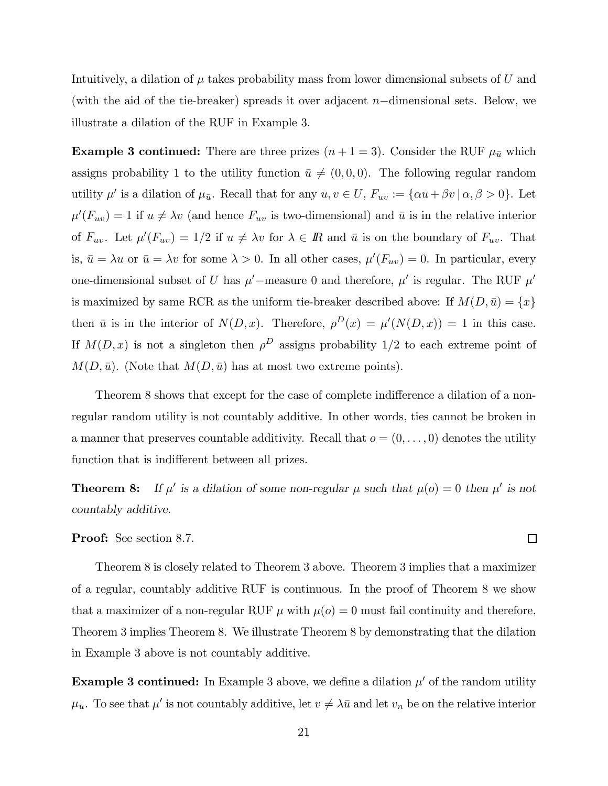Intuitively, a dilation of  $\mu$  takes probability mass from lower dimensional subsets of U and (with the aid of the tie-breaker) spreads it over adjacent  $n-\text{dimensional sets}$ . Below, we illustrate a dilation of the RUF in Example 3.

**Example 3 continued:** There are three prizes  $(n + 1 = 3)$ . Consider the RUF  $\mu_{\bar{u}}$  which assigns probability 1 to the utility function  $\bar{u} \neq (0, 0, 0)$ . The following regular random utility  $\mu'$  is a dilation of  $\mu_{\bar{u}}$ . Recall that for any  $u, v \in U$ ,  $F_{uv} := {\alpha u + \beta v \mid \alpha, \beta > 0}$ . Let  $\mu'(F_{uv}) = 1$  if  $u \neq \lambda v$  (and hence  $F_{uv}$  is two-dimensional) and  $\bar{u}$  is in the relative interior of  $F_{uv}$ . Let  $\mu'(F_{uv})=1/2$  if  $u \neq \lambda v$  for  $\lambda \in \mathbb{R}$  and  $\bar{u}$  is on the boundary of  $F_{uv}$ . That is,  $\bar{u} = \lambda u$  or  $\bar{u} = \lambda v$  for some  $\lambda > 0$ . In all other cases,  $\mu'(F_{uv}) = 0$ . In particular, every one-dimensional subset of U has  $\mu'$ -measure 0 and therefore,  $\mu'$  is regular. The RUF  $\mu'$ is maximized by same RCR as the uniform tie-breaker described above: If  $M(D, \bar{u}) = \{x\}$ then  $\bar{u}$  is in the interior of  $N(D, x)$ . Therefore,  $\rho^{D}(x) = \mu'(N(D, x)) = 1$  in this case. If  $M(D, x)$  is not a singleton then  $\rho^D$  assigns probability 1/2 to each extreme point of  $M(D, \bar{u})$ . (Note that  $M(D, \bar{u})$  has at most two extreme points).

Theorem 8 shows that except for the case of complete indifference a dilation of a nonregular random utility is not countably additive. In other words, ties cannot be broken in a manner that preserves countable additivity. Recall that  $o = (0, \ldots, 0)$  denotes the utility function that is indifferent between all prizes.

**Theorem 8:** If  $\mu'$  is a dilation of some non-regular  $\mu$  such that  $\mu(o) = 0$  then  $\mu'$  is not countably additive.

Proof: See section 8.7.

Theorem 8 is closely related to Theorem 3 above. Theorem 3 implies that a maximizer of a regular, countably additive RUF is continuous. In the proof of Theorem 8 we show that a maximizer of a non-regular RUF  $\mu$  with  $\mu(o) = 0$  must fail continuity and therefore, Theorem 3 implies Theorem 8. We illustrate Theorem 8 by demonstrating that the dilation in Example 3 above is not countably additive.

**Example 3 continued:** In Example 3 above, we define a dilation  $\mu'$  of the random utility  $\mu_{\bar{u}}$ . To see that  $\mu'$  is not countably additive, let  $v \neq \lambda \bar{u}$  and let  $v_n$  be on the relative interior

 $\Box$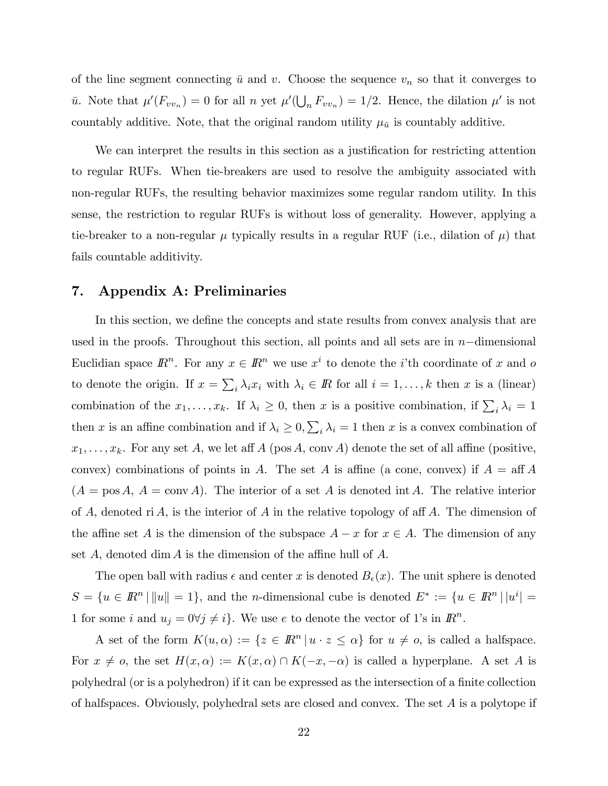of the line segment connecting  $\bar{u}$  and v. Choose the sequence  $v_n$  so that it converges to  $\bar{u}$ . Note that  $\mu'(F_{vv_n}) = 0$  for all n yet  $\mu'(\bigcup_n F_{vv_n}) = 1/2$ . Hence, the dilation  $\mu'$  is not countably additive. Note, that the original random utility  $\mu_{\bar{u}}$  is countably additive.

We can interpret the results in this section as a justification for restricting attention to regular RUFs. When tie-breakers are used to resolve the ambiguity associated with non-regular RUFs, the resulting behavior maximizes some regular random utility. In this sense, the restriction to regular RUFs is without loss of generality. However, applying a tie-breaker to a non-regular  $\mu$  typically results in a regular RUF (i.e., dilation of  $\mu$ ) that fails countable additivity.

# 7. Appendix A: Preliminaries

In this section, we define the concepts and state results from convex analysis that are used in the proofs. Throughout this section, all points and all sets are in n−dimensional Euclidian space  $\mathbb{R}^n$ . For any  $x \in \mathbb{R}^n$  we use  $x^i$  to denote the *i*'th coordinate of x and o to denote the origin. If  $x = \sum_i \lambda_i x_i$  with  $\lambda_i \in \mathbb{R}$  for all  $i = 1, ..., k$  then x is a (linear) combination of the  $x_1, \ldots, x_k$ . If  $\lambda_i \geq 0$ , then x is a positive combination, if  $\sum_i \lambda_i = 1$ then x is an affine combination and if  $\lambda_i \geq 0$ ,  $\sum_i \lambda_i = 1$  then x is a convex combination of  $x_1,\ldots,x_k$ . For any set A, we let aff A (pos A, conv A) denote the set of all affine (positive, convex) combinations of points in A. The set A is affine (a cone, convex) if  $A = \text{aff } A$  $(A = pos A, A = conv A)$ . The interior of a set A is denoted int A. The relative interior of A, denoted ri A, is the interior of A in the relative topology of aff A. The dimension of the affine set A is the dimension of the subspace  $A - x$  for  $x \in A$ . The dimension of any set  $A$ , denoted dim  $A$  is the dimension of the affine hull of  $A$ .

The open ball with radius  $\epsilon$  and center x is denoted  $B_{\epsilon}(x)$ . The unit sphere is denoted  $S = \{u \in \mathbb{R}^n \mid ||u|| = 1\}$ , and the *n*-dimensional cube is denoted  $E^* := \{u \in \mathbb{R}^n \mid ||u^i|| = 1\}$ 1 for some i and  $u_j = 0 \forall j \neq i$ . We use e to denote the vector of 1's in  $\mathbb{R}^n$ .

A set of the form  $K(u, \alpha) := \{z \in \mathbb{R}^n \mid u \cdot z \leq \alpha\}$  for  $u \neq o$ , is called a halfspace. For  $x \neq o$ , the set  $H(x, \alpha) := K(x, \alpha) \cap K(-x, -\alpha)$  is called a hyperplane. A set A is polyhedral (or is a polyhedron) if it can be expressed as the intersection of a finite collection of halfspaces. Obviously, polyhedral sets are closed and convex. The set A is a polytope if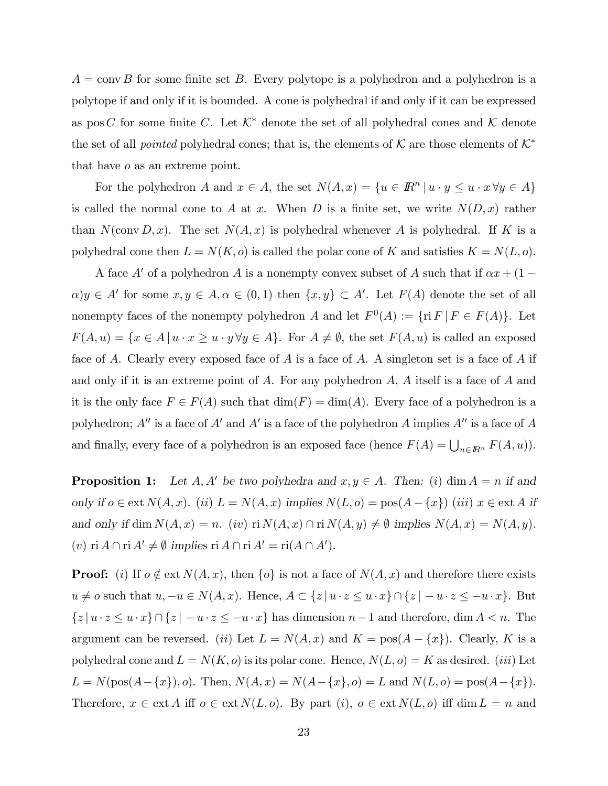$A = \text{conv } B$  for some finite set B. Every polytope is a polyhedron and a polyhedron is a polytope if and only if it is bounded. A cone is polyhedral if and only if it can be expressed as pos C for some finite C. Let  $K^*$  denote the set of all polyhedral cones and K denote the set of all *pointed* polyhedral cones; that is, the elements of K are those elements of  $\mathcal{K}^*$ that have o as an extreme point.

For the polyhedron A and  $x \in A$ , the set  $N(A, x) = \{u \in \mathbb{R}^n \mid u \cdot y \leq u \cdot x \forall y \in A\}$ is called the normal cone to A at x. When D is a finite set, we write  $N(D, x)$  rather than  $N(\text{conv }D, x)$ . The set  $N(A, x)$  is polyhedral whenever A is polyhedral. If K is a polyhedral cone then  $L = N(K, o)$  is called the polar cone of K and satisfies  $K = N(L, o)$ .

A face A' of a polyhedron A is a nonempty convex subset of A such that if  $\alpha x + (1 \alpha$ )y  $\in A'$  for some  $x, y \in A, \alpha \in (0,1)$  then  $\{x, y\} \subset A'$ . Let  $F(A)$  denote the set of all nonempty faces of the nonempty polyhedron A and let  $F^0(A) := \{ \text{ri } F \mid F \in F(A) \}.$  Let  $F(A, u) = \{x \in A \mid u \cdot x \geq u \cdot y \forall y \in A\}.$  For  $A \neq \emptyset$ , the set  $F(A, u)$  is called an exposed face of A. Clearly every exposed face of A is a face of A. A singleton set is a face of A if and only if it is an extreme point of  $A$ . For any polyhedron  $A$ ,  $A$  itself is a face of  $A$  and it is the only face  $F \in F(A)$  such that  $\dim(F) = \dim(A)$ . Every face of a polyhedron is a polyhedron;  $A''$  is a face of  $A'$  and  $A'$  is a face of the polyhedron A implies  $A''$  is a face of A and finally, every face of a polyhedron is an exposed face (hence  $F(A) = \bigcup_{u \in \mathbb{R}^n} F(A, u)$ ).

**Proposition 1:** Let  $A, A'$  be two polyhedra and  $x, y \in A$ . Then: (i) dim  $A = n$  if and only if  $o \in$  ext  $N(A, x)$ . (ii)  $L = N(A, x)$  implies  $N(L, o) =$  pos( $A − \{x\}$ ) (iii)  $x ∈$  ext A if and only if dim  $N(A, x) = n$ . (iv) ri  $N(A, x) \cap \text{ri } N(A, y) \neq \emptyset$  implies  $N(A, x) = N(A, y)$ . (v) ri  $A \cap \text{ri } A' \neq \emptyset$  implies ri  $A \cap \text{ri } A' = \text{ri}(A \cap A')$ .

**Proof:** (i) If  $o \notin \text{ext } N(A, x)$ , then  $\{o\}$  is not a face of  $N(A, x)$  and therefore there exists  $u \neq o$  such that  $u, -u \in N(A, x)$ . Hence,  $A \subset \{z | u \cdot z \leq u \cdot x\} \cap \{z | -u \cdot z \leq -u \cdot x\}$ . But  $\{z \mid u \cdot z \leq u \cdot x\} \cap \{z \mid -u \cdot z \leq -u \cdot x\}$  has dimension  $n-1$  and therefore, dim  $A < n$ . The argument can be reversed. (ii) Let  $L = N(A, x)$  and  $K = pos(A - \{x\})$ . Clearly, K is a polyhedral cone and  $L = N(K, o)$  is its polar cone. Hence,  $N(L, o) = K$  as desired. *(iii)* Let  $L = N(\text{pos}(A - \{x\}), o)$ . Then,  $N(A, x) = N(A - \{x\}, o) = L$  and  $N(L, o) = \text{pos}(A - \{x\})$ . Therefore,  $x \in \text{ext } A$  iff  $o \in \text{ext } N(L, o)$ . By part  $(i)$ ,  $o \in \text{ext } N(L, o)$  iff  $\dim L = n$  and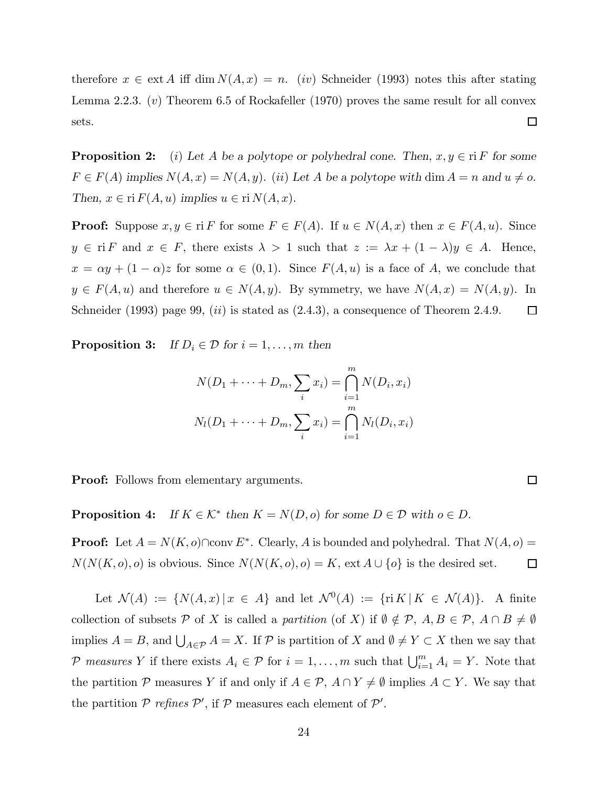therefore  $x \in \text{ext } A$  iff dim  $N(A, x) = n$ . (iv) Schneider (1993) notes this after stating Lemma 2.2.3.  $(v)$  Theorem 6.5 of Rockafeller (1970) proves the same result for all convex sets.  $\Box$ 

**Proposition 2:** (i) Let A be a polytope or polyhedral cone. Then,  $x, y \in \text{ri } F$  for some  $F \in F(A)$  implies  $N(A, x) = N(A, y)$ . (ii) Let A be a polytope with dim  $A = n$  and  $u \neq o$ . Then,  $x \in \text{ri } F(A, u)$  implies  $u \in \text{ri } N(A, x)$ .

**Proof:** Suppose  $x, y \in \text{ri } F$  for some  $F \in F(A)$ . If  $u \in N(A, x)$  then  $x \in F(A, u)$ . Since  $y \in \text{ri } F$  and  $x \in F$ , there exists  $\lambda > 1$  such that  $z := \lambda x + (1 - \lambda)y \in A$ . Hence,  $x = \alpha y + (1 - \alpha)z$  for some  $\alpha \in (0, 1)$ . Since  $F(A, u)$  is a face of A, we conclude that  $y \in F(A, u)$  and therefore  $u \in N(A, y)$ . By symmetry, we have  $N(A, x) = N(A, y)$ . In Schneider (1993) page 99,  $(ii)$  is stated as  $(2.4.3)$ , a consequence of Theorem 2.4.9.  $\Box$ 

**Proposition 3:** If  $D_i \in \mathcal{D}$  for  $i = 1, \ldots, m$  then

$$
N(D_1 + \dots + D_m, \sum_i x_i) = \bigcap_{i=1}^m N(D_i, x_i)
$$
  

$$
N_l(D_1 + \dots + D_m, \sum_i x_i) = \bigcap_{i=1}^m N_l(D_i, x_i)
$$

 $\Box$ 

Proof: Follows from elementary arguments.

**Proposition 4:** If  $K \in \mathcal{K}^*$  then  $K = N(D, o)$  for some  $D \in \mathcal{D}$  with  $o \in D$ .

**Proof:** Let  $A = N(K, o) \cap \text{conv } E^*$ . Clearly, A is bounded and polyhedral. That  $N(A, o)$  =  $N(N(K, o), o)$  is obvious. Since  $N(N(K, o), o) = K$ , ext  $A \cup \{o\}$  is the desired set.  $\Box$ 

Let  $\mathcal{N}(A) := \{ N(A,x) | x \in A \}$  and let  $\mathcal{N}^0(A) := \{ \text{ri } K | K \in \mathcal{N}(A) \}.$  A finite collection of subsets P of X is called a partition (of X) if  $\emptyset \notin \mathcal{P}, A, B \in \mathcal{P}, A \cap B \neq \emptyset$ implies  $A = B$ , and  $\bigcup_{A \in \mathcal{P}} A = X$ . If  $\mathcal{P}$  is partition of X and  $\emptyset \neq Y \subset X$  then we say that P measures Y if there exists  $A_i \in \mathcal{P}$  for  $i = 1, ..., m$  such that  $\bigcup_{i=1}^{m} A_i = Y$ . Note that the partition P measures Y if and only if  $A \in \mathcal{P}$ ,  $A \cap Y \neq \emptyset$  implies  $A \subset Y$ . We say that the partition  $P$  refines  $P'$ , if  $P$  measures each element of  $P'$ .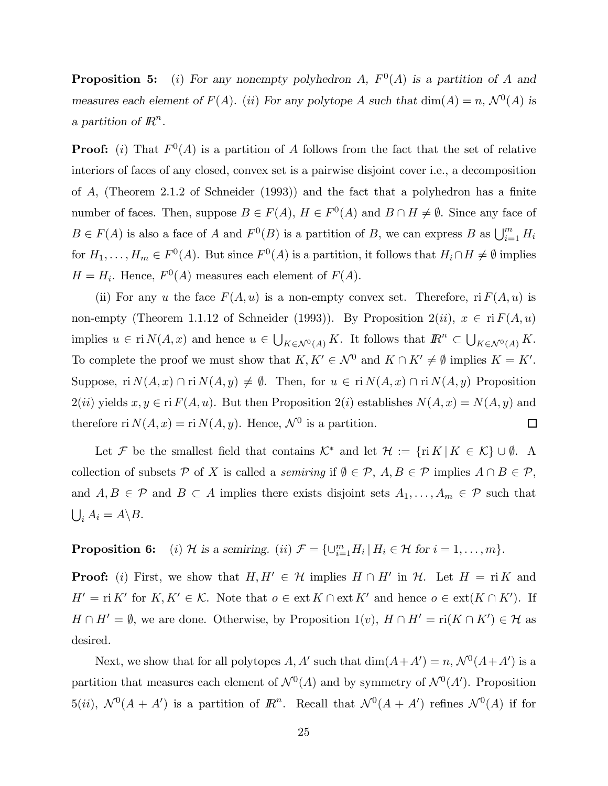**Proposition 5:** (i) For any nonempty polyhedron A,  $F^{0}(A)$  is a partition of A and measures each element of  $F(A)$ . (ii) For any polytope A such that  $dim(A) = n$ ,  $\mathcal{N}^0(A)$  is a partition of  $\mathbb{R}^n$ .

**Proof:** (i) That  $F^0(A)$  is a partition of A follows from the fact that the set of relative interiors of faces of any closed, convex set is a pairwise disjoint cover i.e., a decomposition of A, (Theorem 2.1.2 of Schneider (1993)) and the fact that a polyhedron has a finite number of faces. Then, suppose  $B \in F(A)$ ,  $H \in F^{0}(A)$  and  $B \cap H \neq \emptyset$ . Since any face of  $B \in F(A)$  is also a face of A and  $F^0(B)$  is a partition of B, we can express B as  $\bigcup_{i=1}^m H_i$ for  $H_1,\ldots,H_m \in F^0(A)$ . But since  $F^0(A)$  is a partition, it follows that  $H_i \cap H \neq \emptyset$  implies  $H = H_i$ . Hence,  $F^0(A)$  measures each element of  $F(A)$ .

(ii) For any u the face  $F(A, u)$  is a non-empty convex set. Therefore,  $\text{ri } F(A, u)$  is non-empty (Theorem 1.1.12 of Schneider (1993)). By Proposition  $2(ii)$ ,  $x \in \text{ri } F(A, u)$ implies  $u \in \text{ri } N(A, x)$  and hence  $u \in \bigcup_{K \in \mathcal{N}^0(A)} K$ . It follows that  $\mathbb{R}^n \subset \bigcup_{K \in \mathcal{N}^0(A)} K$ . To complete the proof we must show that  $K, K' \in \mathcal{N}^0$  and  $K \cap K' \neq \emptyset$  implies  $K = K'$ . Suppose, ri  $N(A, x) \cap \text{ri } N(A, y) \neq \emptyset$ . Then, for  $u \in \text{ri } N(A, x) \cap \text{ri } N(A, y)$  Proposition  $2(ii)$  yields  $x, y \in \text{ri } F(A, u)$ . But then Proposition  $2(i)$  establishes  $N(A, x) = N(A, y)$  and therefore ri  $N(A, x) = \text{ri } N(A, y)$ . Hence,  $\mathcal{N}^0$  is a partition.  $\Box$ 

Let F be the smallest field that contains  $\mathcal{K}^*$  and let  $\mathcal{H} := \{ \text{ri } K \mid K \in \mathcal{K} \} \cup \emptyset$ . A collection of subsets P of X is called a *semiring* if  $\emptyset \in \mathcal{P}, A, B \in \mathcal{P}$  implies  $A \cap B \in \mathcal{P}$ , and  $A, B \in \mathcal{P}$  and  $B \subset A$  implies there exists disjoint sets  $A_1, \ldots, A_m \in \mathcal{P}$  such that  $\bigcup_i A_i = A \setminus B.$ 

**Proposition 6:** (i) H is a semiring. (ii)  $\mathcal{F} = \{\cup_{i=1}^m H_i \mid H_i \in \mathcal{H} \text{ for } i = 1, ..., m\}.$ 

**Proof:** (i) First, we show that  $H, H' \in \mathcal{H}$  implies  $H \cap H'$  in  $\mathcal{H}$ . Let  $H = \text{ri } K$  and  $H' = \text{ri } K'$  for  $K, K' \in \mathcal{K}$ . Note that  $o \in \text{ext } K \cap \text{ext } K'$  and hence  $o \in \text{ext}(K \cap K')$ . If  $H \cap H' = \emptyset$ , we are done. Otherwise, by Proposition 1(v),  $H \cap H' = \text{ri}(K \cap K') \in \mathcal{H}$  as desired.

Next, we show that for all polytopes  $A, A'$  such that  $\dim(A+A') = n, \mathcal{N}^0(A+A')$  is a partition that measures each element of  $N^0(A)$  and by symmetry of  $N^0(A')$ . Proposition 5(*ii*),  $\mathcal{N}^0(A + A')$  is a partition of  $\mathbb{R}^n$ . Recall that  $\mathcal{N}^0(A + A')$  refines  $\mathcal{N}^0(A)$  if for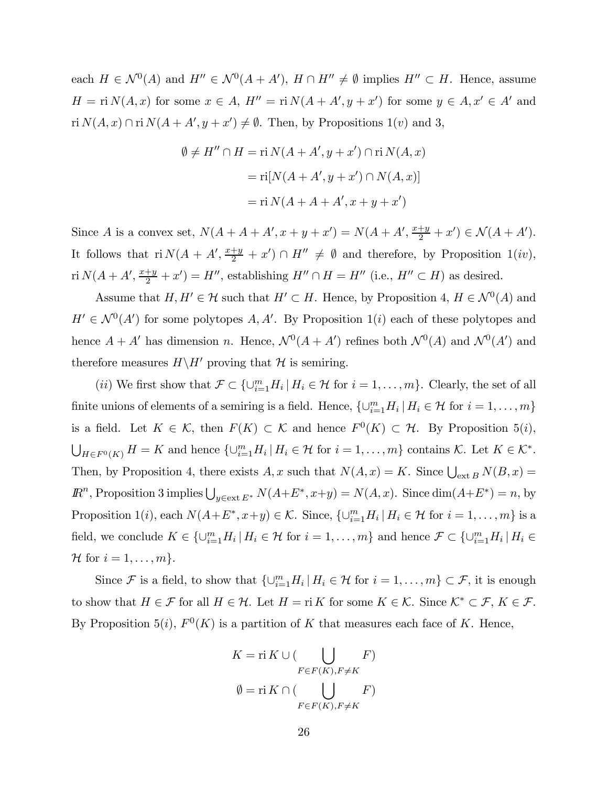each  $H \in \mathcal{N}^0(A)$  and  $H'' \in \mathcal{N}^0(A + A')$ ,  $H \cap H'' \neq \emptyset$  implies  $H'' \subset H$ . Hence, assume  $H = \text{ri } N(A, x)$  for some  $x \in A$ ,  $H'' = \text{ri } N(A + A', y + x')$  for some  $y \in A$ ,  $x' \in A'$  and ri  $N(A, x) \cap \text{ri } N(A + A', y + x') \neq \emptyset$ . Then, by Propositions 1(*v*) and 3,

$$
\emptyset \neq H'' \cap H = \text{ri } N(A + A', y + x') \cap \text{ri } N(A, x)
$$

$$
= \text{ri}[N(A + A', y + x') \cap N(A, x)]
$$

$$
= \text{ri } N(A + A + A', x + y + x')
$$

Since A is a convex set,  $N(A + A + A', x + y + x') = N(A + A', \frac{x+y}{2} + x') \in \mathcal{N}(A + A')$ . It follows that  $ri N(A + A', \frac{x+y}{2} + x') \cap H'' \neq \emptyset$  and therefore, by Proposition 1(iv), ri  $N(A + A', \frac{x+y}{2} + x') = H''$ , establishing  $H'' \cap H = H''$  (i.e.,  $H'' \subset H$ ) as desired.

Assume that  $H, H' \in \mathcal{H}$  such that  $H' \subset H$ . Hence, by Proposition 4,  $H \in \mathcal{N}^0(A)$  and  $H' \in \mathcal{N}^0(A')$  for some polytopes  $A, A'$ . By Proposition 1(i) each of these polytopes and hence  $A + A'$  has dimension n. Hence,  $\mathcal{N}^0(A + A')$  refines both  $\mathcal{N}^0(A)$  and  $\mathcal{N}^0(A')$  and therefore measures  $H\backslash H'$  proving that  $\mathcal H$  is semiring.

(*ii*) We first show that  $\mathcal{F} \subset \{\cup_{i=1}^m H_i \mid H_i \in \mathcal{H} \text{ for } i = 1,\ldots,m\}$ . Clearly, the set of all finite unions of elements of a semiring is a field. Hence,  $\{\cup_{i=1}^m H_i \mid H_i \in \mathcal{H} \text{ for } i = 1, \ldots, m\}$ is a field. Let  $K \in \mathcal{K}$ , then  $F(K) \subset \mathcal{K}$  and hence  $F^0(K) \subset \mathcal{H}$ . By Proposition 5(i),  $\bigcup_{H\in F^0(K)} H = K$  and hence  $\{\cup_{i=1}^m H_i \mid H_i \in \mathcal{H} \text{ for } i = 1,\ldots,m\}$  contains K. Let  $K \in \mathcal{K}^*$ . Then, by Proposition 4, there exists  $A, x$  such that  $N(A, x) = K$ . Since  $\bigcup_{ext B} N(B, x) =$  $\mathbb{R}^n$ , Proposition 3 implies  $\bigcup_{y \in \text{ext } E^*} N(A+E^*, x+y) = N(A, x)$ . Since  $\dim(A+E^*) = n$ , by Proposition 1(*i*), each  $N(A+E^*,x+y) \in \mathcal{K}$ . Since,  $\{\cup_{i=1}^m H_i \mid H_i \in \mathcal{H} \text{ for } i=1,\ldots,m\}$  is a field, we conclude  $K \in \{ \cup_{i=1}^m H_i \mid H_i \in \mathcal{H} \text{ for } i = 1, \ldots, m \}$  and hence  $\mathcal{F} \subset \{ \cup_{i=1}^m H_i \mid H_i \in \mathcal{H} \text{ for } i = 1, \ldots, m \}$ H for  $i = 1, \ldots, m$ .

Since F is a field, to show that  $\{\cup_{i=1}^m H_i \mid H_i \in \mathcal{H} \text{ for } i = 1,\ldots,m\} \subset \mathcal{F}$ , it is enough to show that  $H \in \mathcal{F}$  for all  $H \in \mathcal{H}$ . Let  $H = \text{ri } K$  for some  $K \in \mathcal{K}$ . Since  $\mathcal{K}^* \subset \mathcal{F}$ ,  $K \in \mathcal{F}$ . By Proposition 5(i),  $F^0(K)$  is a partition of K that measures each face of K. Hence,

$$
K = \mathrm{ri}\,K \cup (\bigcup_{F \in F(K), F \neq K} F)
$$

$$
\emptyset = \mathrm{ri}\,K \cap (\bigcup_{F \in F(K), F \neq K} F)
$$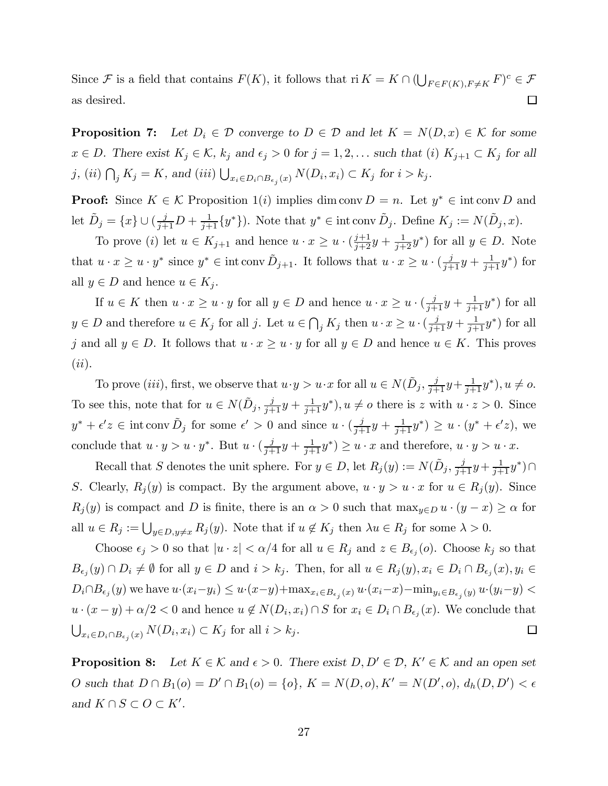Since F is a field that contains  $F(K)$ , it follows that ri  $K = K \cap (\bigcup_{F \in F(K), F \neq K} F)^c \in \mathcal{F}$ as desired.  $\Box$ 

**Proposition 7:** Let  $D_i \in \mathcal{D}$  converge to  $D \in \mathcal{D}$  and let  $K = N(D, x) \in \mathcal{K}$  for some  $x \in D$ . There exist  $K_j \in \mathcal{K}$ ,  $k_j$  and  $\epsilon_j > 0$  for  $j = 1, 2, \ldots$  such that (i)  $K_{j+1} \subset K_j$  for all j, (ii)  $\bigcap_j K_j = K$ , and (iii)  $\bigcup_{x_i \in D_i \cap B_{\epsilon_j}(x)} N(D_i, x_i) \subset K_j$  for  $i > k_j$ .

**Proof:** Since  $K \in \mathcal{K}$  Proposition 1(i) implies dim conv  $D = n$ . Let  $y^* \in \text{int} \text{ conv } D$  and let  $\tilde{D}_j = \{x\} \cup (\frac{j}{j+1}D + \frac{1}{j+1}\{y^*\})$ . Note that  $y^* \in \text{int conv }\tilde{D}_j$ . Define  $K_j := N(\tilde{D}_j, x)$ .

To prove (*i*) let  $u \in K_{j+1}$  and hence  $u \cdot x \geq u \cdot (\frac{j+1}{j+2}y + \frac{1}{j+2}y^*)$  for all  $y \in D$ . Note that  $u \cdot x \geq u \cdot y^*$  since  $y^* \in \text{int} \text{ conv } \tilde{D}_{j+1}$ . It follows that  $u \cdot x \geq u \cdot (\frac{j}{j+1}y + \frac{1}{j+1}y^*)$  for all  $y \in D$  and hence  $u \in K_j$ .

If  $u \in K$  then  $u \cdot x \geq u \cdot y$  for all  $y \in D$  and hence  $u \cdot x \geq u \cdot (\frac{j}{j+1}y + \frac{1}{j+1}y^*)$  for all  $y \in D$  and therefore  $u \in K_j$  for all j. Let  $u \in \bigcap_j K_j$  then  $u \cdot x \geq u \cdot (\frac{j}{j+1}y + \frac{1}{j+1}y^*)$  for all j and all  $y \in D$ . It follows that  $u \cdot x \geq u \cdot y$  for all  $y \in D$  and hence  $u \in K$ . This proves  $(ii).$ 

To prove *(iii)*, first, we observe that  $u \cdot y > u \cdot x$  for all  $u \in N(\tilde{D}_j, \frac{j}{j+1}y + \frac{1}{j+1}y^*)$ ,  $u \neq o$ . To see this, note that for  $u \in N(\tilde{D}_j, \frac{j}{j+1}y + \frac{1}{j+1}y^*)$ ,  $u \neq o$  there is z with  $u \cdot z > 0$ . Since  $y^* + \epsilon' z \in \text{int} \text{ conv }\tilde{D}_j \text{ for some } \epsilon' > 0 \text{ and since } u \cdot (\frac{j}{j+1}y + \frac{1}{j+1}y^*) \geq u \cdot (y^* + \epsilon' z), \text{ we}$ conclude that  $u \cdot y > u \cdot y^*$ . But  $u \cdot (\frac{j}{j+1}y + \frac{1}{j+1}y^*) \ge u \cdot x$  and therefore,  $u \cdot y > u \cdot x$ .

Recall that S denotes the unit sphere. For  $y \in D$ , let  $R_j(y) := N(\tilde{D}_j, \frac{j}{j+1}y + \frac{1}{j+1}y^*) \cap$ S. Clearly,  $R_j(y)$  is compact. By the argument above,  $u \cdot y > u \cdot x$  for  $u \in R_j(y)$ . Since  $R_j(y)$  is compact and D is finite, there is an  $\alpha > 0$  such that  $\max_{y \in D} u \cdot (y - x) \ge \alpha$  for all  $u \in R_j := \bigcup_{y \in D, y \neq x} R_j(y)$ . Note that if  $u \notin K_j$  then  $\lambda u \in R_j$  for some  $\lambda > 0$ .

Choose  $\epsilon_j > 0$  so that  $|u \cdot z| < \alpha/4$  for all  $u \in R_j$  and  $z \in B_{\epsilon_j}(o)$ . Choose  $k_j$  so that  $B_{\epsilon_j}(y) \cap D_i \neq \emptyset$  for all  $y \in D$  and  $i>k_j$ . Then, for all  $u \in R_j(y), x_i \in D_i \cap B_{\epsilon_j}(x), y_i \in D_i$  $D_i \cap B_{\epsilon_j}(y)$  we have  $u \cdot (x_i-y_i) \leq u \cdot (x-y) + \max_{x_i \in B_{\epsilon_j}(x)} u \cdot (x_i-x) - \min_{y_i \in B_{\epsilon_j}(y)} u \cdot (y_i-y)$  $u \cdot (x - y) + \alpha/2 < 0$  and hence  $u \notin N(D_i, x_i) \cap S$  for  $x_i \in D_i \cap B_{\epsilon_i}(x)$ . We conclude that  $\bigcup_{x_i \in D_i \cap B_{\epsilon_j}(x)} N(D_i, x_i) \subset K_j$  for all  $i > k_j$ .  $\Box$ 

**Proposition 8:** Let  $K \in \mathcal{K}$  and  $\epsilon > 0$ . There exist  $D, D' \in \mathcal{D}, K' \in \mathcal{K}$  and an open set O such that  $D \cap B_1(o) = D' \cap B_1(o) = \{o\}, K = N(D, o), K' = N(D', o), d_h(D, D') < \epsilon$ and  $K \cap S \subset O \subset K'.$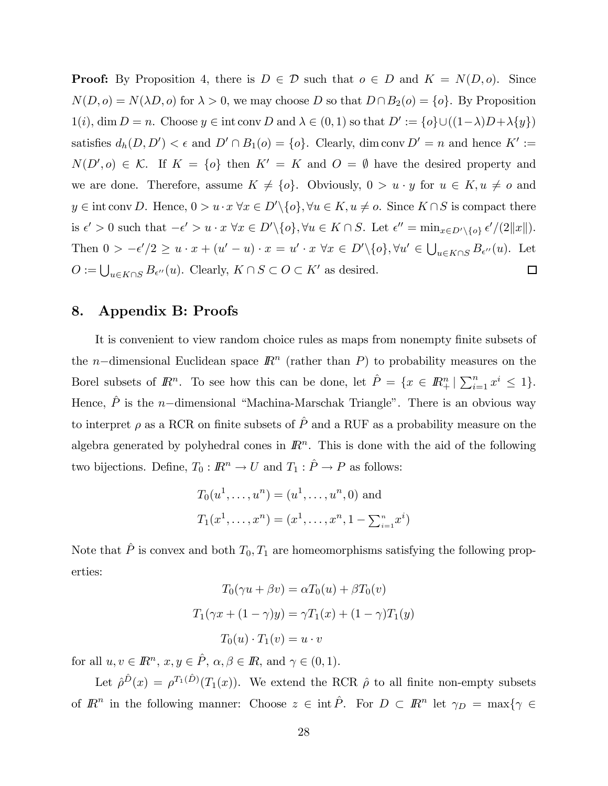**Proof:** By Proposition 4, there is  $D \in \mathcal{D}$  such that  $o \in D$  and  $K = N(D, o)$ . Since  $N(D, o) = N(\lambda D, o)$  for  $\lambda > 0$ , we may choose D so that  $D \cap B_2(o) = \{o\}$ . By Proposition  $1(i)$ , dim  $D = n$ . Choose  $y \in \text{int} \text{ conv } D$  and  $\lambda \in (0, 1)$  so that  $D' := \{o\} \cup ((1 - \lambda)D + \lambda \{y\})$ satisfies  $d_h(D, D') < \epsilon$  and  $D' \cap B_1(o) = \{o\}$ . Clearly, dim conv  $D' = n$  and hence  $K' :=$  $N(D', o) \in \mathcal{K}$ . If  $K = \{o\}$  then  $K' = K$  and  $O = \emptyset$  have the desired property and we are done. Therefore, assume  $K \neq \{o\}$ . Obviously,  $0 > u \cdot y$  for  $u \in K$ ,  $u \neq o$  and  $y \in \text{int} \text{ conv } D.$  Hence,  $0 > u \cdot x \ \forall x \in D' \setminus \{o\}, \forall u \in K, u \neq o$ . Since  $K \cap S$  is compact there is  $\epsilon' > 0$  such that  $-\epsilon' > u \cdot x \ \forall x \in D' \setminus \{o\}, \forall u \in K \cap S$ . Let  $\epsilon'' = \min_{x \in D' \setminus \{o\}} \epsilon'/(2||x||)$ . Then  $0 > -\epsilon'/2 \ge u \cdot x + (u'-u) \cdot x = u' \cdot x \ \forall x \in D' \setminus \{o\}, \forall u' \in \bigcup_{u \in K \cap S} B_{\epsilon''}(u)$ . Let  $O := \bigcup_{u \in K \cap S} B_{\epsilon''}(u)$ . Clearly,  $K \cap S \subset O \subset K'$  as desired.  $\Box$ 

# 8. Appendix B: Proofs

It is convenient to view random choice rules as maps from nonempty finite subsets of the n–dimensional Euclidean space  $\mathbb{R}^n$  (rather than P) to probability measures on the Borel subsets of  $\mathbb{R}^n$ . To see how this can be done, let  $\hat{P} = \{x \in \mathbb{R}^n_+ | \sum_{i=1}^n x^i \leq 1\}$ . Hence,  $\hat{P}$  is the n-dimensional "Machina-Marschak Triangle". There is an obvious way to interpret  $\rho$  as a RCR on finite subsets of  $\hat{P}$  and a RUF as a probability measure on the algebra generated by polyhedral cones in  $\mathbb{R}^n$ . This is done with the aid of the following two bijections. Define,  $T_0: I\!\!R^n \to U$  and  $T_1: \hat{P} \to P$  as follows:

$$
T_0(u^1, ..., u^n) = (u^1, ..., u^n, 0)
$$
 and  
 $T_1(x^1, ..., x^n) = (x^1, ..., x^n, 1 - \sum_{i=1}^n x^i)$ 

Note that  $\hat{P}$  is convex and both  $T_0, T_1$  are homeomorphisms satisfying the following properties:

$$
T_0(\gamma u + \beta v) = \alpha T_0(u) + \beta T_0(v)
$$

$$
T_1(\gamma x + (1 - \gamma)y) = \gamma T_1(x) + (1 - \gamma)T_1(y)
$$

$$
T_0(u) \cdot T_1(v) = u \cdot v
$$

for all  $u, v \in \mathbb{R}^n$ ,  $x, y \in \hat{P}$ ,  $\alpha, \beta \in \mathbb{R}$ , and  $\gamma \in (0, 1)$ .

Let  $\hat{\rho}^{\hat{D}}(x) = \rho^{T_1(\hat{D})}(T_1(x))$ . We extend the RCR  $\hat{\rho}$  to all finite non-empty subsets of  $\mathbb{R}^n$  in the following manner: Choose  $z \in \text{int } P$ . For  $D \subset \mathbb{R}^n$  let  $\gamma_D = \max\{\gamma \in$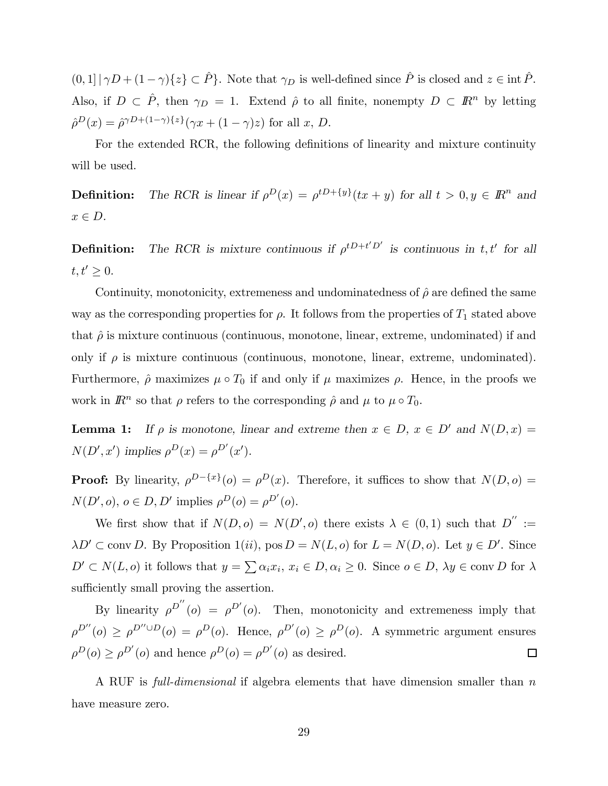$(0, 1] |\gamma D + (1 - \gamma)\{z\} \subset \hat{P}\}.$  Note that  $\gamma_D$  is well-defined since  $\hat{P}$  is closed and  $z \in \text{int } \hat{P}$ . Also, if  $D \subset \hat{P}$ , then  $\gamma_D = 1$ . Extend  $\hat{\rho}$  to all finite, nonempty  $D \subset \mathbb{R}^n$  by letting  $\hat{\rho}^{D}(x)=\hat{\rho}^{\gamma D+(1-\gamma)\{z\}}(\gamma x+(1-\gamma)z)$  for all  $x, D$ .

For the extended RCR, the following definitions of linearity and mixture continuity will be used.

**Definition:** The RCR is linear if  $\rho^{D}(x) = \rho^{tD+\{y\}}(tx + y)$  for all  $t > 0, y \in \mathbb{R}^{n}$  and  $x \in D$ .

**Definition:** The RCR is mixture continuous if  $\rho^{t}D+t'D'$  is continuous in t, t' for all  $t, t' \geq 0.$ 

Continuity, monotonicity, extremeness and undominatedness of  $\hat{\rho}$  are defined the same way as the corresponding properties for  $\rho$ . It follows from the properties of  $T_1$  stated above that  $\hat{\rho}$  is mixture continuous (continuous, monotone, linear, extreme, undominated) if and only if  $\rho$  is mixture continuous (continuous, monotone, linear, extreme, undominated). Furthermore,  $\rho$  maximizes  $\mu \circ T_0$  if and only if  $\mu$  maximizes  $\rho$ . Hence, in the proofs we work in  $\mathbb{R}^n$  so that  $\rho$  refers to the corresponding  $\hat{\rho}$  and  $\mu$  to  $\mu \circ T_0$ .

**Lemma 1:** If  $\rho$  is monotone, linear and extreme then  $x \in D$ ,  $x \in D'$  and  $N(D, x) =$  $N(D', x')$  implies  $\rho^{D}(x) = \rho^{D'}(x')$ .

**Proof:** By linearity,  $\rho^{D-\{x\}}(o) = \rho^{D}(x)$ . Therefore, it suffices to show that  $N(D, o) =$  $N(D', o), o \in D, D'$  implies  $\rho^{D}(o) = \rho^{D'}(o)$ .

We first show that if  $N(D, o) = N(D', o)$  there exists  $\lambda \in (0, 1)$  such that  $D'':=$  $\lambda D' \subset \text{conv } D$ . By Proposition 1(*ii*), pos  $D = N(L, o)$  for  $L = N(D, o)$ . Let  $y \in D'$ . Since  $D' \subset N(L, o)$  it follows that  $y = \sum \alpha_i x_i, x_i \in D, \alpha_i \geq 0$ . Since  $o \in D, \lambda y \in \text{conv } D$  for  $\lambda$ sufficiently small proving the assertion.

By linearity  $\rho^{D''}(o) = \rho^{D'}(o)$ . Then, monotonicity and extremeness imply that  $\rho^{D''}(o) \ge \rho^{D'' \cup D}(o) = \rho^{D}(o)$ . Hence,  $\rho^{D'}(o) \ge \rho^{D}(o)$ . A symmetric argument ensures  $\rho^{D}(o) \geq \rho^{D'}(o)$  and hence  $\rho^{D}(o) = \rho^{D'}(o)$  as desired.  $\Box$ 

A RUF is full-dimensional if algebra elements that have dimension smaller than  $n$ have measure zero.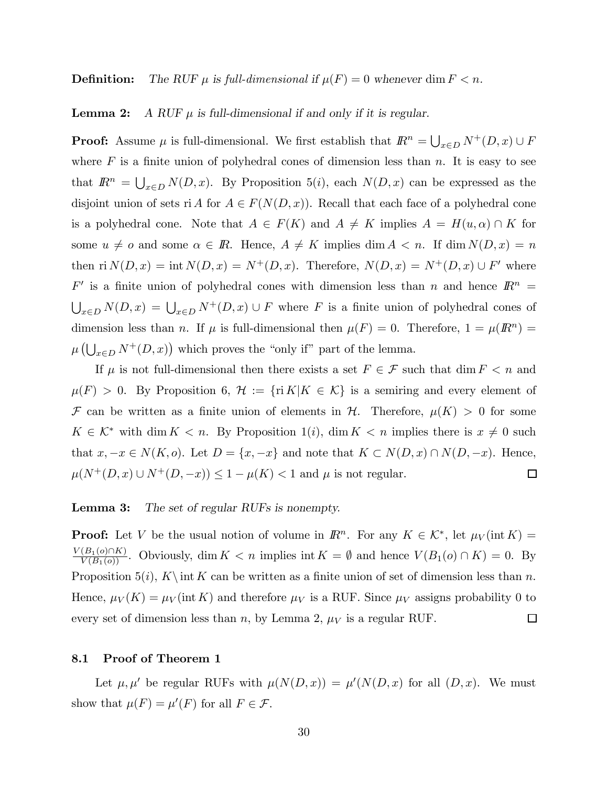**Definition:** The RUF  $\mu$  is full-dimensional if  $\mu(F)=0$  whenever dim  $F < n$ .

#### **Lemma 2:** A RUF  $\mu$  is full-dimensional if and only if it is regular.

**Proof:** Assume  $\mu$  is full-dimensional. We first establish that  $\mathbb{R}^n = \bigcup_{x \in D} N^+(D, x) \cup F$ where  $F$  is a finite union of polyhedral cones of dimension less than  $n$ . It is easy to see that  $\mathbb{R}^n = \bigcup_{x \in D} N(D, x)$ . By Proposition 5(i), each  $N(D, x)$  can be expressed as the disjoint union of sets ri A for  $A \in F(N(D, x))$ . Recall that each face of a polyhedral cone is a polyhedral cone. Note that  $A \in F(K)$  and  $A \neq K$  implies  $A = H(u, \alpha) \cap K$  for some  $u \neq o$  and some  $\alpha \in \mathbb{R}$ . Hence,  $A \neq K$  implies dim  $A < n$ . If dim  $N(D, x) = n$ then ri  $N(D, x) = \text{int } N(D, x) = N^+(D, x)$ . Therefore,  $N(D, x) = N^+(D, x) \cup F'$  where  $F'$  is a finite union of polyhedral cones with dimension less than n and hence  $\mathbb{R}^n =$  $\bigcup_{x\in D} N(D,x) = \bigcup_{x\in D} N^+(D,x) \cup F$  where F is a finite union of polyhedral cones of dimension less than n. If  $\mu$  is full-dimensional then  $\mu(F) = 0$ . Therefore,  $1 = \mu(F) =$  $\mu\left(\bigcup_{x\in D} N^+(D,x)\right)$  which proves the "only if" part of the lemma.

If  $\mu$  is not full-dimensional then there exists a set  $F \in \mathcal{F}$  such that dim  $F < n$  and  $\mu(F) > 0$ . By Proposition 6,  $\mathcal{H} := \{ \text{ri } K | K \in \mathcal{K} \}$  is a semiring and every element of F can be written as a finite union of elements in H. Therefore,  $\mu(K) > 0$  for some  $K \in \mathcal{K}^*$  with dim  $K < n$ . By Proposition 1(i), dim  $K < n$  implies there is  $x \neq 0$  such that  $x, -x \in N(K, o)$ . Let  $D = \{x, -x\}$  and note that  $K \subset N(D, x) \cap N(D, -x)$ . Hence,  $\mu(N^+(D,x) \cup N^+(D,-x)) \leq 1-\mu(K) < 1$  and  $\mu$  is not regular.  $\Box$ 

#### **Lemma 3:** The set of regular RUFs is nonempty.

**Proof:** Let V be the usual notion of volume in  $\mathbb{R}^n$ . For any  $K \in \mathcal{K}^*$ , let  $\mu_V(\text{int }K)$  =  $\frac{V(B_1(o) \cap K)}{V(B_1(o))}$ . Obviously, dim  $K < n$  implies int  $K = \emptyset$  and hence  $V(B_1(o) \cap K) = 0$ . By Proposition 5(i), K int K can be written as a finite union of set of dimension less than n. Hence,  $\mu_V(K) = \mu_V(\text{int } K)$  and therefore  $\mu_V$  is a RUF. Since  $\mu_V$  assigns probability 0 to every set of dimension less than n, by Lemma 2,  $\mu_V$  is a regular RUF.  $\Box$ 

#### 8.1 Proof of Theorem 1

Let  $\mu, \mu'$  be regular RUFs with  $\mu(N(D, x)) = \mu'(N(D, x))$  for all  $(D, x)$ . We must show that  $\mu(F) = \mu'(F)$  for all  $F \in \mathcal{F}$ .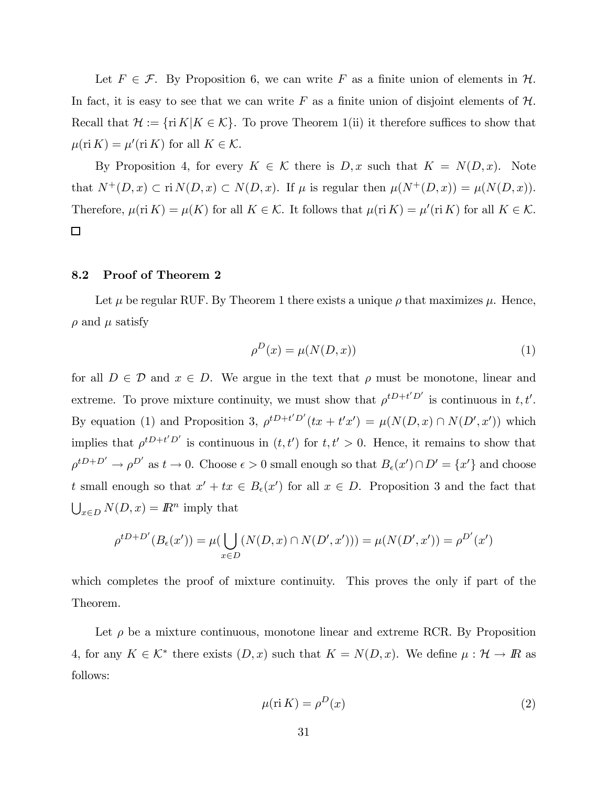Let  $F \in \mathcal{F}$ . By Proposition 6, we can write F as a finite union of elements in  $\mathcal{H}$ . In fact, it is easy to see that we can write F as a finite union of disjoint elements of  $H$ . Recall that  $\mathcal{H} := \{ \text{ri } K | K \in \mathcal{K} \}$ . To prove Theorem 1(ii) it therefore suffices to show that  $\mu(\text{ri } K) = \mu'(\text{ri } K)$  for all  $K \in \mathcal{K}$ .

By Proposition 4, for every  $K \in \mathcal{K}$  there is  $D, x$  such that  $K = N(D, x)$ . Note that  $N^+(D, x) \subset \text{ri } N(D, x) \subset N(D, x)$ . If  $\mu$  is regular then  $\mu(N^+(D, x)) = \mu(N(D, x))$ . Therefore,  $\mu$ (ri K) =  $\mu$ (K) for all K  $\in$  K. It follows that  $\mu$ (ri K) =  $\mu'$ (ri K) for all K  $\in$  K.  $\Box$ 

#### 8.2 Proof of Theorem 2

Let  $\mu$  be regular RUF. By Theorem 1 there exists a unique  $\rho$  that maximizes  $\mu$ . Hence,  $\rho$  and  $\mu$  satisfy

$$
\rho^D(x) = \mu(N(D, x))\tag{1}
$$

for all  $D \in \mathcal{D}$  and  $x \in D$ . We argue in the text that  $\rho$  must be monotone, linear and extreme. To prove mixture continuity, we must show that  $\rho^{t}D^{+t'}D'$  is continuous in t, t'. By equation (1) and Proposition 3,  $\rho^{tD+t'D'}(tx + t'x') = \mu(N(D, x) \cap N(D', x'))$  which implies that  $\rho^{t}D+t'D'$  is continuous in  $(t, t')$  for  $t, t' > 0$ . Hence, it remains to show that  $\rho^{tD+D'} \to \rho^{D'}$  as  $t \to 0$ . Choose  $\epsilon > 0$  small enough so that  $B_{\epsilon}(x') \cap D' = \{x'\}$  and choose t small enough so that  $x' + tx \in B_{\epsilon}(x')$  for all  $x \in D$ . Proposition 3 and the fact that  $\bigcup_{x \in D} N(D, x) = \mathbb{R}^n$  imply that

$$
\rho^{tD+D'}(B_{\epsilon}(x')) = \mu(\bigcup_{x \in D} (N(D, x) \cap N(D', x'))) = \mu(N(D', x')) = \rho^{D'}(x')
$$

which completes the proof of mixture continuity. This proves the only if part of the Theorem.

Let  $\rho$  be a mixture continuous, monotone linear and extreme RCR. By Proposition 4, for any  $K \in \mathcal{K}^*$  there exists  $(D, x)$  such that  $K = N(D, x)$ . We define  $\mu : \mathcal{H} \to \mathbb{R}$  as follows:

$$
\mu(\text{ri } K) = \rho^D(x) \tag{2}
$$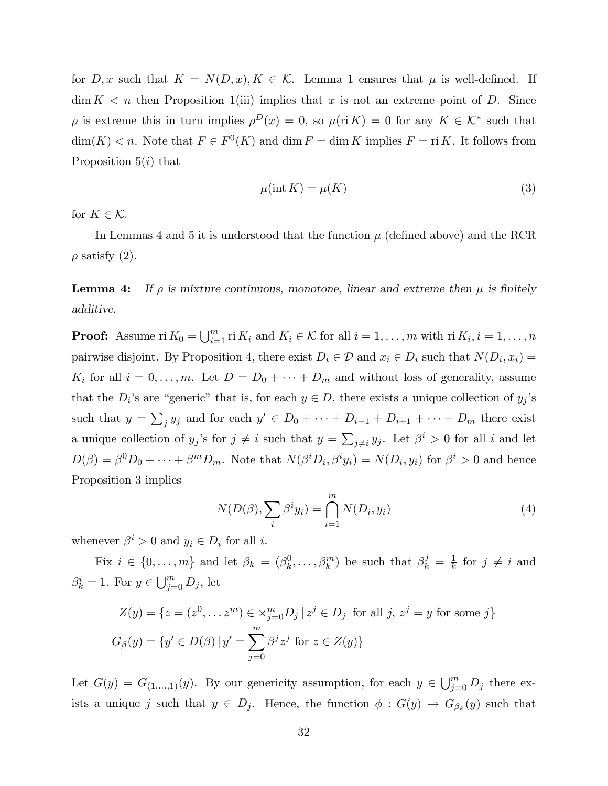for  $D, x$  such that  $K = N(D, x), K \in \mathcal{K}$ . Lemma 1 ensures that  $\mu$  is well-defined. If  $\dim K < n$  then Proposition 1(iii) implies that x is not an extreme point of D. Since ρ is extreme this in turn implies  $ρ<sup>D</sup>(x) = 0$ , so  $μ(ri K) = 0$  for any  $K ∈ K^*$  such that  $\dim(K) < n$ . Note that  $F \in F^0(K)$  and  $\dim F = \dim K$  implies  $F = \text{ri } K$ . It follows from Proposition  $5(i)$  that

$$
\mu(\text{int } K) = \mu(K) \tag{3}
$$

for  $K \in \mathcal{K}$ .

In Lemmas 4 and 5 it is understood that the function  $\mu$  (defined above) and the RCR  $\rho$  satisfy (2).

**Lemma 4:** If  $\rho$  is mixture continuous, monotone, linear and extreme then  $\mu$  is finitely additive.

**Proof:** Assume ri  $K_0 = \bigcup_{i=1}^m \text{ri } K_i$  and  $K_i \in \mathcal{K}$  for all  $i = 1, \ldots, m$  with ri  $K_i, i = 1, \ldots, n$ pairwise disjoint. By Proposition 4, there exist  $D_i \in \mathcal{D}$  and  $x_i \in D_i$  such that  $N(D_i, x_i) =$  $K_i$  for all  $i = 0, \ldots, m$ . Let  $D = D_0 + \cdots + D_m$  and without loss of generality, assume that the  $D_i$ 's are "generic" that is, for each  $y \in D$ , there exists a unique collection of  $y_j$ 's such that  $y = \sum_j y_j$  and for each  $y' \in D_0 + \cdots + D_{i-1} + D_{i+1} + \cdots + D_m$  there exist a unique collection of  $y_j$ 's for  $j \neq i$  such that  $y = \sum_{j \neq i} y_j$ . Let  $\beta^i > 0$  for all i and let  $D(\beta) = \beta^0 D_0 + \cdots + \beta^m D_m$ . Note that  $N(\beta^i D_i, \beta^i y_i) = N(D_i, y_i)$  for  $\beta^i > 0$  and hence Proposition 3 implies

$$
N(D(\beta), \sum_{i} \beta^{i} y_{i}) = \bigcap_{i=1}^{m} N(D_{i}, y_{i})
$$
\n(4)

whenever  $\beta^i > 0$  and  $y_i \in D_i$  for all *i*.

Fix  $i \in \{0, ..., m\}$  and let  $\beta_k = (\beta_k^0, ..., \beta_k^m)$  be such that  $\beta_k^j = \frac{1}{k}$  for  $j \neq i$  and  $\beta_k^i = 1$ . For  $y \in \bigcup_{j=0}^m D_j$ , let

$$
Z(y) = \{ z = (z^0, \dots z^m) \in \times_{j=0}^m D_j \mid z^j \in D_j \text{ for all } j, z^j = y \text{ for some } j \}
$$
  

$$
G_{\beta}(y) = \{ y' \in D(\beta) \mid y' = \sum_{j=0}^m \beta^j z^j \text{ for } z \in Z(y) \}
$$

Let  $G(y) = G_{(1,...,1)}(y)$ . By our genericity assumption, for each  $y \in \bigcup_{j=0}^{m} D_j$  there exists a unique j such that  $y \in D_j$ . Hence, the function  $\phi : G(y) \to G_{\beta_k}(y)$  such that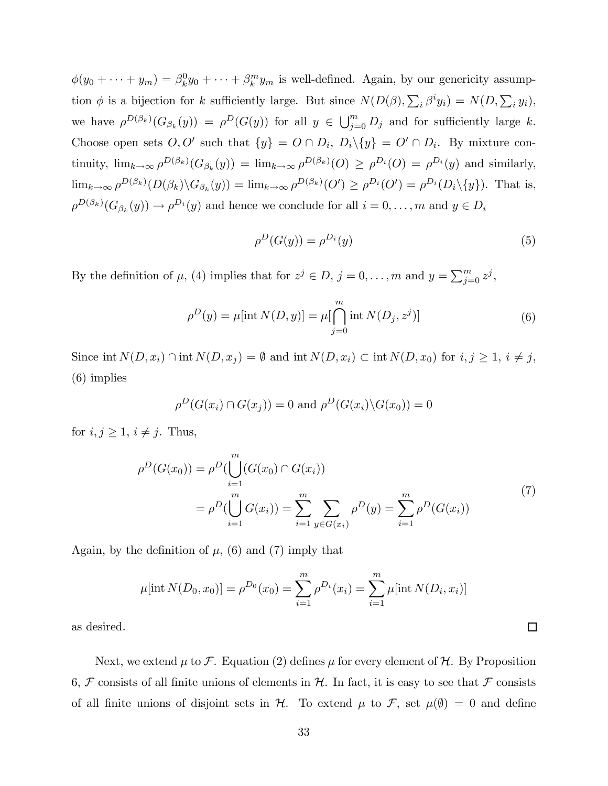$\phi(y_0 + \cdots + y_m) = \beta_k^0 y_0 + \cdots + \beta_k^m y_m$  is well-defined. Again, by our genericity assumption  $\phi$  is a bijection for k sufficiently large. But since  $N(D(\beta), \sum_i \beta^i y_i) = N(D, \sum_i y_i)$ , we have  $\rho^{D(\beta_k)}(G_{\beta_k}(y)) = \rho^{D}(G(y))$  for all  $y \in \bigcup_{j=0}^m D_j$  and for sufficiently large k. Choose open sets  $O, O'$  such that  $\{y\} = O \cap D_i$ ,  $D_i \setminus \{y\} = O' \cap D_i$ . By mixture continuity,  $\lim_{k\to\infty} \rho^{D(\beta_k)}(G_{\beta_k}(y)) = \lim_{k\to\infty} \rho^{D(\beta_k)}(O) \geq \rho^{D_i}(O) = \rho^{D_i}(y)$  and similarly,  $\lim_{k\to\infty}\rho^{D(\beta_k)}(D(\beta_k)\backslash G_{\beta_k}(y)) = \lim_{k\to\infty}\rho^{D(\beta_k)}(O') \geq \rho^{D_i}(O') = \rho^{D_i}(D_i\backslash\{y\}).$  That is,  $\rho^{D(\beta_k)}(G_{\beta_k}(y)) \to \rho^{D_i}(y)$  and hence we conclude for all  $i = 0, \ldots, m$  and  $y \in D_i$ 

$$
\rho^D(G(y)) = \rho^{D_i}(y) \tag{5}
$$

 $\Box$ 

By the definition of  $\mu$ , (4) implies that for  $z^j \in D$ ,  $j = 0, \ldots, m$  and  $y = \sum_{j=0}^m z^j$ ,

$$
\rho^{D}(y) = \mu[\text{int } N(D, y)] = \mu[\bigcap_{j=0}^{m} \text{int } N(D_j, z^{j})]
$$
\n(6)

Since int  $N(D, x_i) \cap \text{int } N(D, x_j) = \emptyset$  and int  $N(D, x_i) \subset \text{int } N(D, x_0)$  for  $i, j \geq 1$ ,  $i \neq j$ , (6) implies

$$
\rho^D(G(x_i) \cap G(x_j)) = 0 \text{ and } \rho^D(G(x_i) \backslash G(x_0)) = 0
$$

for  $i, j \geq 1$ ,  $i \neq j$ . Thus,

$$
\rho^D(G(x_0)) = \rho^D(\bigcup_{i=1}^m (G(x_0) \cap G(x_i))
$$
  
= 
$$
\rho^D(\bigcup_{i=1}^m G(x_i)) = \sum_{i=1}^m \sum_{y \in G(x_i)} \rho^D(y) = \sum_{i=1}^m \rho^D(G(x_i))
$$
 (7)

Again, by the definition of  $\mu$ , (6) and (7) imply that

$$
\mu[\text{int } N(D_0, x_0)] = \rho^{D_0}(x_0) = \sum_{i=1}^m \rho^{D_i}(x_i) = \sum_{i=1}^m \mu[\text{int } N(D_i, x_i)]
$$

as desired.

Next, we extend  $\mu$  to F. Equation (2) defines  $\mu$  for every element of H. By Proposition 6,  $\mathcal F$  consists of all finite unions of elements in  $\mathcal H$ . In fact, it is easy to see that  $\mathcal F$  consists of all finite unions of disjoint sets in  $H$ . To extend  $\mu$  to F, set  $\mu(\emptyset) = 0$  and define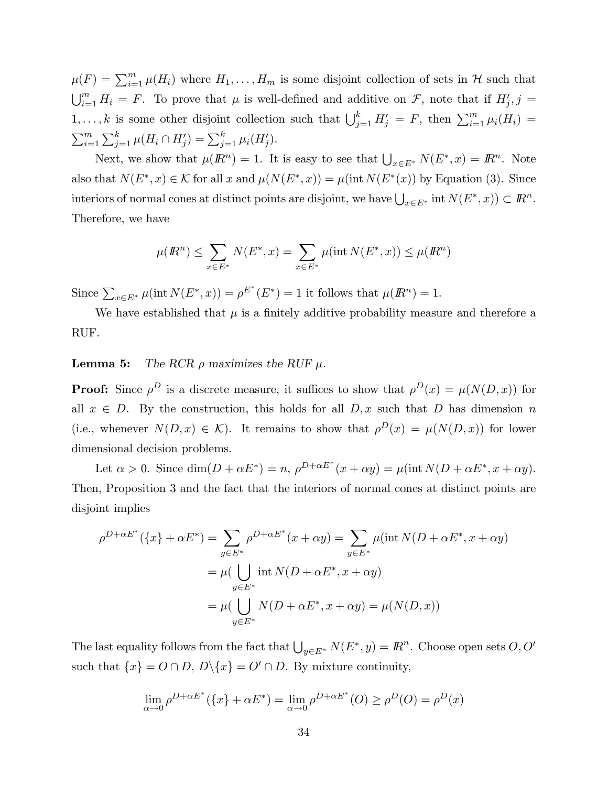$\mu(F) = \sum_{i=1}^{m} \mu(H_i)$  where  $H_1, \ldots, H_m$  is some disjoint collection of sets in H such that  $\bigcup_{i=1}^m H_i = F$ . To prove that  $\mu$  is well-defined and additive on  $\mathcal{F}$ , note that if  $H'_j$ ,  $j =$  $1,\ldots,k$  is some other disjoint collection such that  $\bigcup_{j=1}^k H'_j = F$ , then  $\sum_{i=1}^m \mu_i(H_i) =$  $\sum_{i=1}^{m} \sum_{j=1}^{k} \mu(H_i \cap H'_j) = \sum_{j=1}^{k} \mu_i(H'_j).$ 

Next, we show that  $\mu(\mathbb{R}^n) = 1$ . It is easy to see that  $\bigcup_{x \in E^*} N(E^*, x) = \mathbb{R}^n$ . Note also that  $N(E^*, x) \in \mathcal{K}$  for all x and  $\mu(N(E^*, x)) = \mu(\text{int } N(E^*(x)))$  by Equation (3). Since interiors of normal cones at distinct points are disjoint, we have  $\bigcup_{x\in E^*} \text{int } N(E^*, x)) \subset \mathbb{R}^n$ . Therefore, we have

$$
\mu(R^n) \le \sum_{x \in E^*} N(E^*, x) = \sum_{x \in E^*} \mu(\text{int } N(E^*, x)) \le \mu(R^n)
$$

Since  $\sum_{x \in E^*} \mu(\text{int } N(E^*, x)) = \rho^{E^*}(E^*) = 1$  it follows that  $\mu(R^n) = 1$ .

We have established that  $\mu$  is a finitely additive probability measure and therefore a RUF.

#### **Lemma 5:** The RCR  $\rho$  maximizes the RUF  $\mu$ .

**Proof:** Since  $\rho^D$  is a discrete measure, it suffices to show that  $\rho^D(x) = \mu(N(D, x))$  for all  $x \in D$ . By the construction, this holds for all  $D, x$  such that D has dimension n (i.e., whenever  $N(D, x) \in \mathcal{K}$ ). It remains to show that  $\rho^{D}(x) = \mu(N(D, x))$  for lower dimensional decision problems.

Let  $\alpha > 0$ . Since  $\dim(D + \alpha E^*) = n$ ,  $\rho^{D + \alpha E^*}(x + \alpha y) = \mu(\text{int } N(D + \alpha E^*, x + \alpha y)$ . Then, Proposition 3 and the fact that the interiors of normal cones at distinct points are disjoint implies

$$
\rho^{D+\alpha E^*}(\lbrace x \rbrace + \alpha E^*) = \sum_{y \in E^*} \rho^{D+\alpha E^*}(x + \alpha y) = \sum_{y \in E^*} \mu(\text{int } N(D + \alpha E^*, x + \alpha y))
$$

$$
= \mu(\bigcup_{y \in E^*} \text{int } N(D + \alpha E^*, x + \alpha y))
$$

$$
= \mu(\bigcup_{y \in E^*} N(D + \alpha E^*, x + \alpha y) = \mu(N(D, x))
$$

The last equality follows from the fact that  $\bigcup_{y\in E^*} N(E^*, y) = \mathbb{R}^n$ . Choose open sets  $O, O'$ such that  $\{x\} = O \cap D$ ,  $D \setminus \{x\} = O' \cap D$ . By mixture continuity,

$$
\lim_{\alpha \to 0} \rho^{D + \alpha E^*} (\{x\} + \alpha E^*) = \lim_{\alpha \to 0} \rho^{D + \alpha E^*} (O) \ge \rho^D (O) = \rho^D (x)
$$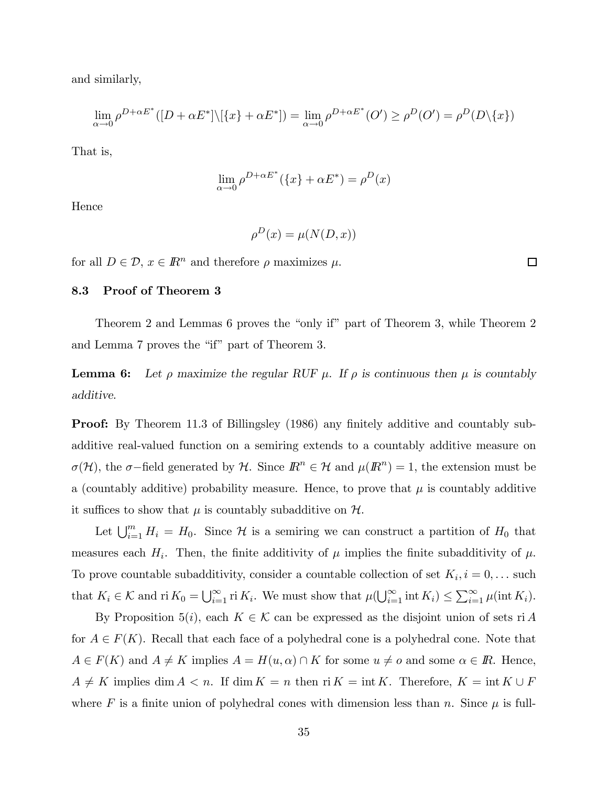and similarly,

$$
\lim_{\alpha \to 0} \rho^{D + \alpha E^*}([D + \alpha E^*] \setminus [\{x\} + \alpha E^*]) = \lim_{\alpha \to 0} \rho^{D + \alpha E^*}(O') \ge \rho^D(O') = \rho^D(D \setminus \{x\})
$$

That is,

$$
\lim_{\alpha \to 0} \rho^{D + \alpha E^*} (\{x\} + \alpha E^*) = \rho^D(x)
$$

Hence

$$
\rho^D(x)=\mu(N(D,x))
$$

for all  $D \in \mathcal{D}$ ,  $x \in \mathbb{R}^n$  and therefore  $\rho$  maximizes  $\mu$ .

#### 8.3 Proof of Theorem 3

Theorem 2 and Lemmas 6 proves the "only if" part of Theorem 3, while Theorem 2 and Lemma 7 proves the "if" part of Theorem 3.

**Lemma 6:** Let  $\rho$  maximize the regular RUF  $\mu$ . If  $\rho$  is continuous then  $\mu$  is countably additive.

**Proof:** By Theorem 11.3 of Billingsley (1986) any finitely additive and countably subadditive real-valued function on a semiring extends to a countably additive measure on  $\sigma(\mathcal{H})$ , the  $\sigma$ -field generated by H. Since  $\mathbb{R}^n \in \mathcal{H}$  and  $\mu(\mathbb{R}^n) = 1$ , the extension must be a (countably additive) probability measure. Hence, to prove that  $\mu$  is countably additive it suffices to show that  $\mu$  is countably subadditive on  $\mathcal{H}$ .

Let  $\bigcup_{i=1}^m H_i = H_0$ . Since H is a semiring we can construct a partition of  $H_0$  that measures each  $H_i$ . Then, the finite additivity of  $\mu$  implies the finite subadditivity of  $\mu$ . To prove countable subadditivity, consider a countable collection of set  $K_i$ ,  $i = 0, \ldots$  such that  $K_i \in \mathcal{K}$  and ri  $K_0 = \bigcup_{i=1}^{\infty}$  ri  $K_i$ . We must show that  $\mu(\bigcup_{i=1}^{\infty} \text{int } K_i) \leq \sum_{i=1}^{\infty} \mu(\text{int } K_i)$ .

By Proposition 5(i), each  $K \in \mathcal{K}$  can be expressed as the disjoint union of sets ri A for  $A \in F(K)$ . Recall that each face of a polyhedral cone is a polyhedral cone. Note that  $A \in F(K)$  and  $A \neq K$  implies  $A = H(u, \alpha) \cap K$  for some  $u \neq o$  and some  $\alpha \in \mathbb{R}$ . Hence,  $A \neq K$  implies dim  $A < n$ . If dim  $K = n$  then ri  $K = \text{int } K$ . Therefore,  $K = \text{int } K \cup F$ where F is a finite union of polyhedral cones with dimension less than n. Since  $\mu$  is full-

 $\Box$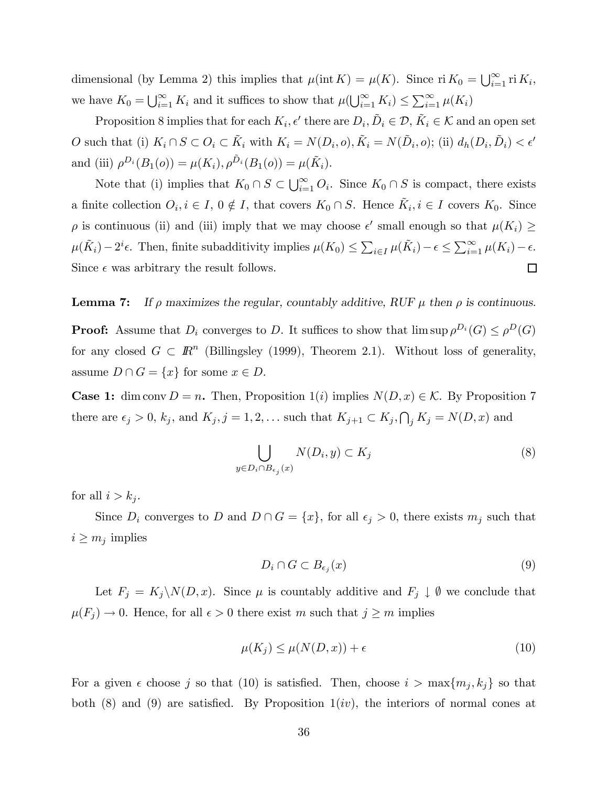dimensional (by Lemma 2) this implies that  $\mu(\text{int } K) = \mu(K)$ . Since ri  $K_0 = \bigcup_{i=1}^{\infty} \text{ri } K_i$ , we have  $K_0 = \bigcup_{i=1}^{\infty} K_i$  and it suffices to show that  $\mu(\bigcup_{i=1}^{\infty} K_i) \leq \sum_{i=1}^{\infty} \mu(K_i)$ 

Proposition 8 implies that for each  $K_i$ ,  $\epsilon'$  there are  $D_i$ ,  $\tilde{D}_i \in \mathcal{D}$ ,  $\tilde{K}_i \in \mathcal{K}$  and an open set O such that (i)  $K_i \cap S \subset O_i \subset \tilde{K}_i$  with  $K_i = N(D_i, o), \tilde{K}_i = N(\tilde{D}_i, o);$  (ii)  $d_h(D_i, \tilde{D}_i) < \epsilon'$ and (iii)  $\rho^{D_i}(B_1(o)) = \mu(K_i), \rho^{\tilde{D}_i}(B_1(o)) = \mu(\tilde{K}_i).$ 

Note that (i) implies that  $K_0 \cap S \subset \bigcup_{i=1}^{\infty} O_i$ . Since  $K_0 \cap S$  is compact, there exists a finite collection  $O_i, i \in I, 0 \notin I$ , that covers  $K_0 \cap S$ . Hence  $\tilde{K}_i, i \in I$  covers  $K_0$ . Since  $\rho$  is continuous (ii) and (iii) imply that we may choose  $\epsilon'$  small enough so that  $\mu(K_i) \geq$  $\mu(\tilde{K}_i)-2^i\epsilon$ . Then, finite subadditivity implies  $\mu(K_0) \leq \sum_{i\in I} \mu(\tilde{K}_i)-\epsilon \leq \sum_{i=1}^{\infty} \mu(K_i)-\epsilon$ .  $\Box$ Since  $\epsilon$  was arbitrary the result follows.

**Lemma 7:** If  $\rho$  maximizes the regular, countably additive, RUF  $\mu$  then  $\rho$  is continuous.

**Proof:** Assume that  $D_i$  converges to D. It suffices to show that  $\limsup \rho^{D_i}(G) \leq \rho^D(G)$ for any closed  $G \subset \mathbb{R}^n$  (Billingsley (1999), Theorem 2.1). Without loss of generality, assume  $D \cap G = \{x\}$  for some  $x \in D$ .

**Case 1:** dim conv  $D = n$ . Then, Proposition 1(i) implies  $N(D, x) \in \mathcal{K}$ . By Proposition 7 there are  $\epsilon_j > 0$ ,  $k_j$ , and  $K_j$ ,  $j = 1, 2, \ldots$  such that  $K_{j+1} \subset K_j$ ,  $\bigcap_j K_j = N(D, x)$  and

$$
\bigcup_{y \in D_i \cap B_{\epsilon_j}(x)} N(D_i, y) \subset K_j \tag{8}
$$

for all  $i>k_j$ .

Since  $D_i$  converges to D and  $D \cap G = \{x\}$ , for all  $\epsilon_j > 0$ , there exists  $m_j$  such that  $i \geq m_j$  implies

$$
D_i \cap G \subset B_{\epsilon_j}(x) \tag{9}
$$

Let  $F_j = K_j \backslash N(D, x)$ . Since  $\mu$  is countably additive and  $F_j \downarrow \emptyset$  we conclude that  $\mu(F_j) \to 0$ . Hence, for all  $\epsilon > 0$  there exist m such that  $j \geq m$  implies

$$
\mu(K_j) \le \mu(N(D, x)) + \epsilon \tag{10}
$$

For a given  $\epsilon$  choose j so that (10) is satisfied. Then, choose  $i > \max\{m_j, k_j\}$  so that both  $(8)$  and  $(9)$  are satisfied. By Proposition 1(iv), the interiors of normal cones at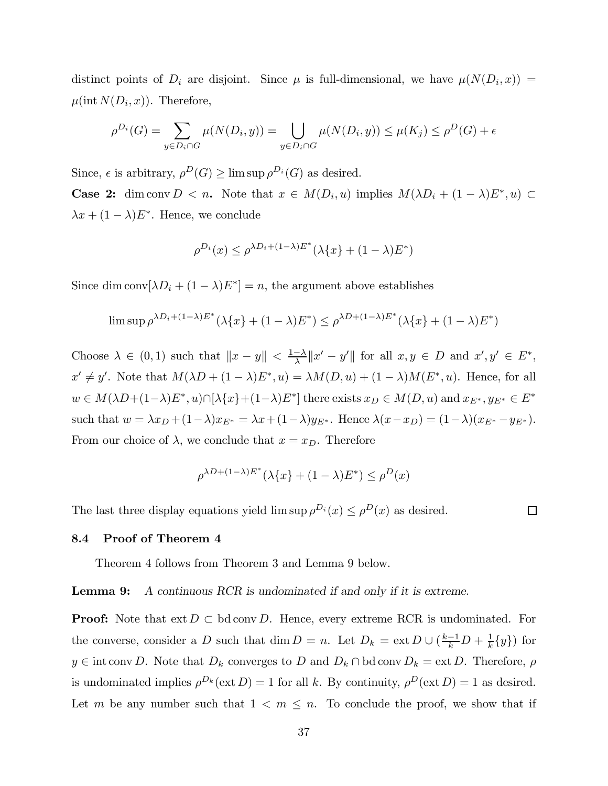distinct points of  $D_i$  are disjoint. Since  $\mu$  is full-dimensional, we have  $\mu(N(D_i, x)) =$  $\mu(int N(D_i, x))$ . Therefore,

$$
\rho^{D_i}(G) = \sum_{y \in D_i \cap G} \mu(N(D_i, y)) = \bigcup_{y \in D_i \cap G} \mu(N(D_i, y)) \le \mu(K_j) \le \rho^D(G) + \epsilon
$$

Since,  $\epsilon$  is arbitrary,  $\rho^D(G) \ge \limsup \rho^{D_i}(G)$  as desired.

**Case 2:** dim conv  $D < n$ . Note that  $x \in M(D_i, u)$  implies  $M(\lambda D_i + (1 - \lambda)E^*, u) \subset$  $\lambda x + (1 - \lambda)E^*$ . Hence, we conclude

$$
\rho^{D_i}(x) \le \rho^{\lambda D_i + (1-\lambda)E^*}(\lambda\{x\} + (1-\lambda)E^*)
$$

Since dim conv $[\lambda D_i + (1 - \lambda)E^*] = n$ , the argument above establishes

$$
\limsup \rho^{\lambda D_i + (1-\lambda)E^*}(\lambda\{x\} + (1-\lambda)E^*) \le \rho^{\lambda D + (1-\lambda)E^*}(\lambda\{x\} + (1-\lambda)E^*)
$$

Choose  $\lambda \in (0,1)$  such that  $||x - y|| < \frac{1-\lambda}{\lambda} ||x' - y'||$  for all  $x, y \in D$  and  $x', y' \in E^*$ ,  $x' \neq y'$ . Note that  $M(\lambda D + (1 - \lambda)E^*, u) = \lambda M(D, u) + (1 - \lambda)M(E^*, u)$ . Hence, for all  $w \in M(\lambda D+(1-\lambda)E^*, u) \cap [\lambda \{x\}+(1-\lambda)E^*]$  there exists  $x_D \in M(D, u)$  and  $x_{E^*}, y_{E^*} \in E^*$ such that  $w = \lambda x_D + (1 - \lambda)x_{E^*} = \lambda x + (1 - \lambda)y_{E^*}$ . Hence  $\lambda (x - x_D) = (1 - \lambda)(x_{E^*} - y_{E^*})$ . From our choice of  $\lambda$ , we conclude that  $x = x_D$ . Therefore

$$
\rho^{\lambda D + (1-\lambda)E^*}(\lambda\{x\} + (1-\lambda)E^*) \leq \rho^D(x)
$$

The last three display equations yield  $\limsup \rho^{D_i}(x) \leq \rho^{D}(x)$  as desired.

 $\Box$ 

#### 8.4 Proof of Theorem 4

Theorem 4 follows from Theorem 3 and Lemma 9 below.

Lemma 9: A continuous RCR is undominated if and only if it is extreme.

**Proof:** Note that  $ext{ } D \subset \text{bd}$  conv D. Hence, every extreme RCR is undominated. For the converse, consider a D such that  $\dim D = n$ . Let  $D_k = \text{ext } D \cup \left(\frac{k-1}{k}D + \frac{1}{k}{y\}\right)$  for  $y \in \text{int conv } D$ . Note that  $D_k$  converges to D and  $D_k \cap \text{bd conv } D_k = \text{ext } D$ . Therefore,  $\rho$ is undominated implies  $\rho^{D_k}(\text{ext } D) = 1$  for all k. By continuity,  $\rho^D(\text{ext } D) = 1$  as desired. Let m be any number such that  $1 \leq m \leq n$ . To conclude the proof, we show that if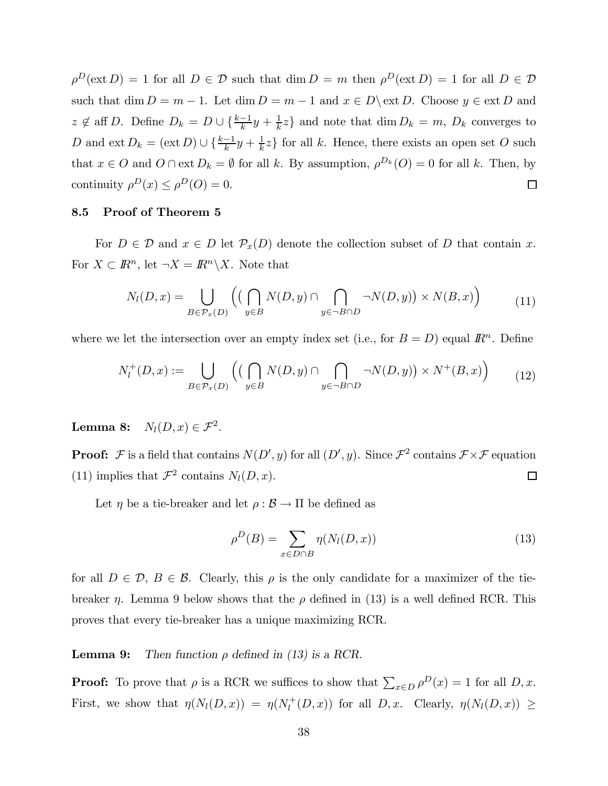$\rho^D(\text{ext }D) = 1$  for all  $D \in \mathcal{D}$  such that  $\dim D = m$  then  $\rho^D(\text{ext }D) = 1$  for all  $D \in \mathcal{D}$ such that  $\dim D = m - 1$ . Let  $\dim D = m - 1$  and  $x \in D \setminus \text{ext } D$ . Choose  $y \in \text{ext } D$  and  $z \notin \text{aff } D$ . Define  $D_k = D \cup \{\frac{k-1}{k}y + \frac{1}{k}z\}$  and note that  $\dim D_k = m$ ,  $D_k$  converges to D and  $ext{ } D_k = (ext{ } D) \cup \{\frac{k-1}{k}y + \frac{1}{k}z\}$  for all k. Hence, there exists an open set O such that  $x \in O$  and  $O \cap \text{ext } D_k = \emptyset$  for all k. By assumption,  $\rho^{D_k}(O) = 0$  for all k. Then, by continuity  $\rho^{D}(x) \leq \rho^{D}(O) = 0$ .  $\Box$ 

#### 8.5 Proof of Theorem 5

For  $D \in \mathcal{D}$  and  $x \in D$  let  $\mathcal{P}_x(D)$  denote the collection subset of D that contain x. For  $X \subset \mathbb{R}^n$ , let  $\neg X = \mathbb{R}^n \backslash X$ . Note that

$$
N_l(D, x) = \bigcup_{B \in \mathcal{P}_x(D)} \left( \left( \bigcap_{y \in B} N(D, y) \cap \bigcap_{y \in \neg B \cap D} \neg N(D, y) \right) \times N(B, x) \right) \tag{11}
$$

where we let the intersection over an empty index set (i.e., for  $B = D$ ) equal  $\mathbb{R}^n$ . Define

$$
N_l^+(D,x) := \bigcup_{B \in \mathcal{P}_x(D)} \left( \left( \bigcap_{y \in B} N(D,y) \cap \bigcap_{y \in \neg B \cap D} \neg N(D,y) \right) \times N^+(B,x) \right) \tag{12}
$$

Lemma 8:  $N_l(D, x) \in \mathcal{F}^2$ .

**Proof:**  $\mathcal F$  is a field that contains  $N(D', y)$  for all  $(D', y)$ . Since  $\mathcal F^2$  contains  $\mathcal F \times \mathcal F$  equation (11) implies that  $\mathcal{F}^2$  contains  $N_l(D, x)$ .  $\Box$ 

Let  $\eta$  be a tie-breaker and let  $\rho : \mathcal{B} \to \Pi$  be defined as

$$
\rho^D(B) = \sum_{x \in D \cap B} \eta(N_l(D, x)) \tag{13}
$$

for all  $D \in \mathcal{D}$ ,  $B \in \mathcal{B}$ . Clearly, this  $\rho$  is the only candidate for a maximizer of the tiebreaker  $\eta$ . Lemma 9 below shows that the  $\rho$  defined in (13) is a well defined RCR. This proves that every tie-breaker has a unique maximizing RCR.

#### **Lemma 9:** Then function  $\rho$  defined in (13) is a RCR.

**Proof:** To prove that  $\rho$  is a RCR we suffices to show that  $\sum_{x \in D} \rho^D(x) = 1$  for all  $D, x$ . First, we show that  $\eta(N_l(D, x)) = \eta(N_l^+(D, x))$  for all  $D, x$ . Clearly,  $\eta(N_l(D, x)) \geq$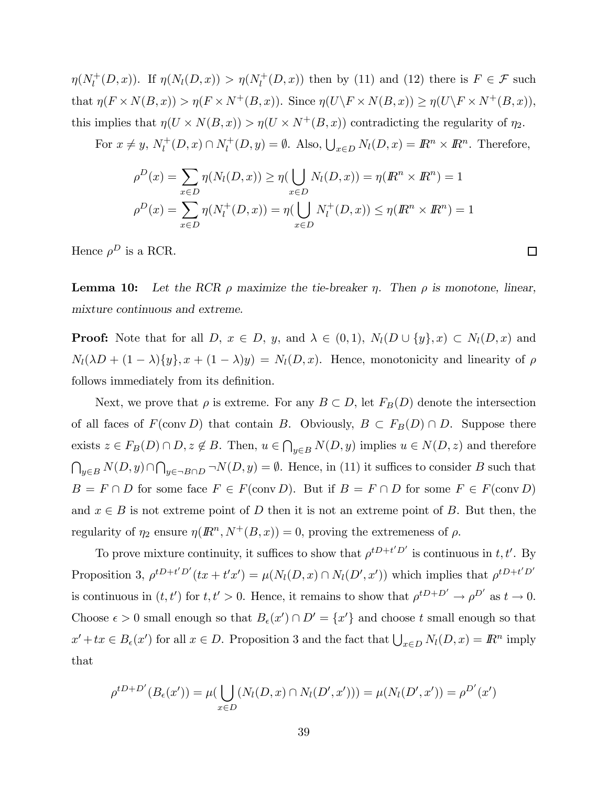$\eta(N_l^+(D,x))$ . If  $\eta(N_l(D,x)) > \eta(N_l^+(D,x))$  then by (11) and (12) there is  $F \in \mathcal{F}$  such that  $\eta(F \times N(B, x)) > \eta(F \times N^+(B, x))$ . Since  $\eta(U \backslash F \times N(B, x)) \geq \eta(U \backslash F \times N^+(B, x))$ , this implies that  $\eta(U \times N(B,x)) > \eta(U \times N^+(B,x))$  contradicting the regularity of  $\eta_2$ .

For  $x \neq y$ ,  $N_l^+(D, x) \cap N_l^+(D, y) = \emptyset$ . Also,  $\bigcup_{x \in D} N_l(D, x) = \mathbb{R}^n \times \mathbb{R}^n$ . Therefore,

$$
\rho^{D}(x) = \sum_{x \in D} \eta(N_l(D, x)) \ge \eta(\bigcup_{x \in D} N_l(D, x)) = \eta(R^n \times R^n) = 1
$$
  

$$
\rho^{D}(x) = \sum_{x \in D} \eta(N_l^{+}(D, x)) = \eta(\bigcup_{x \in D} N_l^{+}(D, x)) \le \eta(R^n \times R^n) = 1
$$

Hence  $\rho^D$  is a RCR.

**Lemma 10:** Let the RCR  $\rho$  maximize the tie-breaker  $\eta$ . Then  $\rho$  is monotone, linear, mixture continuous and extreme.

 $\Box$ 

**Proof:** Note that for all D,  $x \in D$ , y, and  $\lambda \in (0,1)$ ,  $N_l(D \cup \{y\}, x) \subset N_l(D, x)$  and  $N_l(\lambda D + (1 - \lambda)\{y\}, x + (1 - \lambda)y) = N_l(D, x)$ . Hence, monotonicity and linearity of  $\rho$ follows immediately from its definition.

Next, we prove that  $\rho$  is extreme. For any  $B \subset D$ , let  $F_B(D)$  denote the intersection of all faces of  $F(\text{conv } D)$  that contain B. Obviously,  $B \subset F_B(D) \cap D$ . Suppose there exists  $z \in F_B(D) \cap D$ ,  $z \notin B$ . Then,  $u \in \bigcap_{y \in B} N(D, y)$  implies  $u \in N(D, z)$  and therefore  $\bigcap_{y\in B} N(D, y) \cap \bigcap_{y\in \neg B \cap D} \neg N(D, y) = \emptyset$ . Hence, in (11) it suffices to consider B such that  $B = F \cap D$  for some face  $F \in F(\text{conv } D)$ . But if  $B = F \cap D$  for some  $F \in F(\text{conv } D)$ and  $x \in B$  is not extreme point of D then it is not an extreme point of B. But then, the regularity of  $\eta_2$  ensure  $\eta(R^n, N^+(B, x)) = 0$ , proving the extremeness of  $\rho$ .

To prove mixture continuity, it suffices to show that  $\rho^{t}D^{t}t'D'$  is continuous in t, t'. By Proposition 3,  $\rho^{tD+t'D'}(tx+t'x') = \mu(N_l(D,x) \cap N_l(D',x'))$  which implies that  $\rho^{tD+t'D'}$ is continuous in  $(t, t')$  for  $t, t' > 0$ . Hence, it remains to show that  $\rho^{tD+D'} \to \rho^{D'}$  as  $t \to 0$ . Choose  $\epsilon > 0$  small enough so that  $B_{\epsilon}(x') \cap D' = \{x'\}$  and choose t small enough so that  $x' + tx \in B_{\epsilon}(x')$  for all  $x \in D$ . Proposition 3 and the fact that  $\bigcup_{x \in D} N_l(D, x) = \mathbb{R}^n$  imply that

$$
\rho^{tD+D'}(B_{\epsilon}(x')) = \mu(\bigcup_{x \in D} (N_l(D, x) \cap N_l(D', x'))) = \mu(N_l(D', x')) = \rho^{D'}(x')
$$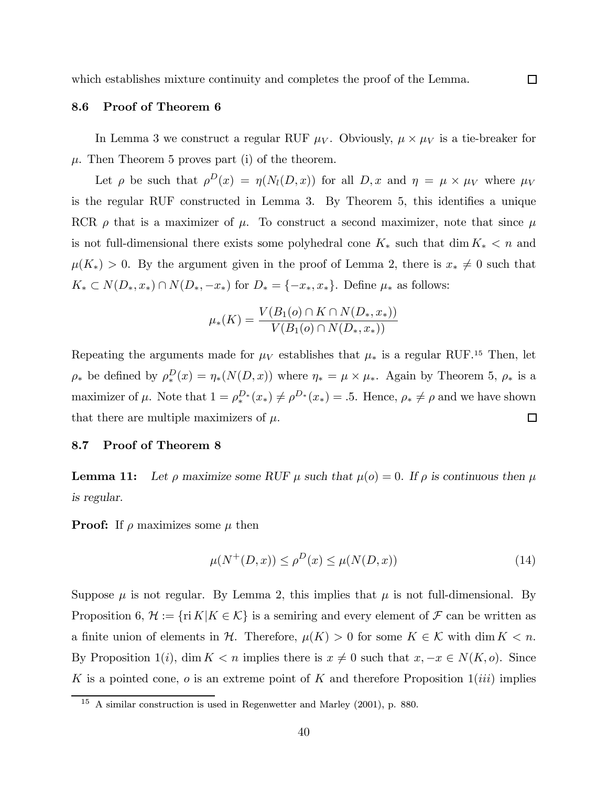#### 8.6 Proof of Theorem 6

In Lemma 3 we construct a regular RUF  $\mu_V$ . Obviously,  $\mu \times \mu_V$  is a tie-breaker for  $\mu$ . Then Theorem 5 proves part (i) of the theorem.

Let  $\rho$  be such that  $\rho^{D}(x) = \eta(N_l(D, x))$  for all  $D, x$  and  $\eta = \mu \times \mu_V$  where  $\mu_V$ is the regular RUF constructed in Lemma 3. By Theorem 5, this identifies a unique RCR  $\rho$  that is a maximizer of  $\mu$ . To construct a second maximizer, note that since  $\mu$ is not full-dimensional there exists some polyhedral cone  $K_*$  such that dim  $K_* < n$  and  $\mu(K_*) > 0$ . By the argument given in the proof of Lemma 2, there is  $x_* \neq 0$  such that  $K_* \subset N(D_*, x_*) \cap N(D_*, -x_*)$  for  $D_* = \{-x_*, x_*\}$ . Define  $\mu_*$  as follows:

$$
\mu_*(K) = \frac{V(B_1(o) \cap K \cap N(D_*, x_*))}{V(B_1(o) \cap N(D_*, x_*))}
$$

Repeating the arguments made for  $\mu_V$  establishes that  $\mu_*$  is a regular RUF.<sup>15</sup> Then, let  $\rho_*$  be defined by  $\rho_*^D(x) = \eta_*(N(D,x))$  where  $\eta_* = \mu \times \mu_*$ . Again by Theorem 5,  $\rho_*$  is a maximizer of  $\mu$ . Note that  $1 = \rho_*^{D_*}(x_*) \neq \rho^{D_*}(x_*) = .5$ . Hence,  $\rho_* \neq \rho$  and we have shown that there are multiple maximizers of  $\mu$ .  $\Box$ 

#### 8.7 Proof of Theorem 8

**Lemma 11:** Let  $\rho$  maximize some RUF  $\mu$  such that  $\mu(o) = 0$ . If  $\rho$  is continuous then  $\mu$ is regular.

**Proof:** If  $\rho$  maximizes some  $\mu$  then

$$
\mu(N^+(D,x)) \le \rho^D(x) \le \mu(N(D,x))\tag{14}
$$

Suppose  $\mu$  is not regular. By Lemma 2, this implies that  $\mu$  is not full-dimensional. By Proposition 6,  $\mathcal{H} := \{ \text{ri } K | K \in \mathcal{K} \}$  is a semiring and every element of  $\mathcal{F}$  can be written as a finite union of elements in H. Therefore,  $\mu(K) > 0$  for some  $K \in \mathcal{K}$  with dim  $K < n$ . By Proposition 1(i), dim K < n implies there is  $x \neq 0$  such that  $x, -x \in N(K, o)$ . Since K is a pointed cone,  $o$  is an extreme point of K and therefore Proposition  $1(iii)$  implies

<sup>15</sup> A similar construction is used in Regenwetter and Marley (2001), p. 880.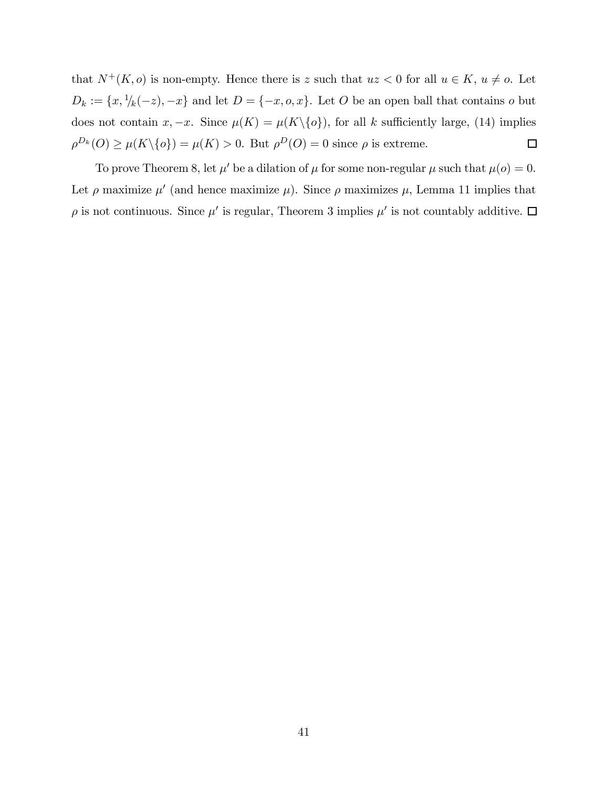that  $N^+(K, o)$  is non-empty. Hence there is z such that  $uz < 0$  for all  $u \in K$ ,  $u \neq o$ . Let  $D_k := \{x, \frac{1}{k}(-z), -x\}$  and let  $D = \{-x, o, x\}$ . Let O be an open ball that contains o but does not contain  $x, -x$ . Since  $\mu(K) = \mu(K \setminus \{o\})$ , for all k sufficiently large, (14) implies  $\rho^{D_k}(O) \ge \mu(K \setminus \{o\}) = \mu(K) > 0$ . But  $\rho^D(O) = 0$  since  $\rho$  is extreme.  $\Box$ 

To prove Theorem 8, let  $\mu'$  be a dilation of  $\mu$  for some non-regular  $\mu$  such that  $\mu(o) = 0$ . Let  $\rho$  maximize  $\mu'$  (and hence maximize  $\mu$ ). Since  $\rho$  maximizes  $\mu$ , Lemma 11 implies that  $\rho$  is not continuous. Since  $\mu'$  is regular, Theorem 3 implies  $\mu'$  is not countably additive.  $\Box$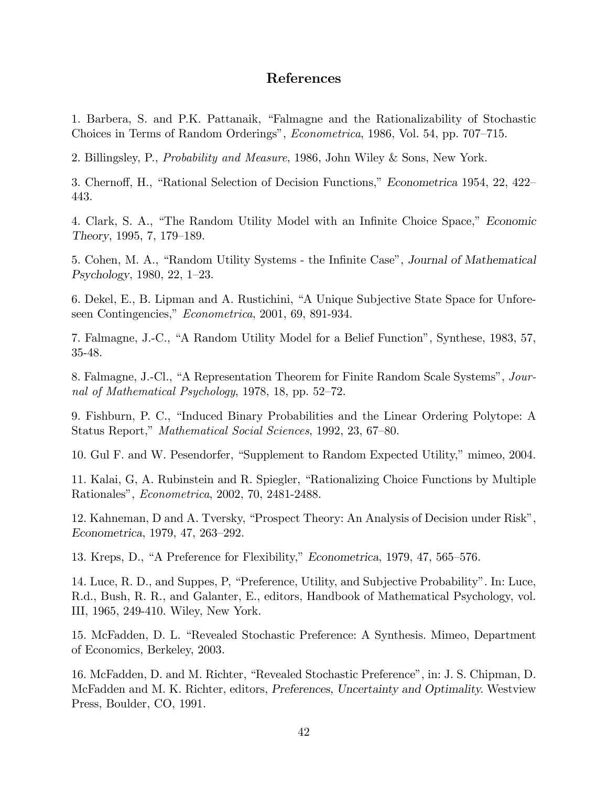# References

1. Barbera, S. and P.K. Pattanaik, "Falmagne and the Rationalizability of Stochastic Choices in Terms of Random Orderings", Econometrica, 1986, Vol. 54, pp. 707—715.

2. Billingsley, P., Probability and Measure, 1986, John Wiley & Sons, New York.

3. Chernoff, H., "Rational Selection of Decision Functions," Econometrica 1954, 22, 422— 443.

4. Clark, S. A., "The Random Utility Model with an Infinite Choice Space," Economic Theory, 1995, 7, 179—189.

5. Cohen, M. A., "Random Utility Systems - the Infinite Case", Journal of Mathematical Psychology, 1980, 22, 1—23.

6. Dekel, E., B. Lipman and A. Rustichini, "A Unique Subjective State Space for Unforeseen Contingencies," Econometrica, 2001, 69, 891-934.

7. Falmagne, J.-C., "A Random Utility Model for a Belief Function", Synthese, 1983, 57, 35-48.

8. Falmagne, J.-Cl., "A Representation Theorem for Finite Random Scale Systems", Journal of Mathematical Psychology, 1978, 18, pp. 52—72.

9. Fishburn, P. C., "Induced Binary Probabilities and the Linear Ordering Polytope: A Status Report," Mathematical Social Sciences, 1992, 23, 67—80.

10. Gul F. and W. Pesendorfer, "Supplement to Random Expected Utility," mimeo, 2004.

11. Kalai, G, A. Rubinstein and R. Spiegler, "Rationalizing Choice Functions by Multiple Rationales", Econometrica, 2002, 70, 2481-2488.

12. Kahneman, D and A. Tversky, "Prospect Theory: An Analysis of Decision under Risk", Econometrica, 1979, 47, 263—292.

13. Kreps, D., "A Preference for Flexibility," Econometrica, 1979, 47, 565—576.

14. Luce, R. D., and Suppes, P, "Preference, Utility, and Subjective Probability". In: Luce, R.d., Bush, R. R., and Galanter, E., editors, Handbook of Mathematical Psychology, vol. III, 1965, 249-410. Wiley, New York.

15. McFadden, D. L. "Revealed Stochastic Preference: A Synthesis. Mimeo, Department of Economics, Berkeley, 2003.

16. McFadden, D. and M. Richter, "Revealed Stochastic Preference", in: J. S. Chipman, D. McFadden and M. K. Richter, editors, Preferences, Uncertainty and Optimality. Westview Press, Boulder, CO, 1991.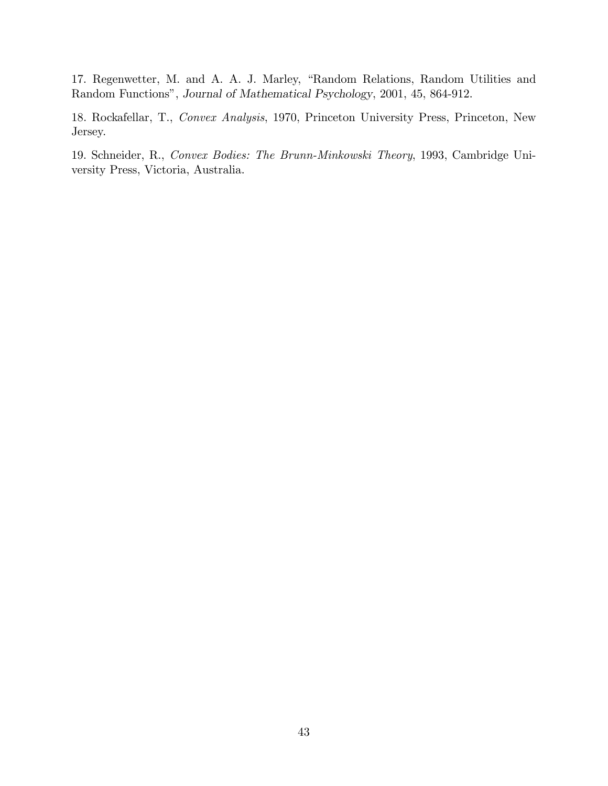17. Regenwetter, M. and A. A. J. Marley, "Random Relations, Random Utilities and Random Functions", Journal of Mathematical Psychology, 2001, 45, 864-912.

18. Rockafellar, T., Convex Analysis, 1970, Princeton University Press, Princeton, New Jersey.

19. Schneider, R., Convex Bodies: The Brunn-Minkowski Theory, 1993, Cambridge University Press, Victoria, Australia.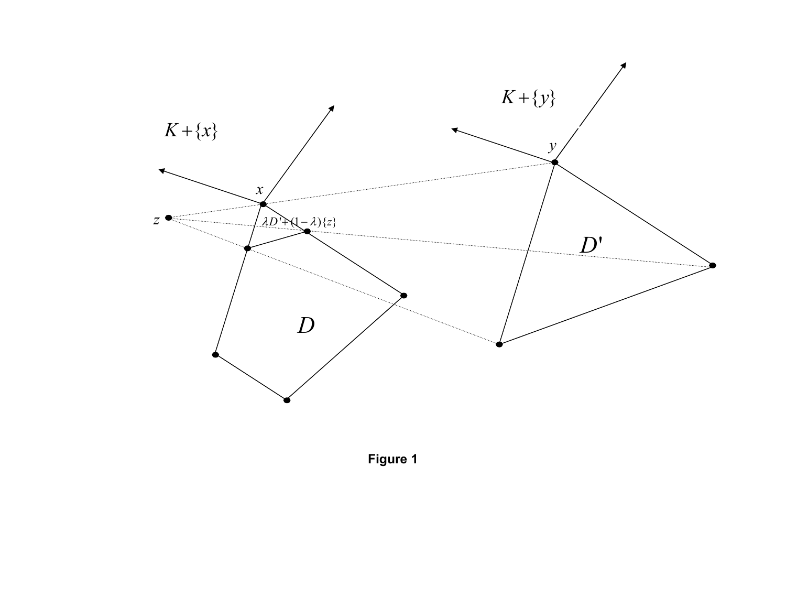

**Figure 1**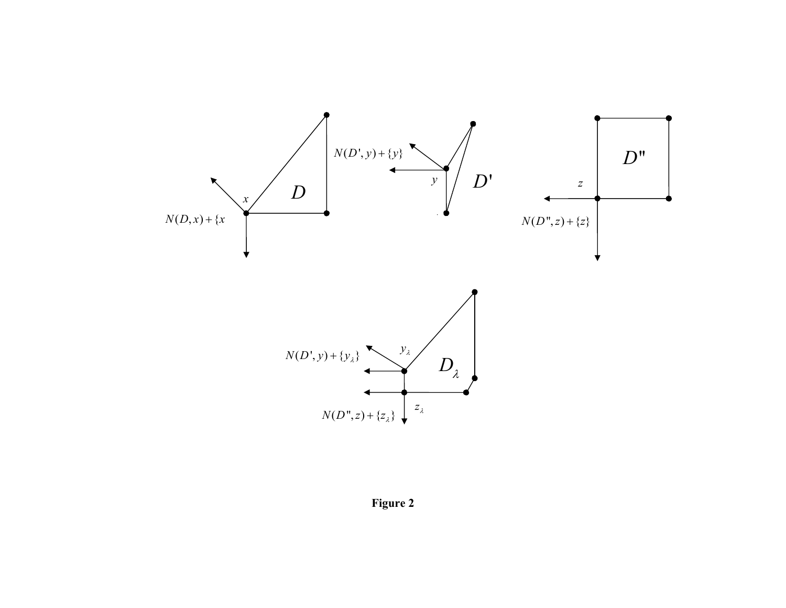



**Figure 2**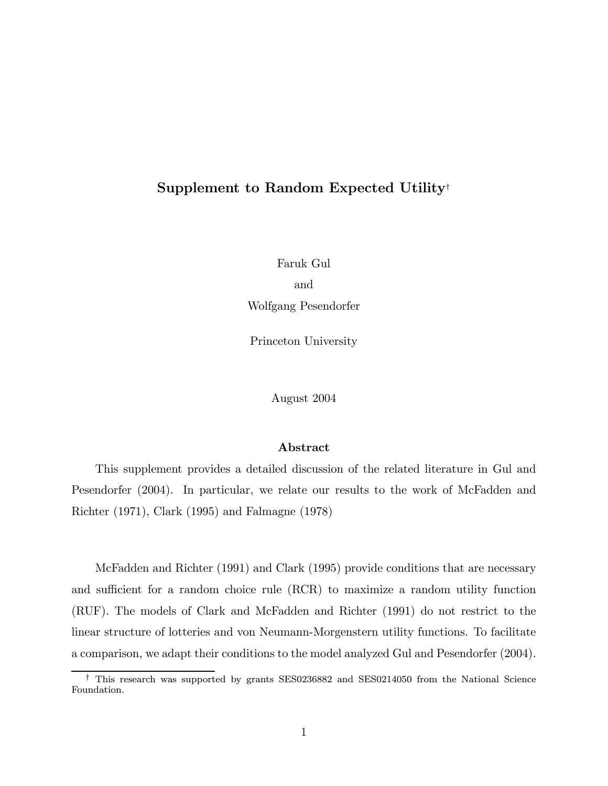# Supplement to Random Expected Utility†

Faruk Gul and Wolfgang Pesendorfer

Princeton University

August 2004

### Abstract

This supplement provides a detailed discussion of the related literature in Gul and Pesendorfer (2004). In particular, we relate our results to the work of McFadden and Richter (1971), Clark (1995) and Falmagne (1978)

McFadden and Richter (1991) and Clark (1995) provide conditions that are necessary and sufficient for a random choice rule (RCR) to maximize a random utility function (RUF). The models of Clark and McFadden and Richter (1991) do not restrict to the linear structure of lotteries and von Neumann-Morgenstern utility functions. To facilitate a comparison, we adapt their conditions to the model analyzed Gul and Pesendorfer (2004).

<sup>†</sup> This research was supported by grants SES0236882 and SES0214050 from the National Science Foundation.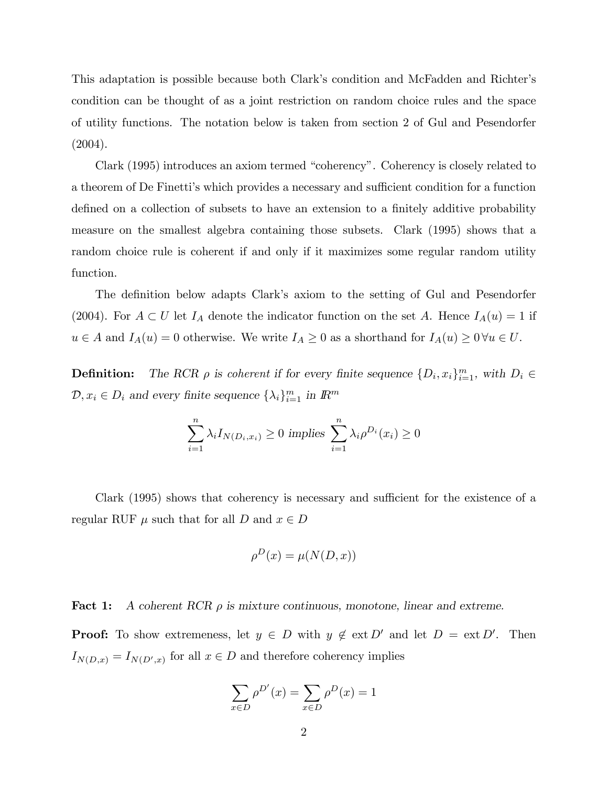This adaptation is possible because both Clark's condition and McFadden and Richter's condition can be thought of as a joint restriction on random choice rules and the space of utility functions. The notation below is taken from section 2 of Gul and Pesendorfer (2004).

Clark (1995) introduces an axiom termed "coherency". Coherency is closely related to a theorem of De Finetti's which provides a necessary and sufficient condition for a function defined on a collection of subsets to have an extension to a finitely additive probability measure on the smallest algebra containing those subsets. Clark (1995) shows that a random choice rule is coherent if and only if it maximizes some regular random utility function.

The definition below adapts Clark's axiom to the setting of Gul and Pesendorfer (2004). For  $A \subset U$  let  $I_A$  denote the indicator function on the set A. Hence  $I_A(u) = 1$  if  $u \in A$  and  $I_A(u) = 0$  otherwise. We write  $I_A \geq 0$  as a shorthand for  $I_A(u) \geq 0 \forall u \in U$ .

**Definition:** The RCR  $\rho$  is coherent if for every finite sequence  $\{D_i, x_i\}_{i=1}^m$ , with  $D_i \in$  $\mathcal{D}, x_i \in D_i$  and every finite sequence  $\{\lambda_i\}_{i=1}^m$  in  $\mathbb{R}^m$ 

$$
\sum_{i=1}^{n} \lambda_i I_{N(D_i, x_i)} \ge 0 \text{ implies } \sum_{i=1}^{n} \lambda_i \rho^{D_i}(x_i) \ge 0
$$

Clark (1995) shows that coherency is necessary and sufficient for the existence of a regular RUF  $\mu$  such that for all D and  $x \in D$ 

$$
\rho^D(x) = \mu(N(D, x))
$$

**Fact 1:** A coherent RCR  $\rho$  is mixture continuous, monotone, linear and extreme.

**Proof:** To show extremeness, let  $y \in D$  with  $y \notin ext D'$  and let  $D = ext D'$ . Then  $I_{N(D,x)} = I_{N(D',x)}$  for all  $x \in D$  and therefore coherency implies

$$
\sum_{x \in D} \rho^{D'}(x) = \sum_{x \in D} \rho^{D}(x) = 1
$$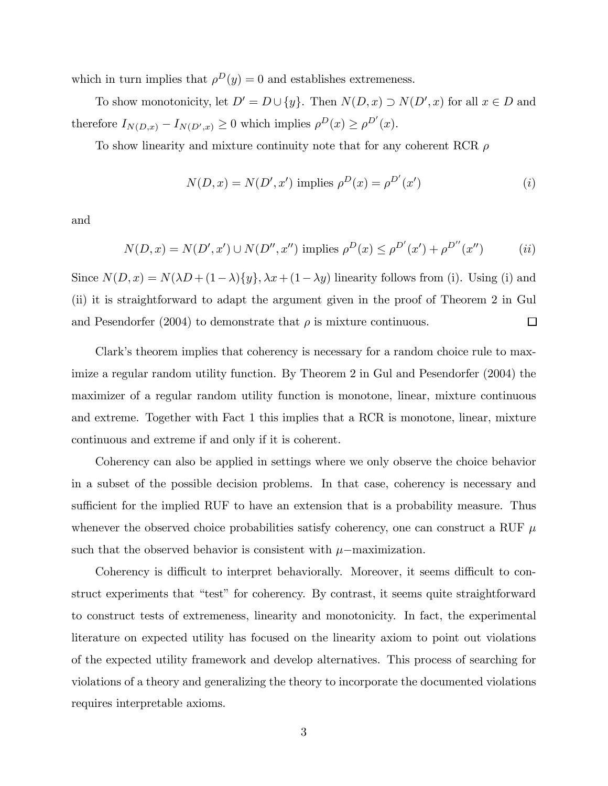which in turn implies that  $\rho^{D}(y) = 0$  and establishes extremeness.

To show monotonicity, let  $D' = D \cup \{y\}$ . Then  $N(D, x) \supset N(D', x)$  for all  $x \in D$  and therefore  $I_{N(D,x)} - I_{N(D',x)} \geq 0$  which implies  $\rho^D(x) \geq \rho^{D'}(x)$ .

To show linearity and mixture continuity note that for any coherent RCR  $\rho$ 

$$
N(D, x) = N(D', x') \text{ implies } \rho^{D}(x) = \rho^{D'}(x')
$$
 (i)

and

$$
N(D, x) = N(D', x') \cup N(D'', x'') \text{ implies } \rho^{D}(x) \le \rho^{D'}(x') + \rho^{D''}(x'') \qquad (ii)
$$

Since  $N(D, x) = N(\lambda D + (1 - \lambda)\{y\}, \lambda x + (1 - \lambda y)$  linearity follows from (i). Using (i) and (ii) it is straightforward to adapt the argument given in the proof of Theorem 2 in Gul  $\Box$ and Pesendorfer (2004) to demonstrate that  $\rho$  is mixture continuous.

Clark's theorem implies that coherency is necessary for a random choice rule to maximize a regular random utility function. By Theorem 2 in Gul and Pesendorfer (2004) the maximizer of a regular random utility function is monotone, linear, mixture continuous and extreme. Together with Fact 1 this implies that a RCR is monotone, linear, mixture continuous and extreme if and only if it is coherent.

Coherency can also be applied in settings where we only observe the choice behavior in a subset of the possible decision problems. In that case, coherency is necessary and sufficient for the implied RUF to have an extension that is a probability measure. Thus whenever the observed choice probabilities satisfy coherency, one can construct a RUF  $\mu$ such that the observed behavior is consistent with  $\mu$ −maximization.

Coherency is difficult to interpret behaviorally. Moreover, it seems difficult to construct experiments that "test" for coherency. By contrast, it seems quite straightforward to construct tests of extremeness, linearity and monotonicity. In fact, the experimental literature on expected utility has focused on the linearity axiom to point out violations of the expected utility framework and develop alternatives. This process of searching for violations of a theory and generalizing the theory to incorporate the documented violations requires interpretable axioms.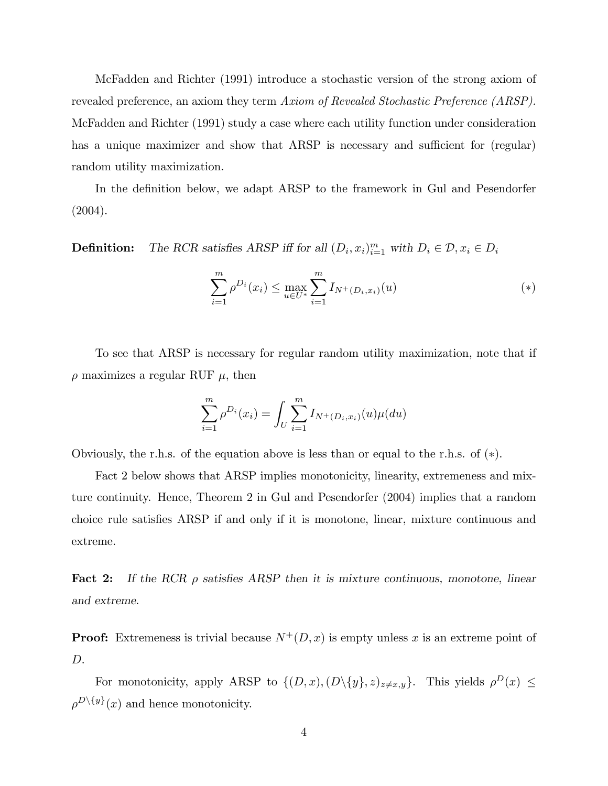McFadden and Richter (1991) introduce a stochastic version of the strong axiom of revealed preference, an axiom they term Axiom of Revealed Stochastic Preference (ARSP). McFadden and Richter (1991) study a case where each utility function under consideration has a unique maximizer and show that ARSP is necessary and sufficient for (regular) random utility maximization.

In the definition below, we adapt ARSP to the framework in Gul and Pesendorfer (2004).

**Definition:** The RCR satisfies ARSP iff for all  $(D_i, x_i)_{i=1}^m$  with  $D_i \in \mathcal{D}, x_i \in D_i$ 

$$
\sum_{i=1}^{m} \rho^{D_i}(x_i) \le \max_{u \in U^*} \sum_{i=1}^{m} I_{N^+(D_i, x_i)}(u) \tag{*}
$$

To see that ARSP is necessary for regular random utility maximization, note that if  $\rho$  maximizes a regular RUF  $\mu$ , then

$$
\sum_{i=1}^{m} \rho^{D_i}(x_i) = \int_{U} \sum_{i=1}^{m} I_{N^+(D_i, x_i)}(u) \mu(du)
$$

Obviously, the r.h.s. of the equation above is less than or equal to the r.h.s. of (∗).

Fact 2 below shows that ARSP implies monotonicity, linearity, extremeness and mixture continuity. Hence, Theorem 2 in Gul and Pesendorfer (2004) implies that a random choice rule satisfies ARSP if and only if it is monotone, linear, mixture continuous and extreme.

**Fact 2:** If the RCR  $\rho$  satisfies ARSP then it is mixture continuous, monotone, linear and extreme.

**Proof:** Extremeness is trivial because  $N^+(D, x)$  is empty unless x is an extreme point of D.

For monotonicity, apply ARSP to  $\{(D, x), (D \setminus \{y\}, z)_{z \neq x,y}\}.$  This yields  $\rho^D(x) \leq$  $\rho^{D\setminus\{y\}}(x)$  and hence monotonicity.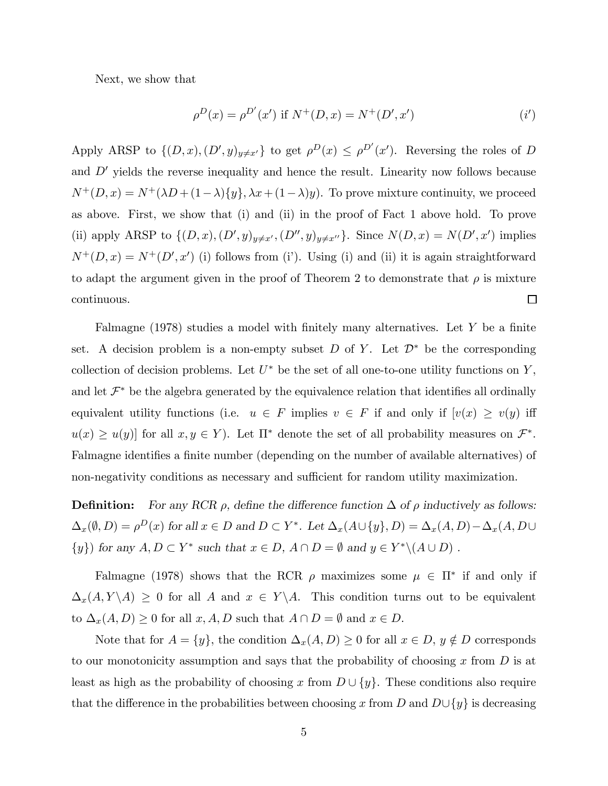Next, we show that

$$
\rho^{D}(x) = \rho^{D'}(x') \text{ if } N^{+}(D, x) = N^{+}(D', x') \tag{i'}
$$

Apply ARSP to  $\{(D, x), (D', y)_{y \neq x'}\}$  to get  $\rho^D(x) \leq \rho^{D'}(x')$ . Reversing the roles of D and  $D'$  yields the reverse inequality and hence the result. Linearity now follows because  $N^+(D, x) = N^+(\lambda D + (1-\lambda)\{y\}, \lambda x + (1-\lambda)y)$ . To prove mixture continuity, we proceed as above. First, we show that (i) and (ii) in the proof of Fact 1 above hold. To prove (ii) apply ARSP to  $\{(D, x), (D', y)_{y \neq x'}$ ,  $(D'', y)_{y \neq x''}\}$ . Since  $N(D, x) = N(D', x')$  implies  $N^+(D,x) = N^+(D',x')$  (i) follows from (i'). Using (i) and (ii) it is again straightforward to adapt the argument given in the proof of Theorem 2 to demonstrate that  $\rho$  is mixture continuous.  $\Box$ 

Falmagne  $(1978)$  studies a model with finitely many alternatives. Let Y be a finite set. A decision problem is a non-empty subset D of Y. Let  $\mathcal{D}^*$  be the corresponding collection of decision problems. Let  $U^*$  be the set of all one-to-one utility functions on Y, and let  $\mathcal{F}^*$  be the algebra generated by the equivalence relation that identifies all ordinally equivalent utility functions (i.e.  $u \in F$  implies  $v \in F$  if and only if  $[v(x) \ge v(y)]$  iff  $u(x) \geq u(y)$  for all  $x, y \in Y$ ). Let  $\Pi^*$  denote the set of all probability measures on  $\mathcal{F}^*$ . Falmagne identifies a finite number (depending on the number of available alternatives) of non-negativity conditions as necessary and sufficient for random utility maximization.

**Definition:** For any RCR  $\rho$ , define the difference function  $\Delta$  of  $\rho$  inductively as follows:  $\Delta_x(\emptyset, D) = \rho^D(x)$  for all  $x \in D$  and  $D \subset Y^*$ . Let  $\Delta_x(A \cup \{y\}, D) = \Delta_x(A, D) - \Delta_x(A, D \cup D)$  $\{y\}$  for any  $A, D \subset Y^*$  such that  $x \in D$ ,  $A \cap D = \emptyset$  and  $y \in Y^* \setminus (A \cup D)$ .

Falmagne (1978) shows that the RCR  $\rho$  maximizes some  $\mu \in \Pi^*$  if and only if  $\Delta_x(A, Y \setminus A) \geq 0$  for all A and  $x \in Y \setminus A$ . This condition turns out to be equivalent to  $\Delta_x(A, D) \ge 0$  for all  $x, A, D$  such that  $A \cap D = \emptyset$  and  $x \in D$ .

Note that for  $A = \{y\}$ , the condition  $\Delta_x(A, D) \geq 0$  for all  $x \in D$ ,  $y \notin D$  corresponds to our monotonicity assumption and says that the probability of choosing x from  $D$  is at least as high as the probability of choosing x from  $D \cup \{y\}$ . These conditions also require that the difference in the probabilities between choosing x from D and  $D\cup\{y\}$  is decreasing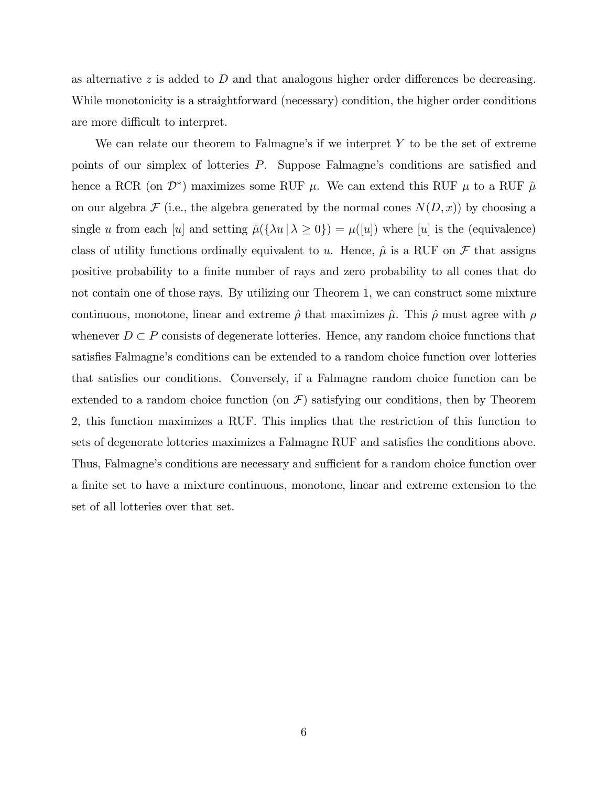as alternative z is added to D and that analogous higher order differences be decreasing. While monotonicity is a straightforward (necessary) condition, the higher order conditions are more difficult to interpret.

We can relate our theorem to Falmagne's if we interpret  $Y$  to be the set of extreme points of our simplex of lotteries P. Suppose Falmagne's conditions are satisfied and hence a RCR (on  $\mathcal{D}^*$ ) maximizes some RUF  $\mu$ . We can extend this RUF  $\mu$  to a RUF  $\hat{\mu}$ on our algebra  $\mathcal F$  (i.e., the algebra generated by the normal cones  $N(D, x)$ ) by choosing a single u from each [u] and setting  $\hat{\mu}(\{\lambda u \mid \lambda \ge 0\}) = \mu([u])$  where [u] is the (equivalence) class of utility functions ordinally equivalent to u. Hence,  $\hat{\mu}$  is a RUF on  $\mathcal F$  that assigns positive probability to a finite number of rays and zero probability to all cones that do not contain one of those rays. By utilizing our Theorem 1, we can construct some mixture continuous, monotone, linear and extreme  $\hat{\rho}$  that maximizes  $\hat{\mu}$ . This  $\hat{\rho}$  must agree with  $\rho$ whenever  $D \subset P$  consists of degenerate lotteries. Hence, any random choice functions that satisfies Falmagne's conditions can be extended to a random choice function over lotteries that satisfies our conditions. Conversely, if a Falmagne random choice function can be extended to a random choice function (on  $\mathcal{F}$ ) satisfying our conditions, then by Theorem 2, this function maximizes a RUF. This implies that the restriction of this function to sets of degenerate lotteries maximizes a Falmagne RUF and satisfies the conditions above. Thus, Falmagne's conditions are necessary and sufficient for a random choice function over a finite set to have a mixture continuous, monotone, linear and extreme extension to the set of all lotteries over that set.